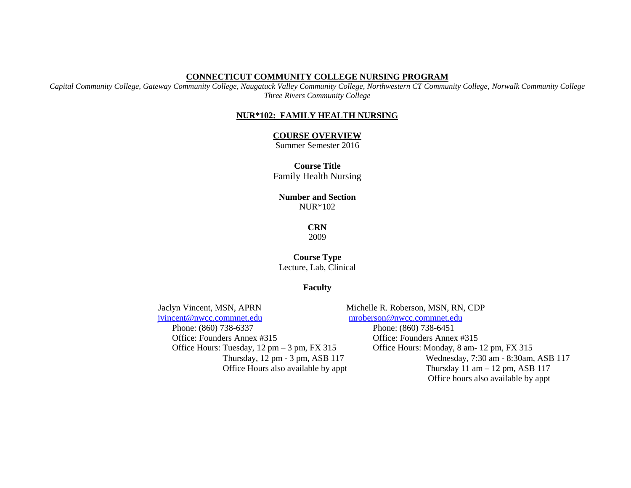#### **CONNECTICUT COMMUNITY COLLEGE NURSING PROGRAM**

*Capital Community College, Gateway Community College, Naugatuck Valley Community College, Northwestern CT Community College, Norwalk Community College Three Rivers Community College*

#### **NUR\*102: FAMILY HEALTH NURSING**

#### **COURSE OVERVIEW**

Summer Semester 2016

**Course Title** Family Health Nursing

### **Number and Section** NUR\*102

**CRN**

2009

### **Course Type** Lecture, Lab, Clinical

### **Faculty**

 Jaclyn Vincent, MSN, APRN Michelle R. Roberson, MSN, RN, CDP [jvincent@nwcc.commnet.edu](mailto:jvincent@nwcc.edu) [mroberson@nwcc.commnet.edu](mailto:mroberson@nwcc.edu) Phone: (860) 738-6337 Phone: (860) 738-6451 Office: Founders Annex #315 Office: Founders Annex #315

Office Hours: Tuesday, 12 pm – 3 pm, FX 315 Office Hours: Monday, 8 am- 12 pm, FX 315 Thursday, 12 pm - 3 pm, ASB 117 Wednesday, 7:30 am - 8:30am, ASB 117 Office Hours also available by appt Thursday 11 am – 12 pm, ASB 117 Office hours also available by appt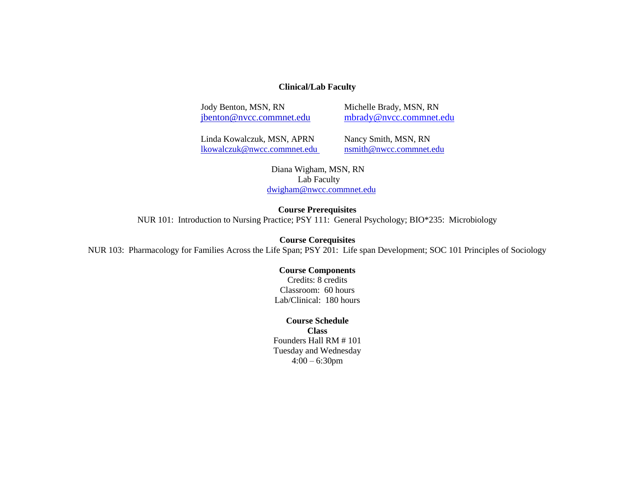### **Clinical/Lab Faculty**

Jody Benton, MSN, RN Michelle Brady, MSN, RN

[jbenton@nvcc.commnet.edu](https://www.mail.commnet.edu/owa/redir.aspx?C=dzZlsswLgUaApPtpG4BBzdWMgrkUOtMI02hpVMtM-0cszYGlfMC13h1kfbO1Nbc4wRJT-Y_moVQ.&URL=mailto%3ajbenton%40nvcc.commnet.edu) [mbrady@nvcc.commnet.edu](mailto:mbrady@nvcc.commnet.edu)

Linda Kowalczuk, MSN, APRN Nancy Smith, MSN, RN [lkowalczuk@nwcc.commnet.edu](mailto:lkowalczuk@nwcc.commnet.edu) nsmith@nwcc.commnet.edu

 Diana Wigham, MSN, RN Lab Faculty dwigham@nwcc.commnet.edu

#### **Course Prerequisites**

NUR 101: Introduction to Nursing Practice; PSY 111: General Psychology; BIO\*235: Microbiology

**Course Corequisites**

NUR 103: Pharmacology for Families Across the Life Span; PSY 201: Life span Development; SOC 101 Principles of Sociology

#### **Course Components**

Credits: 8 credits Classroom: 60 hours Lab/Clinical: 180 hours

#### **Course Schedule**

**Class** Founders Hall RM # 101 Tuesday and Wednesday 4:00 – 6:30pm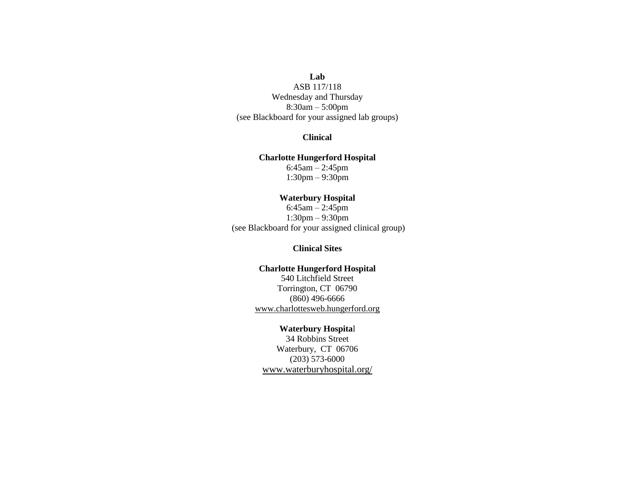### **Lab** ASB 117/118 Wednesday and Thursday 8:30am – 5:00pm (see Blackboard for your assigned lab groups)

### **Clinical**

#### **Charlotte Hungerford Hospital**

6:45am – 2:45pm 1:30pm – 9:30pm

### **Waterbury Hospital**

6:45am – 2:45pm 1:30pm – 9:30pm (see Blackboard for your assigned clinical group)

### **Clinical Sites**

#### **Charlotte Hungerford Hospital**

540 Litchfield Street Torrington, CT 06790 (860) 496-6666 www.charlottesweb.hungerford.org

#### **Waterbury Hospita**l

34 Robbins Street Waterbury, CT 06706 (203) 573-6000 www.waterburyhospital.org/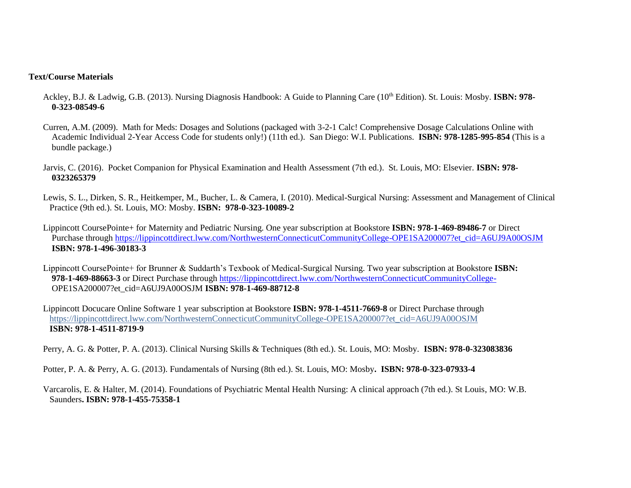#### **Text/Course Materials**

- Ackley, B.J. & Ladwig, G.B. (2013). Nursing Diagnosis Handbook: A Guide to Planning Care (10th Edition). St. Louis: Mosby. **ISBN: 978- 0-323-08549-6**
- Curren, A.M. (2009). Math for Meds: Dosages and Solutions (packaged with 3-2-1 Calc! Comprehensive Dosage Calculations Online with Academic Individual 2-Year Access Code for students only!) (11th ed.). San Diego: W.I. Publications. **ISBN: 978-1285-995-854** (This is a bundle package.)
- Jarvis, C. (2016). Pocket Companion for Physical Examination and Health Assessment (7th ed.). St. Louis, MO: Elsevier. **ISBN: 978- 0323265379**
- Lewis, S. L., Dirken, S. R., Heitkemper, M., Bucher, L. & Camera, I. (2010). Medical-Surgical Nursing: Assessment and Management of Clinical Practice (9th ed.). St. Louis, MO: Mosby. **ISBN: 978-0-323-10089-2**
- Lippincott CoursePointe+ for Maternity and Pediatric Nursing. One year subscription at Bookstore **ISBN: 978-1-469-89486-7** or Direct Purchase through [https://lippincottdirect.lww.com/NorthwesternConnecticutCommunityCollege-OPE1SA200007?et\\_cid=A6UJ9A00OSJM](https://lippincottdirect.lww.com/NorthwesternConnecticutCommunityCollege-OPE1SA200007?et_cid=A6UJ9A00OSJM)  **ISBN: 978-1-496-30183-3**
- Lippincott CoursePointe+ for Brunner & Suddarth's Texbook of Medical-Surgical Nursing. Two year subscription at Bookstore **ISBN: 978-1-469-88663-3** or Direct Purchase through<https://lippincottdirect.lww.com/NorthwesternConnecticutCommunityCollege-> OPE1SA200007?et\_cid=A6UJ9A00OSJM **ISBN: 978-1-469-88712-8**
- Lippincott Docucare Online Software 1 year subscription at Bookstore **ISBN: 978-1-4511-7669-8** or Direct Purchase through https://lippincottdirect.lww.com/NorthwesternConnecticutCommunityCollege-OPE1SA200007?et\_cid=A6UJ9A00OSJM **ISBN: 978-1-4511-8719-9**
- Perry, A. G. & Potter, P. A. (2013). Clinical Nursing Skills & Techniques (8th ed.). St. Louis, MO: Mosby. **ISBN: 978-0-323083836**
- Potter, P. A. & Perry, A. G. (2013). Fundamentals of Nursing (8th ed.). St. Louis, MO: Mosby**. ISBN: 978-0-323-07933-4**
- Varcarolis, E. & Halter, M. (2014). Foundations of Psychiatric Mental Health Nursing: A clinical approach (7th ed.). St Louis, MO: W.B. Saunders**. ISBN: 978-1-455-75358-1**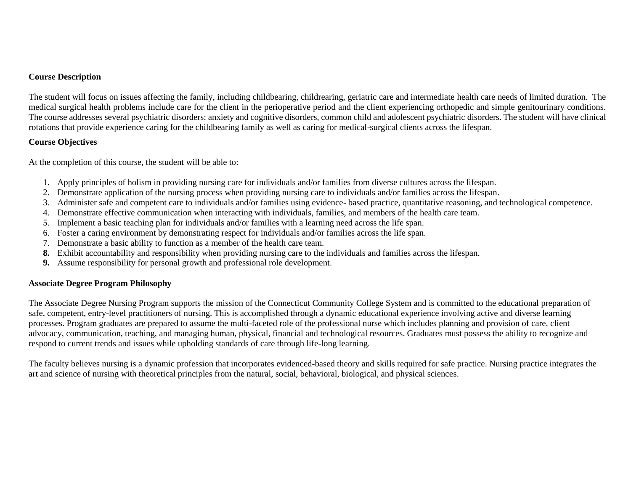### **Course Description**

The student will focus on issues affecting the family, including childbearing, childrearing, geriatric care and intermediate health care needs of limited duration. The medical surgical health problems include care for the client in the perioperative period and the client experiencing orthopedic and simple genitourinary conditions. The course addresses several psychiatric disorders: anxiety and cognitive disorders, common child and adolescent psychiatric disorders. The student will have clinical rotations that provide experience caring for the childbearing family as well as caring for medical-surgical clients across the lifespan.

### **Course Objectives**

At the completion of this course, the student will be able to:

- 1. Apply principles of holism in providing nursing care for individuals and/or families from diverse cultures across the lifespan.
- 2. Demonstrate application of the nursing process when providing nursing care to individuals and/or families across the lifespan.
- 3. Administer safe and competent care to individuals and/or families using evidence- based practice, quantitative reasoning, and technological competence.
- 4. Demonstrate effective communication when interacting with individuals, families, and members of the health care team.
- 5. Implement a basic teaching plan for individuals and/or families with a learning need across the life span.
- 6. Foster a caring environment by demonstrating respect for individuals and/or families across the life span.
- 7. Demonstrate a basic ability to function as a member of the health care team.
- **8.** Exhibit accountability and responsibility when providing nursing care to the individuals and families across the lifespan.
- **9.** Assume responsibility for personal growth and professional role development.

### **Associate Degree Program Philosophy**

The Associate Degree Nursing Program supports the mission of the Connecticut Community College System and is committed to the educational preparation of safe, competent, entry-level practitioners of nursing. This is accomplished through a dynamic educational experience involving active and diverse learning processes. Program graduates are prepared to assume the multi-faceted role of the professional nurse which includes planning and provision of care, client advocacy, communication, teaching, and managing human, physical, financial and technological resources. Graduates must possess the ability to recognize and respond to current trends and issues while upholding standards of care through life-long learning.

The faculty believes nursing is a dynamic profession that incorporates evidenced-based theory and skills required for safe practice. Nursing practice integrates the art and science of nursing with theoretical principles from the natural, social, behavioral, biological, and physical sciences.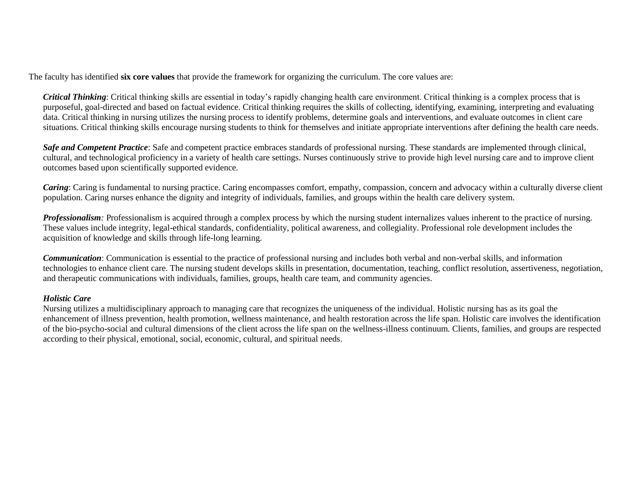The faculty has identified **six core values** that provide the framework for organizing the curriculum. The core values are:

*Critical Thinking*: Critical thinking skills are essential in today's rapidly changing health care environment. Critical thinking is a complex process that is purposeful, goal-directed and based on factual evidence. Critical thinking requires the skills of collecting, identifying, examining, interpreting and evaluating data. Critical thinking in nursing utilizes the nursing process to identify problems, determine goals and interventions, and evaluate outcomes in client care situations. Critical thinking skills encourage nursing students to think for themselves and initiate appropriate interventions after defining the health care needs.

**Safe and Competent Practice:** Safe and competent practice embraces standards of professional nursing. These standards are implemented through clinical, cultural, and technological proficiency in a variety of health care settings. Nurses continuously strive to provide high level nursing care and to improve client outcomes based upon scientifically supported evidence.

*Caring*: Caring is fundamental to nursing practice. Caring encompasses comfort, empathy, compassion, concern and advocacy within a culturally diverse client population. Caring nurses enhance the dignity and integrity of individuals, families, and groups within the health care delivery system.

*Professionalism*: Professionalism is acquired through a complex process by which the nursing student internalizes values inherent to the practice of nursing. These values include integrity, legal-ethical standards, confidentiality, political awareness, and collegiality. Professional role development includes the acquisition of knowledge and skills through life-long learning.

*Communication*: Communication is essential to the practice of professional nursing and includes both verbal and non-verbal skills, and information technologies to enhance client care. The nursing student develops skills in presentation, documentation, teaching, conflict resolution, assertiveness, negotiation, and therapeutic communications with individuals, families, groups, health care team, and community agencies.

### *Holistic Care*

Nursing utilizes a multidisciplinary approach to managing care that recognizes the uniqueness of the individual. Holistic nursing has as its goal the enhancement of illness prevention, health promotion, wellness maintenance, and health restoration across the life span. Holistic care involves the identification of the bio-psycho-social and cultural dimensions of the client across the life span on the wellness-illness continuum. Clients, families, and groups are respected according to their physical, emotional, social, economic, cultural, and spiritual needs.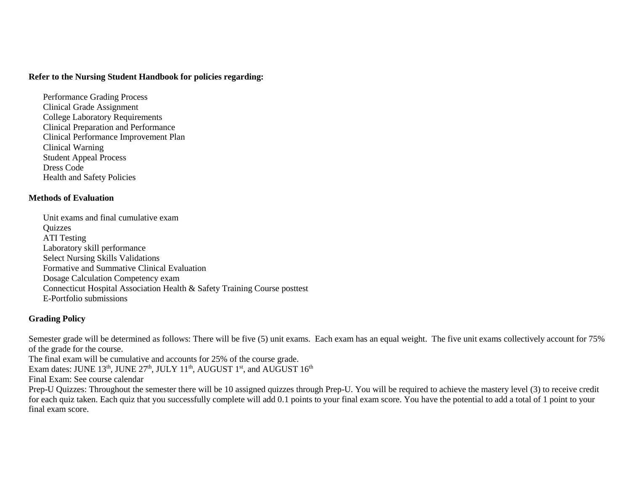#### **Refer to the Nursing Student Handbook for policies regarding:**

Performance Grading Process Clinical Grade Assignment College Laboratory Requirements Clinical Preparation and Performance Clinical Performance Improvement Plan Clinical Warning Student Appeal Process Dress Code Health and Safety Policies

### **Methods of Evaluation**

Unit exams and final cumulative exam **Ouizzes** ATI Testing Laboratory skill performance Select Nursing Skills Validations Formative and Summative Clinical Evaluation Dosage Calculation Competency exam Connecticut Hospital Association Health & Safety Training Course posttest E-Portfolio submissions

### **Grading Policy**

Semester grade will be determined as follows: There will be five (5) unit exams. Each exam has an equal weight. The five unit exams collectively account for 75% of the grade for the course.

The final exam will be cumulative and accounts for 25% of the course grade.

Exam dates: JUNE  $13^{\text{th}}$ , JUNE  $27^{\text{th}}$ , JULY  $11^{\text{th}}$ , AUGUST  $1^{\text{st}}$ , and AUGUST  $16^{\text{th}}$ 

Final Exam: See course calendar

Prep-U Quizzes: Throughout the semester there will be 10 assigned quizzes through Prep-U. You will be required to achieve the mastery level (3) to receive credit for each quiz taken. Each quiz that you successfully complete will add 0.1 points to your final exam score. You have the potential to add a total of 1 point to your final exam score.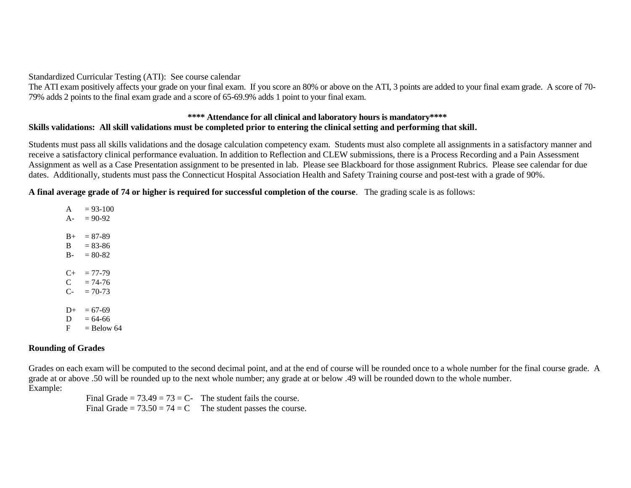Standardized Curricular Testing (ATI): See course calendar

The ATI exam positively affects your grade on your final exam. If you score an 80% or above on the ATI, 3 points are added to your final exam grade. A score of 70- 79% adds 2 points to the final exam grade and a score of 65-69.9% adds 1 point to your final exam.

### **\*\*\*\* Attendance for all clinical and laboratory hours is mandatory\*\*\*\* Skills validations: All skill validations must be completed prior to entering the clinical setting and performing that skill.**

Students must pass all skills validations and the dosage calculation competency exam. Students must also complete all assignments in a satisfactory manner and receive a satisfactory clinical performance evaluation. In addition to Reflection and CLEW submissions, there is a Process Recording and a Pain Assessment Assignment as well as a Case Presentation assignment to be presented in lab. Please see Blackboard for those assignment Rubrics. Please see calendar for due dates. Additionally, students must pass the Connecticut Hospital Association Health and Safety Training course and post-test with a grade of 90%.

**A final average grade of 74 or higher is required for successful completion of the course**. The grading scale is as follows:

 $A = 93-100$  $A- = 90-92$  $B_{+}$  = 87-89  $B = 83-86$  $B - 80-82$  $C_{+}$  = 77-79  $C = 74-76$  $C_{-}$  = 70-73  $D_{+}$  = 67-69  $D = 64-66$  $F =$ Below 64

### **Rounding of Grades**

Grades on each exam will be computed to the second decimal point, and at the end of course will be rounded once to a whole number for the final course grade. A grade at or above .50 will be rounded up to the next whole number; any grade at or below .49 will be rounded down to the whole number. Example:

> Final Grade =  $73.49 = 73 = C$ - The student fails the course. Final Grade =  $73.50 = 74 = C$  The student passes the course.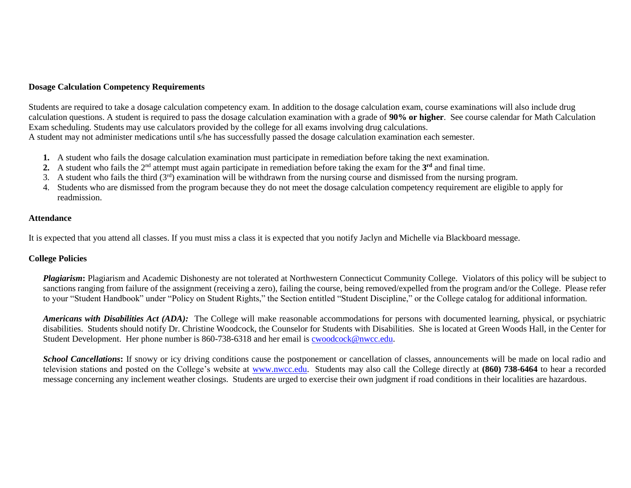### **Dosage Calculation Competency Requirements**

Students are required to take a dosage calculation competency exam. In addition to the dosage calculation exam, course examinations will also include drug calculation questions. A student is required to pass the dosage calculation examination with a grade of **90% or higher**. See course calendar for Math Calculation Exam scheduling. Students may use calculators provided by the college for all exams involving drug calculations. A student may not administer medications until s/he has successfully passed the dosage calculation examination each semester.

- **1.** A student who fails the dosage calculation examination must participate in remediation before taking the next examination.
- 2. A student who fails the 2<sup>nd</sup> attempt must again participate in remediation before taking the exam for the 3<sup>rd</sup> and final time.
- 3. A student who fails the third  $(3<sup>rd</sup>)$  examination will be withdrawn from the nursing course and dismissed from the nursing program.
- 4. Students who are dismissed from the program because they do not meet the dosage calculation competency requirement are eligible to apply for readmission.

### **Attendance**

It is expected that you attend all classes. If you must miss a class it is expected that you notify Jaclyn and Michelle via Blackboard message.

### **College Policies**

*Plagiarism*: Plagiarism and Academic Dishonesty are not tolerated at Northwestern Connecticut Community College. Violators of this policy will be subject to sanctions ranging from failure of the assignment (receiving a zero), failing the course, being removed/expelled from the program and/or the College. Please refer to your "Student Handbook" under "Policy on Student Rights," the Section entitled "Student Discipline," or the College catalog for additional information.

*Americans with Disabilities Act (ADA)*: The College will make reasonable accommodations for persons with documented learning, physical, or psychiatric disabilities. Students should notify Dr. Christine Woodcock, the Counselor for Students with Disabilities. She is located at Green Woods Hall, in the Center for Student Development. Her phone number is 860-738-6318 and her email is [cwoodcock@nwcc.edu.](mailto:cwoodcock@nwcc.edu)

**School Cancellations:** If snowy or icy driving conditions cause the postponement or cancellation of classes, announcements will be made on local radio and television stations and posted on the College's website at [www.nwcc.edu.](http://www.nwcc.edu/) Students may also call the College directly at **(860) 738-6464** to hear a recorded message concerning any inclement weather closings. Students are urged to exercise their own judgment if road conditions in their localities are hazardous.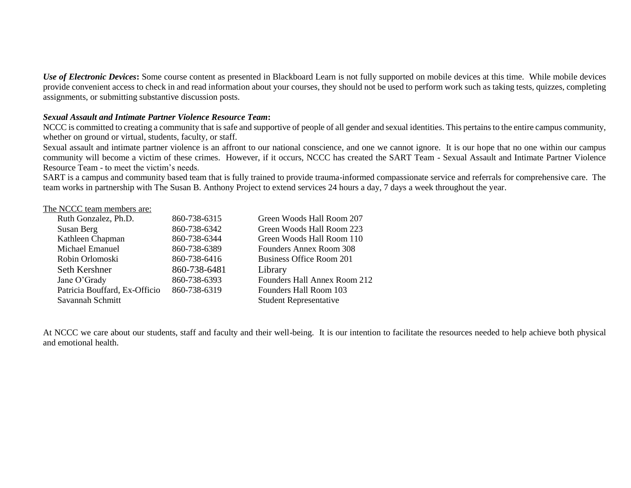*Use of Electronic Devices***:** Some course content as presented in Blackboard Learn is not fully supported on mobile devices at this time. While mobile devices provide convenient access to check in and read information about your courses, they should not be used to perform work such as taking tests, quizzes, completing assignments, or submitting substantive discussion posts.

### *Sexual Assault and Intimate Partner Violence Resource Team***:**

NCCC is committed to creating a community that is safe and supportive of people of all gender and sexual identities. This pertains to the entire campus community, whether on ground or virtual, students, faculty, or staff.

Sexual assault and intimate partner violence is an affront to our national conscience, and one we cannot ignore. It is our hope that no one within our campus community will become a victim of these crimes. However, if it occurs, NCCC has created the SART Team - Sexual Assault and Intimate Partner Violence Resource Team - to meet the victim's needs.

SART is a campus and community based team that is fully trained to provide trauma-informed compassionate service and referrals for comprehensive care. The team works in partnership with The Susan B. Anthony Project to extend services 24 hours a day, 7 days a week throughout the year.

### The NCCC team members are:

| Ruth Gonzalez, Ph.D.          | 860-738-6315 | Green Woods Hall Room 207     |
|-------------------------------|--------------|-------------------------------|
| Susan Berg                    | 860-738-6342 | Green Woods Hall Room 223     |
| Kathleen Chapman              | 860-738-6344 | Green Woods Hall Room 110     |
| Michael Emanuel               | 860-738-6389 | Founders Annex Room 308       |
| Robin Orlomoski               | 860-738-6416 | Business Office Room 201      |
| Seth Kershner                 | 860-738-6481 | Library                       |
| Jane O'Grady                  | 860-738-6393 | Founders Hall Annex Room 212  |
| Patricia Bouffard, Ex-Officio | 860-738-6319 | Founders Hall Room 103        |
| Savannah Schmitt              |              | <b>Student Representative</b> |
|                               |              |                               |

At NCCC we care about our students, staff and faculty and their well-being. It is our intention to facilitate the resources needed to help achieve both physical and emotional health.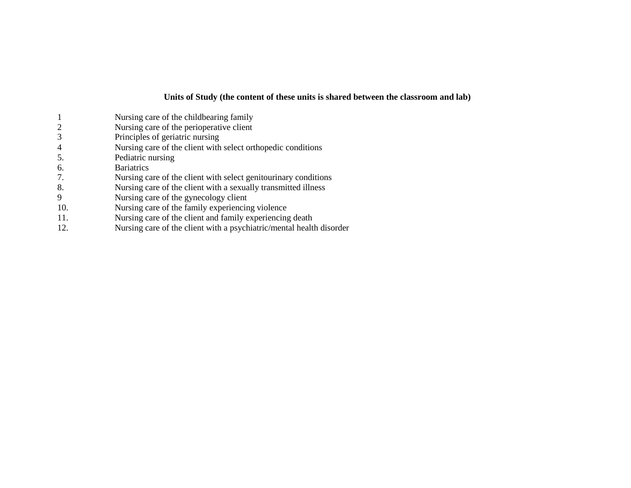### **Units of Study (the content of these units is shared between the classroom and lab)**

- 1 Nursing care of the childbearing family 2 Nursing care of the perioperative client<br>3 Principles of geriatric nursing Principles of geriatric nursing 4 Nursing care of the client with select orthopedic conditions<br>5. Pediatric nursing Pediatric nursing 6. Bariatrics<br>7. Nursing ca 7. Nursing care of the client with select genitourinary conditions 8. Nursing care of the client with a sexually transmitted illness 9 Nursing care of the gynecology client
- 10. Nursing care of the family experiencing violence
- 11. Nursing care of the client and family experiencing death
- 12. Nursing care of the client with a psychiatric/mental health disorder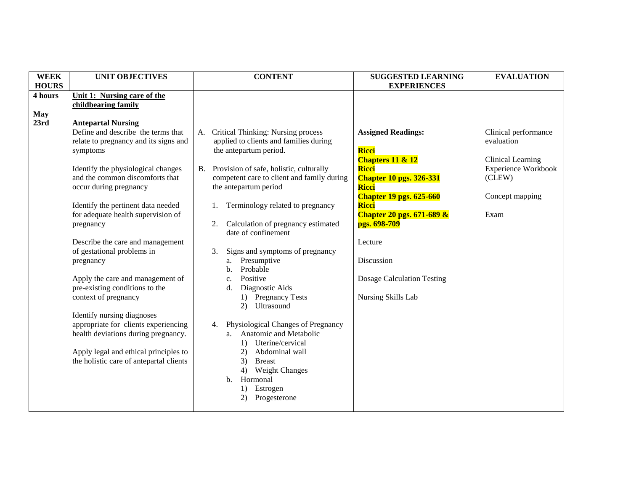| <b>WEEK</b>  | <b>UNIT OBJECTIVES</b>                                             |           | <b>CONTENT</b>                                                     | <b>SUGGESTED LEARNING</b>            | <b>EVALUATION</b>          |
|--------------|--------------------------------------------------------------------|-----------|--------------------------------------------------------------------|--------------------------------------|----------------------------|
| <b>HOURS</b> |                                                                    |           |                                                                    | <b>EXPERIENCES</b>                   |                            |
| 4 hours      | Unit 1: Nursing care of the                                        |           |                                                                    |                                      |                            |
|              | childbearing family                                                |           |                                                                    |                                      |                            |
| <b>May</b>   |                                                                    |           |                                                                    |                                      |                            |
| 23rd         | <b>Antepartal Nursing</b>                                          |           |                                                                    |                                      |                            |
|              | Define and describe the terms that                                 |           | A. Critical Thinking: Nursing process                              | <b>Assigned Readings:</b>            | Clinical performance       |
|              | relate to pregnancy and its signs and                              |           | applied to clients and families during                             |                                      | evaluation                 |
|              | symptoms                                                           |           | the antepartum period.                                             | <b>Ricci</b>                         |                            |
|              |                                                                    |           |                                                                    | Chapters 11 & 12                     | Clinical Learning          |
|              | Identify the physiological changes                                 | <b>B.</b> | Provision of safe, holistic, culturally                            | <b>Ricci</b>                         | <b>Experience Workbook</b> |
|              | and the common discomforts that                                    |           | competent care to client and family during                         | <b>Chapter 10 pgs. 326-331</b>       | (CLEW)                     |
|              | occur during pregnancy                                             |           | the antepartum period                                              | <b>Ricci</b>                         |                            |
|              |                                                                    |           |                                                                    | <b>Chapter 19 pgs. 625-660</b>       | Concept mapping            |
|              | Identify the pertinent data needed                                 |           | Terminology related to pregnancy                                   | <b>Ricci</b>                         |                            |
|              | for adequate health supervision of                                 |           |                                                                    | <b>Chapter 20 pgs. 671-689 &amp;</b> | Exam                       |
|              | pregnancy                                                          | 2.        | Calculation of pregnancy estimated                                 | pgs. 698-709                         |                            |
|              |                                                                    |           | date of confinement                                                |                                      |                            |
|              | Describe the care and management                                   |           |                                                                    | Lecture                              |                            |
|              | of gestational problems in                                         | 3.        | Signs and symptoms of pregnancy                                    |                                      |                            |
|              | pregnancy                                                          |           | a. Presumptive                                                     | Discussion                           |                            |
|              |                                                                    |           | Probable<br>$\mathbf{b}$ .                                         |                                      |                            |
|              | Apply the care and management of                                   |           | Positive<br>c.                                                     | <b>Dosage Calculation Testing</b>    |                            |
|              | pre-existing conditions to the                                     |           | Diagnostic Aids<br>$\mathbf{d}$ .                                  |                                      |                            |
|              | context of pregnancy                                               |           | 1) Pregnancy Tests<br>2) Ultrasound                                | Nursing Skills Lab                   |                            |
|              |                                                                    |           |                                                                    |                                      |                            |
|              | Identify nursing diagnoses<br>appropriate for clients experiencing |           |                                                                    |                                      |                            |
|              | health deviations during pregnancy.                                |           | 4. Physiological Changes of Pregnancy<br>a. Anatomic and Metabolic |                                      |                            |
|              |                                                                    |           | 1) Uterine/cervical                                                |                                      |                            |
|              | Apply legal and ethical principles to                              |           | Abdominal wall<br>2)                                               |                                      |                            |
|              | the holistic care of antepartal clients                            |           | 3)<br><b>Breast</b>                                                |                                      |                            |
|              |                                                                    |           | 4) Weight Changes                                                  |                                      |                            |
|              |                                                                    |           | Hormonal<br>$\mathbf{b}$ .                                         |                                      |                            |
|              |                                                                    |           | 1) Estrogen                                                        |                                      |                            |
|              |                                                                    |           | Progesterone<br>2)                                                 |                                      |                            |
|              |                                                                    |           |                                                                    |                                      |                            |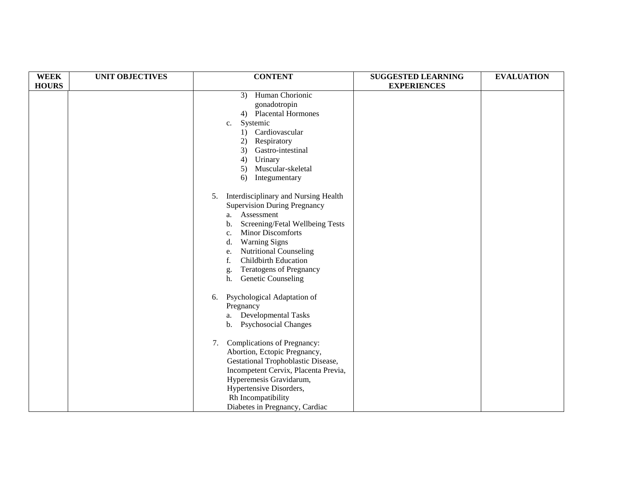| <b>WEEK</b>  | <b>UNIT OBJECTIVES</b> | <b>CONTENT</b>                             | <b>SUGGESTED LEARNING</b> | <b>EVALUATION</b> |
|--------------|------------------------|--------------------------------------------|---------------------------|-------------------|
| <b>HOURS</b> |                        |                                            | <b>EXPERIENCES</b>        |                   |
|              |                        | Human Chorionic<br>3)                      |                           |                   |
|              |                        | gonadotropin                               |                           |                   |
|              |                        | 4) Placental Hormones                      |                           |                   |
|              |                        | Systemic<br>c.                             |                           |                   |
|              |                        | 1) Cardiovascular                          |                           |                   |
|              |                        | Respiratory<br>2)                          |                           |                   |
|              |                        | Gastro-intestinal<br>3)                    |                           |                   |
|              |                        | Urinary<br>4)                              |                           |                   |
|              |                        | Muscular-skeletal<br>5)                    |                           |                   |
|              |                        | Integumentary<br>6)                        |                           |                   |
|              |                        | Interdisciplinary and Nursing Health<br>5. |                           |                   |
|              |                        | <b>Supervision During Pregnancy</b>        |                           |                   |
|              |                        | Assessment<br>a.                           |                           |                   |
|              |                        | Screening/Fetal Wellbeing Tests<br>b.      |                           |                   |
|              |                        | <b>Minor Discomforts</b><br>c.             |                           |                   |
|              |                        | <b>Warning Signs</b><br>d.                 |                           |                   |
|              |                        | Nutritional Counseling<br>e.               |                           |                   |
|              |                        | <b>Childbirth Education</b><br>f.          |                           |                   |
|              |                        | <b>Teratogens of Pregnancy</b><br>g.       |                           |                   |
|              |                        | Genetic Counseling<br>h.                   |                           |                   |
|              |                        | Psychological Adaptation of<br>6.          |                           |                   |
|              |                        | Pregnancy                                  |                           |                   |
|              |                        | a. Developmental Tasks                     |                           |                   |
|              |                        | <b>Psychosocial Changes</b><br>b.          |                           |                   |
|              |                        | Complications of Pregnancy:<br>7.          |                           |                   |
|              |                        | Abortion, Ectopic Pregnancy,               |                           |                   |
|              |                        | Gestational Trophoblastic Disease,         |                           |                   |
|              |                        | Incompetent Cervix, Placenta Previa,       |                           |                   |
|              |                        | Hyperemesis Gravidarum,                    |                           |                   |
|              |                        | Hypertensive Disorders,                    |                           |                   |
|              |                        | Rh Incompatibility                         |                           |                   |
|              |                        | Diabetes in Pregnancy, Cardiac             |                           |                   |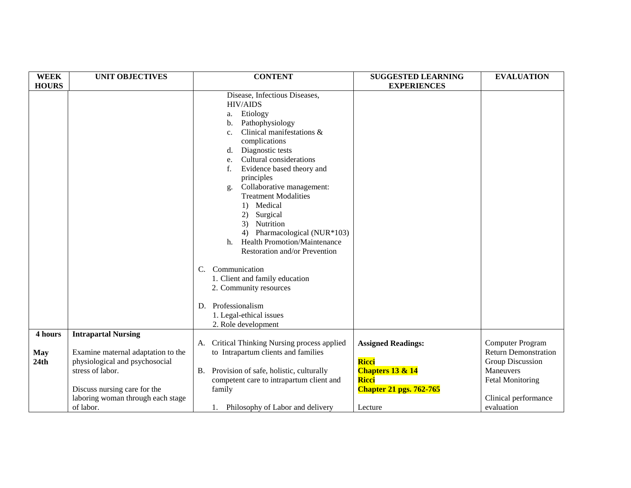| <b>WEEK</b>  | <b>UNIT OBJECTIVES</b>             | <b>CONTENT</b>                                     | <b>SUGGESTED LEARNING</b>      | <b>EVALUATION</b>           |
|--------------|------------------------------------|----------------------------------------------------|--------------------------------|-----------------------------|
| <b>HOURS</b> |                                    |                                                    | <b>EXPERIENCES</b>             |                             |
|              |                                    | Disease, Infectious Diseases,                      |                                |                             |
|              |                                    | <b>HIV/AIDS</b>                                    |                                |                             |
|              |                                    | Etiology<br>a.                                     |                                |                             |
|              |                                    | Pathophysiology<br>b.                              |                                |                             |
|              |                                    | Clinical manifestations &<br>C <sub>1</sub>        |                                |                             |
|              |                                    | complications                                      |                                |                             |
|              |                                    | Diagnostic tests<br>d.                             |                                |                             |
|              |                                    | Cultural considerations<br>e.                      |                                |                             |
|              |                                    | Evidence based theory and<br>f.                    |                                |                             |
|              |                                    | principles                                         |                                |                             |
|              |                                    | Collaborative management:<br>g.                    |                                |                             |
|              |                                    | <b>Treatment Modalities</b>                        |                                |                             |
|              |                                    | 1) Medical                                         |                                |                             |
|              |                                    | 2)<br>Surgical                                     |                                |                             |
|              |                                    | Nutrition<br>3)                                    |                                |                             |
|              |                                    | 4) Pharmacological (NUR*103)                       |                                |                             |
|              |                                    | <b>Health Promotion/Maintenance</b><br>$h_{\cdot}$ |                                |                             |
|              |                                    | Restoration and/or Prevention                      |                                |                             |
|              |                                    | Communication<br>C.                                |                                |                             |
|              |                                    | 1. Client and family education                     |                                |                             |
|              |                                    | 2. Community resources                             |                                |                             |
|              |                                    |                                                    |                                |                             |
|              |                                    | Professionalism<br>D.                              |                                |                             |
|              |                                    | 1. Legal-ethical issues                            |                                |                             |
|              |                                    | 2. Role development                                |                                |                             |
| 4 hours      | <b>Intrapartal Nursing</b>         |                                                    |                                |                             |
|              |                                    | Critical Thinking Nursing process applied<br>A.    | <b>Assigned Readings:</b>      | <b>Computer Program</b>     |
| <b>May</b>   | Examine maternal adaptation to the | to Intrapartum clients and families                |                                | <b>Return Demonstration</b> |
| 24th         | physiological and psychosocial     |                                                    | Ricci                          | <b>Group Discussion</b>     |
|              | stress of labor.                   | B. Provision of safe, holistic, culturally         | Chapters 13 & 14               | <b>Maneuvers</b>            |
|              |                                    | competent care to intrapartum client and           | <b>Ricci</b>                   | <b>Fetal Monitoring</b>     |
|              | Discuss nursing care for the       | family                                             | <b>Chapter 21 pgs. 762-765</b> |                             |
|              | laboring woman through each stage  |                                                    |                                | Clinical performance        |
|              | of labor.                          | 1. Philosophy of Labor and delivery                | Lecture                        | evaluation                  |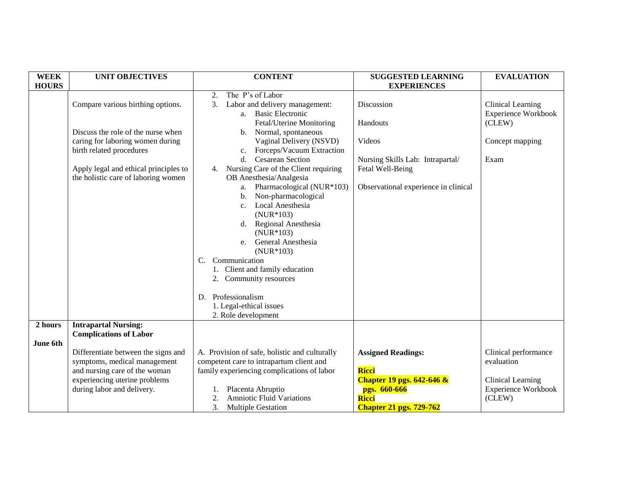| <b>WEEK</b>         | <b>UNIT OBJECTIVES</b>                                                                                                                                              | <b>CONTENT</b>                                                                                                                                                                                                                                                                                                                                                                                                                       | <b>SUGGESTED LEARNING</b>                                                                                                                    | <b>EVALUATION</b>                                                                        |
|---------------------|---------------------------------------------------------------------------------------------------------------------------------------------------------------------|--------------------------------------------------------------------------------------------------------------------------------------------------------------------------------------------------------------------------------------------------------------------------------------------------------------------------------------------------------------------------------------------------------------------------------------|----------------------------------------------------------------------------------------------------------------------------------------------|------------------------------------------------------------------------------------------|
| <b>HOURS</b>        |                                                                                                                                                                     |                                                                                                                                                                                                                                                                                                                                                                                                                                      | <b>EXPERIENCES</b>                                                                                                                           |                                                                                          |
|                     | Compare various birthing options.                                                                                                                                   | The P's of Labor<br>2.<br>Labor and delivery management:<br>3.<br><b>Basic Electronic</b><br>a.<br>Fetal/Uterine Monitoring                                                                                                                                                                                                                                                                                                          | Discussion<br>Handouts                                                                                                                       | Clinical Learning<br><b>Experience Workbook</b><br>(CLEW)                                |
|                     | Discuss the role of the nurse when<br>caring for laboring women during<br>birth related procedures                                                                  | Normal, spontaneous<br>b.<br>Vaginal Delivery (NSVD)<br>Forceps/Vacuum Extraction<br>$c_{\cdot}$                                                                                                                                                                                                                                                                                                                                     | Videos                                                                                                                                       | Concept mapping                                                                          |
|                     | Apply legal and ethical principles to<br>the holistic care of laboring women                                                                                        | <b>Cesarean Section</b><br>d.<br>Nursing Care of the Client requiring<br>4.<br>OB Anesthesia/Analgesia<br>Pharmacological (NUR*103)<br>a.<br>Non-pharmacological<br>b.<br>Local Anesthesia<br>$c_{\cdot}$<br>$(NUR*103)$<br>Regional Anesthesia<br>d.<br>$(NUR*103)$<br>General Anesthesia<br>e.<br>$(NUR*103)$<br>Communication<br>$C_{\cdot}$<br>1. Client and family education<br>2. Community resources<br>Professionalism<br>D. | Nursing Skills Lab: Intrapartal/<br>Fetal Well-Being<br>Observational experience in clinical                                                 | Exam                                                                                     |
|                     |                                                                                                                                                                     | 1. Legal-ethical issues<br>2. Role development                                                                                                                                                                                                                                                                                                                                                                                       |                                                                                                                                              |                                                                                          |
| 2 hours<br>June 6th | <b>Intrapartal Nursing:</b><br><b>Complications of Labor</b>                                                                                                        |                                                                                                                                                                                                                                                                                                                                                                                                                                      |                                                                                                                                              |                                                                                          |
|                     | Differentiate between the signs and<br>symptoms, medical management<br>and nursing care of the woman<br>experiencing uterine problems<br>during labor and delivery. | A. Provision of safe, holistic and culturally<br>competent care to intrapartum client and<br>family experiencing complications of labor<br>Placenta Abruptio<br><b>Amniotic Fluid Variations</b><br>2.<br>3.<br><b>Multiple Gestation</b>                                                                                                                                                                                            | <b>Assigned Readings:</b><br>Ricci<br><b>Chapter 19 pgs. 642-646 &amp;</b><br>pgs. 660-666<br><b>Ricci</b><br><b>Chapter 21 pgs. 729-762</b> | Clinical performance<br>evaluation<br>Clinical Learning<br>Experience Workbook<br>(CLEW) |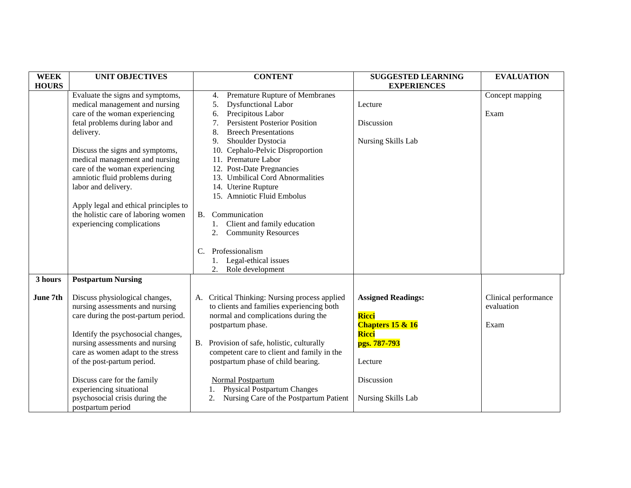| <b>WEEK</b>  | <b>UNIT OBJECTIVES</b>                                     | <b>CONTENT</b>                                                                     | <b>SUGGESTED LEARNING</b>   | <b>EVALUATION</b>    |
|--------------|------------------------------------------------------------|------------------------------------------------------------------------------------|-----------------------------|----------------------|
| <b>HOURS</b> |                                                            |                                                                                    | <b>EXPERIENCES</b>          |                      |
|              | Evaluate the signs and symptoms,                           | Premature Rupture of Membranes<br>4.                                               |                             | Concept mapping      |
|              | medical management and nursing                             | <b>Dysfunctional Labor</b><br>5.                                                   | Lecture                     |                      |
|              | care of the woman experiencing                             | Precipitous Labor<br>6.                                                            |                             | Exam                 |
|              | fetal problems during labor and                            | <b>Persistent Posterior Position</b><br>7.                                         | Discussion                  |                      |
|              | delivery.                                                  | <b>Breech Presentations</b><br>8.                                                  |                             |                      |
|              |                                                            | Shoulder Dystocia<br>9.                                                            | Nursing Skills Lab          |                      |
|              | Discuss the signs and symptoms,                            | 10. Cephalo-Pelvic Disproportion                                                   |                             |                      |
|              | medical management and nursing                             | 11. Premature Labor                                                                |                             |                      |
|              | care of the woman experiencing                             | 12. Post-Date Pregnancies                                                          |                             |                      |
|              | amniotic fluid problems during                             | 13. Umbilical Cord Abnormalities                                                   |                             |                      |
|              | labor and delivery.                                        | 14. Uterine Rupture                                                                |                             |                      |
|              |                                                            | 15. Amniotic Fluid Embolus                                                         |                             |                      |
|              | Apply legal and ethical principles to                      |                                                                                    |                             |                      |
|              | the holistic care of laboring women                        | Communication<br><b>B.</b>                                                         |                             |                      |
|              | experiencing complications                                 | Client and family education                                                        |                             |                      |
|              |                                                            | 2. Community Resources                                                             |                             |                      |
|              |                                                            |                                                                                    |                             |                      |
|              |                                                            | Professionalism<br>C.                                                              |                             |                      |
|              |                                                            | 1. Legal-ethical issues                                                            |                             |                      |
|              |                                                            | 2.<br>Role development                                                             |                             |                      |
| 3 hours      | <b>Postpartum Nursing</b>                                  |                                                                                    |                             |                      |
|              |                                                            |                                                                                    |                             |                      |
| June 7th     | Discuss physiological changes,                             | A. Critical Thinking: Nursing process applied                                      | <b>Assigned Readings:</b>   | Clinical performance |
|              | nursing assessments and nursing                            | to clients and families experiencing both                                          |                             | evaluation           |
|              | care during the post-partum period.                        | normal and complications during the                                                | Ricci                       |                      |
|              |                                                            | postpartum phase.                                                                  | <b>Chapters 15 &amp; 16</b> | Exam                 |
|              | Identify the psychosocial changes,                         |                                                                                    | Ricci                       |                      |
|              | nursing assessments and nursing                            | B. Provision of safe, holistic, culturally                                         | pgs. 787-793                |                      |
|              | care as women adapt to the stress                          | competent care to client and family in the                                         |                             |                      |
|              | of the post-partum period.                                 | postpartum phase of child bearing.                                                 | Lecture                     |                      |
|              | Discuss care for the family                                | Normal Postpartum                                                                  | Discussion                  |                      |
|              |                                                            |                                                                                    |                             |                      |
|              | experiencing situational<br>psychosocial crisis during the | <b>Physical Postpartum Changes</b><br>Nursing Care of the Postpartum Patient<br>2. | Nursing Skills Lab          |                      |
|              |                                                            |                                                                                    |                             |                      |
|              | postpartum period                                          |                                                                                    |                             |                      |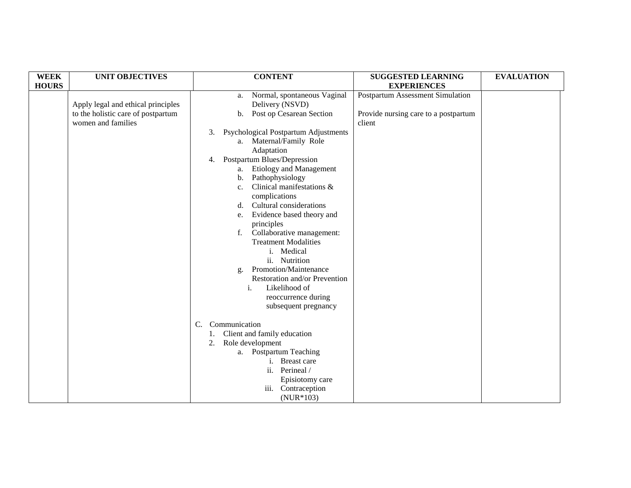| <b>WEEK</b>  | <b>UNIT OBJECTIVES</b>                                                                         | <b>CONTENT</b>                                                                                                                                                                                                                                                                                                                                                                                                                                                                                                                                                                                                                                            | <b>SUGGESTED LEARNING</b>                                                          | <b>EVALUATION</b> |
|--------------|------------------------------------------------------------------------------------------------|-----------------------------------------------------------------------------------------------------------------------------------------------------------------------------------------------------------------------------------------------------------------------------------------------------------------------------------------------------------------------------------------------------------------------------------------------------------------------------------------------------------------------------------------------------------------------------------------------------------------------------------------------------------|------------------------------------------------------------------------------------|-------------------|
| <b>HOURS</b> |                                                                                                |                                                                                                                                                                                                                                                                                                                                                                                                                                                                                                                                                                                                                                                           | <b>EXPERIENCES</b>                                                                 |                   |
|              | Apply legal and ethical principles<br>to the holistic care of postpartum<br>women and families | Normal, spontaneous Vaginal<br>a.<br>Delivery (NSVD)<br>b. Post op Cesarean Section<br>Psychological Postpartum Adjustments<br>3.<br>a. Maternal/Family Role<br>Adaptation<br>4. Postpartum Blues/Depression<br>a. Etiology and Management<br>Pathophysiology<br>b.<br>Clinical manifestations &<br>c.<br>complications<br>Cultural considerations<br>d.<br>Evidence based theory and<br>e.<br>principles<br>f. Collaborative management:<br><b>Treatment Modalities</b><br>i. Medical<br>ii. Nutrition<br>Promotion/Maintenance<br>g.<br>Restoration and/or Prevention<br>Likelihood of<br>$\mathbf{i}$ .<br>reoccurrence during<br>subsequent pregnancy | Postpartum Assessment Simulation<br>Provide nursing care to a postpartum<br>client |                   |
|              |                                                                                                | Communication<br>C.<br>Client and family education<br>1.<br>Role development<br>2.<br>a. Postpartum Teaching<br>i. Breast care<br>ii. Perineal /<br>Episiotomy care<br>iii. Contraception<br>$(NUR*103)$                                                                                                                                                                                                                                                                                                                                                                                                                                                  |                                                                                    |                   |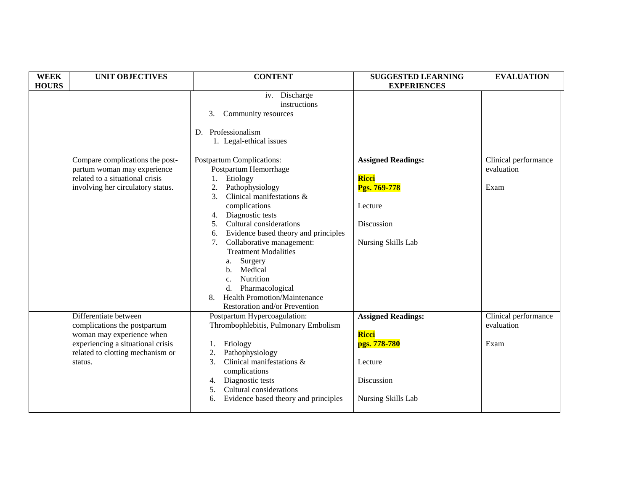| <b>WEEK</b><br><b>HOURS</b> | <b>UNIT OBJECTIVES</b>                                                                                                                                                 | <b>CONTENT</b>                                                                                                                                                                                                                                                                                                                                                                                                                                                                     | <b>SUGGESTED LEARNING</b><br><b>EXPERIENCES</b>                                                          | <b>EVALUATION</b>                          |
|-----------------------------|------------------------------------------------------------------------------------------------------------------------------------------------------------------------|------------------------------------------------------------------------------------------------------------------------------------------------------------------------------------------------------------------------------------------------------------------------------------------------------------------------------------------------------------------------------------------------------------------------------------------------------------------------------------|----------------------------------------------------------------------------------------------------------|--------------------------------------------|
|                             |                                                                                                                                                                        | iv. Discharge<br>instructions<br>Community resources<br>3.<br>D. Professionalism<br>1. Legal-ethical issues                                                                                                                                                                                                                                                                                                                                                                        |                                                                                                          |                                            |
|                             | Compare complications the post-<br>partum woman may experience<br>related to a situational crisis<br>involving her circulatory status.                                 | Postpartum Complications:<br>Postpartum Hemorrhage<br>Etiology<br>Pathophysiology<br>2.<br>Clinical manifestations &<br>3.<br>complications<br>Diagnostic tests<br>4.<br>Cultural considerations<br>5.<br>Evidence based theory and principles<br>6.<br>Collaborative management:<br>7.<br><b>Treatment Modalities</b><br>Surgery<br>а.<br>Medical<br>b.<br>Nutrition<br>c.<br>Pharmacological<br>d.<br><b>Health Promotion/Maintenance</b><br>8.<br>Restoration and/or Prevention | <b>Assigned Readings:</b><br>Ricci<br>Pgs. 769-778<br>Lecture<br>Discussion<br>Nursing Skills Lab        | Clinical performance<br>evaluation<br>Exam |
|                             | Differentiate between<br>complications the postpartum<br>woman may experience when<br>experiencing a situational crisis<br>related to clotting mechanism or<br>status. | Postpartum Hypercoagulation:<br>Thrombophlebitis, Pulmonary Embolism<br>Etiology<br>1.<br>Pathophysiology<br>2.<br>Clinical manifestations &<br>3.<br>complications<br>Diagnostic tests<br>4.<br>Cultural considerations<br>5.<br>Evidence based theory and principles<br>6.                                                                                                                                                                                                       | <b>Assigned Readings:</b><br><b>Ricci</b><br>pgs. 778-780<br>Lecture<br>Discussion<br>Nursing Skills Lab | Clinical performance<br>evaluation<br>Exam |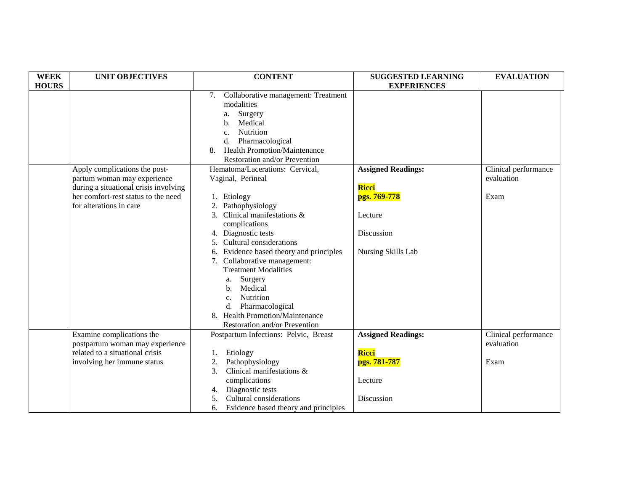| <b>WEEK</b>  | <b>UNIT OBJECTIVES</b>                | <b>CONTENT</b>                             | <b>SUGGESTED LEARNING</b> | <b>EVALUATION</b>    |
|--------------|---------------------------------------|--------------------------------------------|---------------------------|----------------------|
| <b>HOURS</b> |                                       |                                            | <b>EXPERIENCES</b>        |                      |
|              |                                       | Collaborative management: Treatment<br>7.  |                           |                      |
|              |                                       | modalities                                 |                           |                      |
|              |                                       | Surgery<br>a.                              |                           |                      |
|              |                                       | Medical<br>b.                              |                           |                      |
|              |                                       | <b>Nutrition</b><br>c.                     |                           |                      |
|              |                                       | Pharmacological<br>d.                      |                           |                      |
|              |                                       | <b>Health Promotion/Maintenance</b><br>8.  |                           |                      |
|              |                                       | Restoration and/or Prevention              |                           |                      |
|              | Apply complications the post-         | Hematoma/Lacerations: Cervical,            | <b>Assigned Readings:</b> | Clinical performance |
|              | partum woman may experience           | Vaginal, Perineal                          |                           | evaluation           |
|              | during a situational crisis involving |                                            | <b>Ricci</b>              |                      |
|              | her comfort-rest status to the need   | 1. Etiology                                | pgs. 769-778              | Exam                 |
|              | for alterations in care               | Pathophysiology                            |                           |                      |
|              |                                       | 3. Clinical manifestations &               | Lecture                   |                      |
|              |                                       | complications                              |                           |                      |
|              |                                       | 4. Diagnostic tests                        | Discussion                |                      |
|              |                                       | 5. Cultural considerations                 |                           |                      |
|              |                                       | 6. Evidence based theory and principles    | Nursing Skills Lab        |                      |
|              |                                       | 7. Collaborative management:               |                           |                      |
|              |                                       | <b>Treatment Modalities</b>                |                           |                      |
|              |                                       | Surgery<br>a.                              |                           |                      |
|              |                                       | Medical<br>h.                              |                           |                      |
|              |                                       | <b>Nutrition</b><br>c.                     |                           |                      |
|              |                                       | Pharmacological<br>d.                      |                           |                      |
|              |                                       | 8. Health Promotion/Maintenance            |                           |                      |
|              |                                       | Restoration and/or Prevention              |                           |                      |
|              | Examine complications the             | Postpartum Infections: Pelvic, Breast      | <b>Assigned Readings:</b> | Clinical performance |
|              | postpartum woman may experience       |                                            |                           | evaluation           |
|              | related to a situational crisis       | Etiology                                   | Ricci                     |                      |
|              | involving her immune status           | Pathophysiology<br>2.                      | pgs. 781-787              | Exam                 |
|              |                                       | Clinical manifestations &<br>3.            |                           |                      |
|              |                                       | complications                              | Lecture                   |                      |
|              |                                       | Diagnostic tests<br>4.                     |                           |                      |
|              |                                       | Cultural considerations<br>5.              | Discussion                |                      |
|              |                                       | Evidence based theory and principles<br>6. |                           |                      |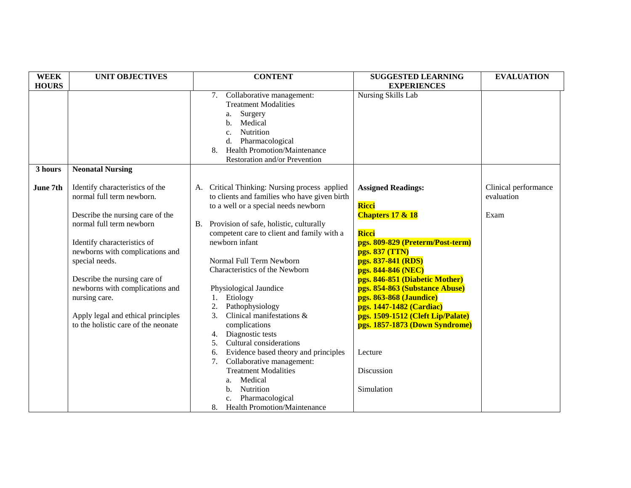| <b>WEEK</b>  | <b>UNIT OBJECTIVES</b>              | <b>CONTENT</b>                                | <b>SUGGESTED LEARNING</b>         | <b>EVALUATION</b>    |
|--------------|-------------------------------------|-----------------------------------------------|-----------------------------------|----------------------|
| <b>HOURS</b> |                                     |                                               | <b>EXPERIENCES</b>                |                      |
|              |                                     | Collaborative management:<br>7.               | Nursing Skills Lab                |                      |
|              |                                     | <b>Treatment Modalities</b>                   |                                   |                      |
|              |                                     | Surgery<br>a.                                 |                                   |                      |
|              |                                     | Medical<br>b.                                 |                                   |                      |
|              |                                     | Nutrition<br>c.                               |                                   |                      |
|              |                                     | Pharmacological<br>d.                         |                                   |                      |
|              |                                     | <b>Health Promotion/Maintenance</b><br>8.     |                                   |                      |
|              |                                     | Restoration and/or Prevention                 |                                   |                      |
| 3 hours      | <b>Neonatal Nursing</b>             |                                               |                                   |                      |
|              |                                     |                                               |                                   |                      |
| June 7th     | Identify characteristics of the     | A. Critical Thinking: Nursing process applied | <b>Assigned Readings:</b>         | Clinical performance |
|              | normal full term newborn.           | to clients and families who have given birth  |                                   | evaluation           |
|              |                                     | to a well or a special needs newborn          | <b>Ricci</b>                      |                      |
|              | Describe the nursing care of the    |                                               | <b>Chapters 17 &amp; 18</b>       | Exam                 |
|              | normal full term newborn            | B. Provision of safe, holistic, culturally    |                                   |                      |
|              |                                     | competent care to client and family with a    | <b>Ricci</b>                      |                      |
|              | Identify characteristics of         | newborn infant                                | pgs. 809-829 (Preterm/Post-term)  |                      |
|              | newborns with complications and     |                                               | pgs. 837 (TTN)                    |                      |
|              | special needs.                      | Normal Full Term Newborn                      | pgs. 837-841 (RDS)                |                      |
|              |                                     | Characteristics of the Newborn                | pgs. 844-846 (NEC)                |                      |
|              | Describe the nursing care of        |                                               | pgs. 846-851 (Diabetic Mother)    |                      |
|              | newborns with complications and     | Physiological Jaundice                        | pgs. 854-863 (Substance Abuse)    |                      |
|              | nursing care.                       | Etiology<br>1.                                | pgs. 863-868 (Jaundice)           |                      |
|              |                                     | 2.<br>Pathophysiology                         | pgs. 1447-1482 (Cardiac)          |                      |
|              | Apply legal and ethical principles  | Clinical manifestations &<br>$\mathfrak{Z}$ . | pgs. 1509-1512 (Cleft Lip/Palate) |                      |
|              | to the holistic care of the neonate | complications                                 | pgs. 1857-1873 (Down Syndrome)    |                      |
|              |                                     | Diagnostic tests<br>4.                        |                                   |                      |
|              |                                     | Cultural considerations<br>5.                 |                                   |                      |
|              |                                     | Evidence based theory and principles<br>6.    | Lecture                           |                      |
|              |                                     | Collaborative management:<br>7.               |                                   |                      |
|              |                                     | <b>Treatment Modalities</b>                   | Discussion                        |                      |
|              |                                     | Medical<br>a.                                 |                                   |                      |
|              |                                     | Nutrition<br>b.                               | Simulation                        |                      |
|              |                                     | Pharmacological<br>$\mathbf{c}$ .             |                                   |                      |
|              |                                     | <b>Health Promotion/Maintenance</b><br>8.     |                                   |                      |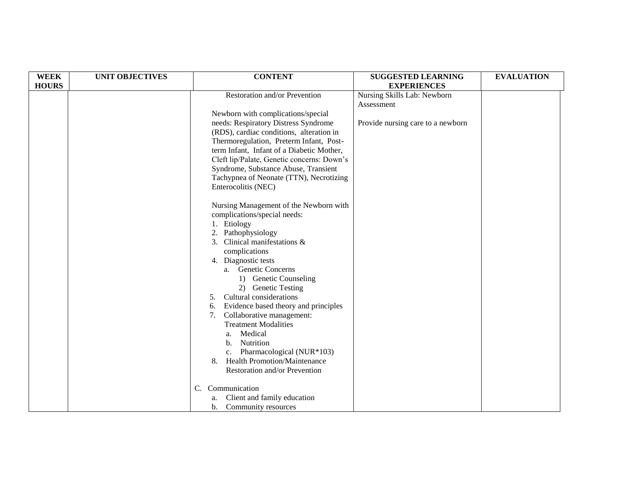| <b>WEEK</b>  | <b>UNIT OBJECTIVES</b> | <b>CONTENT</b>                             | <b>SUGGESTED LEARNING</b>         | <b>EVALUATION</b> |
|--------------|------------------------|--------------------------------------------|-----------------------------------|-------------------|
| <b>HOURS</b> |                        |                                            | <b>EXPERIENCES</b>                |                   |
|              |                        | Restoration and/or Prevention              | Nursing Skills Lab: Newborn       |                   |
|              |                        |                                            | Assessment                        |                   |
|              |                        | Newborn with complications/special         |                                   |                   |
|              |                        | needs: Respiratory Distress Syndrome       | Provide nursing care to a newborn |                   |
|              |                        | (RDS), cardiac conditions, alteration in   |                                   |                   |
|              |                        | Thermoregulation, Preterm Infant, Post-    |                                   |                   |
|              |                        | term Infant, Infant of a Diabetic Mother,  |                                   |                   |
|              |                        | Cleft lip/Palate, Genetic concerns: Down's |                                   |                   |
|              |                        | Syndrome, Substance Abuse, Transient       |                                   |                   |
|              |                        | Tachypnea of Neonate (TTN), Necrotizing    |                                   |                   |
|              |                        | Enterocolitis (NEC)                        |                                   |                   |
|              |                        |                                            |                                   |                   |
|              |                        | Nursing Management of the Newborn with     |                                   |                   |
|              |                        | complications/special needs:               |                                   |                   |
|              |                        | 1. Etiology                                |                                   |                   |
|              |                        | Pathophysiology<br>2.                      |                                   |                   |
|              |                        | 3. Clinical manifestations &               |                                   |                   |
|              |                        | complications                              |                                   |                   |
|              |                        | 4. Diagnostic tests                        |                                   |                   |
|              |                        | a. Genetic Concerns                        |                                   |                   |
|              |                        | 1) Genetic Counseling                      |                                   |                   |
|              |                        | 2) Genetic Testing                         |                                   |                   |
|              |                        | Cultural considerations<br>5.              |                                   |                   |
|              |                        | Evidence based theory and principles<br>6. |                                   |                   |
|              |                        | Collaborative management:<br>7.            |                                   |                   |
|              |                        | <b>Treatment Modalities</b>                |                                   |                   |
|              |                        | Medical<br>a.                              |                                   |                   |
|              |                        | Nutrition<br>b.                            |                                   |                   |
|              |                        | Pharmacological (NUR*103)<br>c.            |                                   |                   |
|              |                        | <b>Health Promotion/Maintenance</b><br>8.  |                                   |                   |
|              |                        | Restoration and/or Prevention              |                                   |                   |
|              |                        |                                            |                                   |                   |
|              | C.                     | Communication                              |                                   |                   |
|              |                        | Client and family education<br>a.          |                                   |                   |
|              |                        | Community resources<br>b.                  |                                   |                   |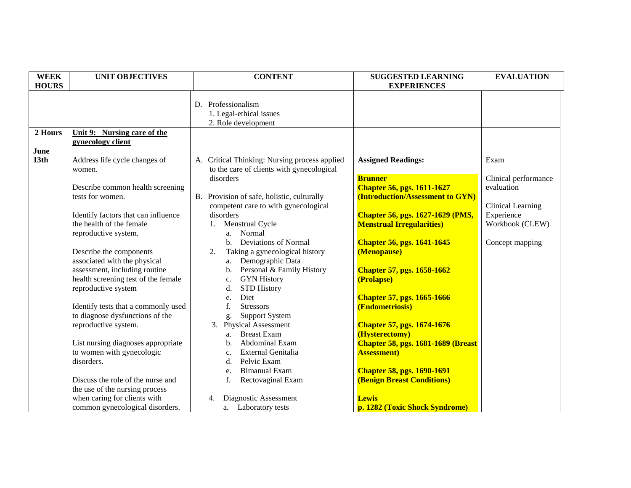| <b>WEEK</b>              | <b>UNIT OBJECTIVES</b>                                          | <b>CONTENT</b>                                                       | <b>SUGGESTED LEARNING</b>                                         | <b>EVALUATION</b>    |
|--------------------------|-----------------------------------------------------------------|----------------------------------------------------------------------|-------------------------------------------------------------------|----------------------|
| <b>HOURS</b>             |                                                                 |                                                                      | <b>EXPERIENCES</b>                                                |                      |
|                          |                                                                 | D. Professionalism<br>1. Legal-ethical issues<br>2. Role development |                                                                   |                      |
| 2 Hours                  | Unit 9: Nursing care of the                                     |                                                                      |                                                                   |                      |
| June<br>13 <sub>th</sub> | gynecology client<br>Address life cycle changes of              | A. Critical Thinking: Nursing process applied                        | <b>Assigned Readings:</b>                                         | Exam                 |
|                          | women.                                                          | to the care of clients with gynecological                            |                                                                   |                      |
|                          |                                                                 | disorders                                                            | <b>Brunner</b>                                                    | Clinical performance |
|                          | Describe common health screening                                |                                                                      | <b>Chapter 56, pgs. 1611-1627</b>                                 | evaluation           |
|                          | tests for women.                                                | B. Provision of safe, holistic, culturally                           | (Introduction/Assessment to GYN)                                  |                      |
|                          |                                                                 | competent care to with gynecological                                 |                                                                   | Clinical Learning    |
|                          | Identify factors that can influence                             | disorders                                                            | <b>Chapter 56, pgs. 1627-1629 (PMS,</b>                           | Experience           |
|                          | the health of the female                                        | Menstrual Cycle<br>1.                                                | <b>Menstrual Irregularities</b> )                                 | Workbook (CLEW)      |
|                          | reproductive system.                                            | Normal<br>a.<br><b>Deviations of Normal</b>                          |                                                                   |                      |
|                          | Describe the components                                         | $h_{\cdot}$<br>Taking a gynecological history<br>2.                  | <b>Chapter 56, pgs. 1641-1645</b><br>(Menopause)                  | Concept mapping      |
|                          | associated with the physical                                    | Demographic Data<br>a.                                               |                                                                   |                      |
|                          | assessment, including routine                                   | Personal & Family History<br>b.                                      | <b>Chapter 57, pgs. 1658-1662</b>                                 |                      |
|                          | health screening test of the female                             | <b>GYN History</b><br>c.                                             | (Prolapse)                                                        |                      |
|                          | reproductive system                                             | <b>STD History</b><br>d.                                             |                                                                   |                      |
|                          |                                                                 | Diet<br>e.                                                           | <b>Chapter 57, pgs. 1665-1666</b>                                 |                      |
|                          | Identify tests that a commonly used                             | f.<br><b>Stressors</b>                                               | (Endometriosis)                                                   |                      |
|                          | to diagnose dysfunctions of the                                 | <b>Support System</b><br>g.                                          |                                                                   |                      |
|                          | reproductive system.                                            | 3. Physical Assessment                                               | <b>Chapter 57, pgs. 1674-1676</b>                                 |                      |
|                          |                                                                 | <b>Breast Exam</b><br>a.                                             | (Hysterectomy)                                                    |                      |
|                          | List nursing diagnoses appropriate<br>to women with gynecologic | Abdominal Exam<br>b.<br>External Genitalia                           | <b>Chapter 58, pgs. 1681-1689 (Breast)</b><br><b>Assessment</b> ) |                      |
|                          | disorders.                                                      | c.<br>Pelvic Exam<br>d.                                              |                                                                   |                      |
|                          |                                                                 | <b>Bimanual Exam</b><br>e.                                           | <b>Chapter 58, pgs. 1690-1691</b>                                 |                      |
|                          | Discuss the role of the nurse and                               | Rectovaginal Exam<br>f.                                              | <b>(Benign Breast Conditions)</b>                                 |                      |
|                          | the use of the nursing process                                  |                                                                      |                                                                   |                      |
|                          | when caring for clients with                                    | Diagnostic Assessment<br>4.                                          | <b>Lewis</b>                                                      |                      |
|                          | common gynecological disorders.                                 | a. Laboratory tests                                                  | p. 1282 (Toxic Shock Syndrome)                                    |                      |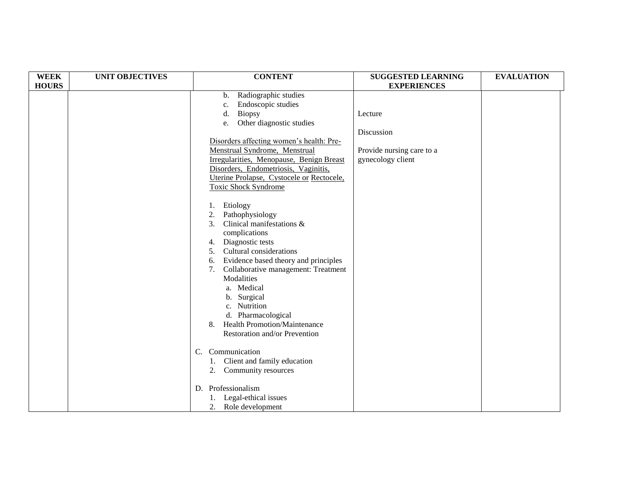| <b>WEEK</b>  | <b>UNIT OBJECTIVES</b> | <b>CONTENT</b>                             | <b>SUGGESTED LEARNING</b> | <b>EVALUATION</b> |
|--------------|------------------------|--------------------------------------------|---------------------------|-------------------|
| <b>HOURS</b> |                        |                                            | <b>EXPERIENCES</b>        |                   |
|              |                        | Radiographic studies<br>b.                 |                           |                   |
|              |                        | Endoscopic studies<br>c.                   |                           |                   |
|              |                        | <b>Biopsy</b><br>d.                        | Lecture                   |                   |
|              |                        | Other diagnostic studies<br>e.             |                           |                   |
|              |                        |                                            | Discussion                |                   |
|              |                        | Disorders affecting women's health: Pre-   |                           |                   |
|              |                        | Menstrual Syndrome, Menstrual              | Provide nursing care to a |                   |
|              |                        | Irregularities, Menopause, Benign Breast   | gynecology client         |                   |
|              |                        | Disorders, Endometriosis, Vaginitis,       |                           |                   |
|              |                        | Uterine Prolapse, Cystocele or Rectocele,  |                           |                   |
|              |                        | <b>Toxic Shock Syndrome</b>                |                           |                   |
|              |                        | Etiology<br>1.                             |                           |                   |
|              |                        | Pathophysiology<br>2.                      |                           |                   |
|              |                        | Clinical manifestations &<br>3.            |                           |                   |
|              |                        | complications                              |                           |                   |
|              |                        | Diagnostic tests<br>4.                     |                           |                   |
|              |                        | Cultural considerations<br>5.              |                           |                   |
|              |                        | Evidence based theory and principles<br>6. |                           |                   |
|              |                        | Collaborative management: Treatment<br>7.  |                           |                   |
|              |                        | Modalities                                 |                           |                   |
|              |                        | a. Medical                                 |                           |                   |
|              |                        | b. Surgical                                |                           |                   |
|              |                        | c. Nutrition                               |                           |                   |
|              |                        | d. Pharmacological                         |                           |                   |
|              |                        | <b>Health Promotion/Maintenance</b><br>8.  |                           |                   |
|              |                        | Restoration and/or Prevention              |                           |                   |
|              |                        | $\mathcal{C}$ .<br>Communication           |                           |                   |
|              |                        | Client and family education<br>1.          |                           |                   |
|              |                        | 2. Community resources                     |                           |                   |
|              |                        | D. Professionalism                         |                           |                   |
|              |                        | Legal-ethical issues                       |                           |                   |
|              |                        | 2.<br>Role development                     |                           |                   |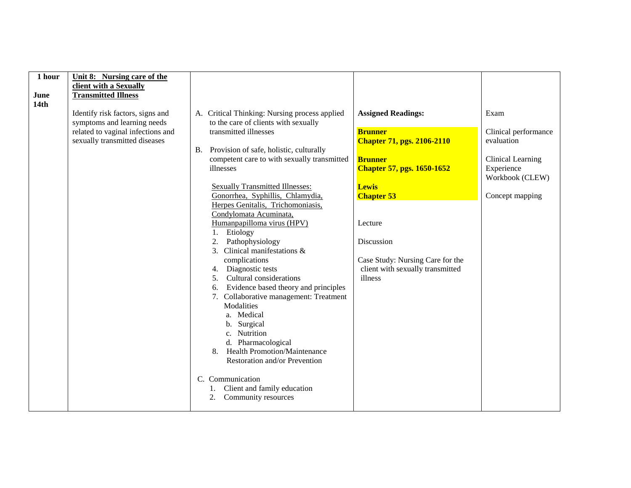| 1 hour<br>June<br>14 <sub>th</sub> | Unit 8: Nursing care of the<br>client with a Sexually<br><b>Transmitted Illness</b><br>Identify risk factors, signs and<br>symptoms and learning needs<br>related to vaginal infections and<br>sexually transmitted diseases | A. Critical Thinking: Nursing process applied<br>to the care of clients with sexually<br>transmitted illnesses<br>B. Provision of safe, holistic, culturally<br>competent care to with sexually transmitted<br>illnesses<br><b>Sexually Transmitted Illnesses:</b><br>Gonorrhea, Syphillis, Chlamydia,<br>Herpes Genitalis, Trichomoniasis,<br>Condylomata Acuminata,<br>Humanpapilloma virus (HPV)<br>Etiology<br>1.<br>Pathophysiology<br>2.<br>3. Clinical manifestations &<br>complications<br>Diagnostic tests<br>Cultural considerations<br>5 <sub>1</sub><br>Evidence based theory and principles<br>6. | <b>Assigned Readings:</b><br><b>Brunner</b><br><b>Chapter 71, pgs. 2106-2110</b><br><b>Brunner</b><br><b>Chapter 57, pgs. 1650-1652</b><br><b>Lewis</b><br><b>Chapter 53</b><br>Lecture<br>Discussion<br>Case Study: Nursing Care for the<br>client with sexually transmitted<br>illness | Exam<br>Clinical performance<br>evaluation<br>Clinical Learning<br>Experience<br>Workbook (CLEW)<br>Concept mapping |
|------------------------------------|------------------------------------------------------------------------------------------------------------------------------------------------------------------------------------------------------------------------------|----------------------------------------------------------------------------------------------------------------------------------------------------------------------------------------------------------------------------------------------------------------------------------------------------------------------------------------------------------------------------------------------------------------------------------------------------------------------------------------------------------------------------------------------------------------------------------------------------------------|------------------------------------------------------------------------------------------------------------------------------------------------------------------------------------------------------------------------------------------------------------------------------------------|---------------------------------------------------------------------------------------------------------------------|
|                                    |                                                                                                                                                                                                                              | 7. Collaborative management: Treatment<br>Modalities<br>a. Medical<br>b. Surgical<br>c. Nutrition<br>d. Pharmacological<br><b>Health Promotion/Maintenance</b><br>8.<br>Restoration and/or Prevention<br>C. Communication<br>Client and family education<br>1.<br>Community resources<br>2.                                                                                                                                                                                                                                                                                                                    |                                                                                                                                                                                                                                                                                          |                                                                                                                     |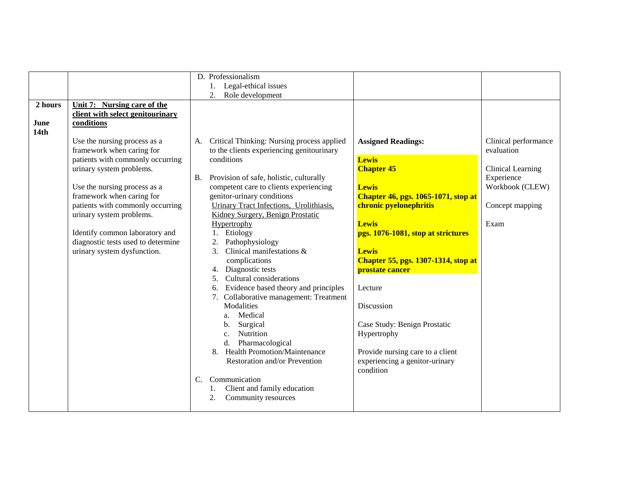|         |                                    | D. Professionalism                            |                                            |                      |
|---------|------------------------------------|-----------------------------------------------|--------------------------------------------|----------------------|
|         |                                    |                                               |                                            |                      |
|         |                                    | 1. Legal-ethical issues                       |                                            |                      |
|         |                                    | Role development<br>2.                        |                                            |                      |
| 2 hours | Unit 7: Nursing care of the        |                                               |                                            |                      |
|         | client with select genitourinary   |                                               |                                            |                      |
| June    | conditions                         |                                               |                                            |                      |
| 14th    |                                    |                                               |                                            |                      |
|         | Use the nursing process as a       | A. Critical Thinking: Nursing process applied | <b>Assigned Readings:</b>                  | Clinical performance |
|         | framework when caring for          | to the clients experiencing genitourinary     |                                            | evaluation           |
|         | patients with commonly occurring   | conditions                                    | <b>Lewis</b>                               |                      |
|         | urinary system problems.           |                                               | <b>Chapter 45</b>                          | Clinical Learning    |
|         |                                    | B. Provision of safe, holistic, culturally    |                                            | Experience           |
|         | Use the nursing process as a       | competent care to clients experiencing        | <b>Lewis</b>                               | Workbook (CLEW)      |
|         | framework when caring for          | genitor-urinary conditions                    | <b>Chapter 46, pgs. 1065-1071, stop at</b> |                      |
|         | patients with commonly occurring   | Urinary Tract Infections, Urolithiasis,       | chronic pyelonephritis                     | Concept mapping      |
|         | urinary system problems.           | Kidney Surgery, Benign Prostatic              |                                            |                      |
|         |                                    |                                               |                                            |                      |
|         |                                    | Hypertrophy                                   | <b>Lewis</b>                               | Exam                 |
|         | Identify common laboratory and     | 1. Etiology                                   | pgs. 1076-1081, stop at strictures         |                      |
|         | diagnostic tests used to determine | Pathophysiology<br>2.                         |                                            |                      |
|         | urinary system dysfunction.        | Clinical manifestations &<br>3.               | <b>Lewis</b>                               |                      |
|         |                                    | complications                                 | Chapter 55, pgs. 1307-1314, stop at        |                      |
|         |                                    | Diagnostic tests<br>4.                        | prostate cancer                            |                      |
|         |                                    | Cultural considerations<br>5.                 |                                            |                      |
|         |                                    | Evidence based theory and principles          | Lecture                                    |                      |
|         |                                    | 7. Collaborative management: Treatment        |                                            |                      |
|         |                                    | Modalities                                    | Discussion                                 |                      |
|         |                                    | Medical<br>a.                                 |                                            |                      |
|         |                                    | Surgical<br>$\mathbf{b}$ .                    | Case Study: Benign Prostatic               |                      |
|         |                                    | Nutrition<br>$C_{\cdot}$                      | Hypertrophy                                |                      |
|         |                                    | d. Pharmacological                            |                                            |                      |
|         |                                    | 8. Health Promotion/Maintenance               | Provide nursing care to a client           |                      |
|         |                                    | Restoration and/or Prevention                 | experiencing a genitor-urinary             |                      |
|         |                                    |                                               | condition                                  |                      |
|         |                                    | Communication<br>$C_{\cdot}$                  |                                            |                      |
|         |                                    | Client and family education                   |                                            |                      |
|         |                                    | Community resources<br>2.                     |                                            |                      |
|         |                                    |                                               |                                            |                      |
|         |                                    |                                               |                                            |                      |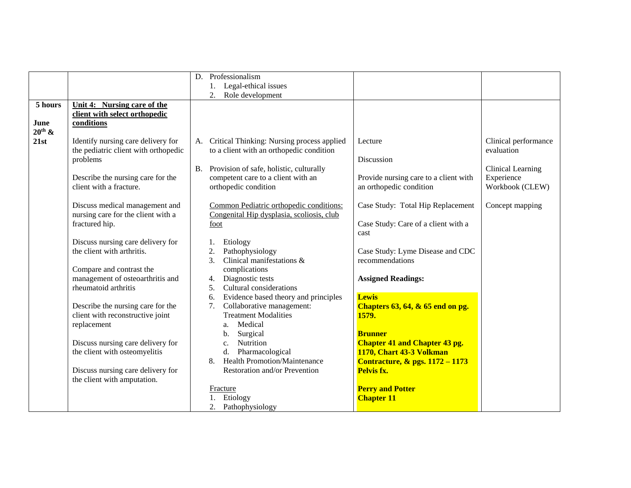|                    |                                      |    | D. Professionalism                                           |                                            |                          |
|--------------------|--------------------------------------|----|--------------------------------------------------------------|--------------------------------------------|--------------------------|
|                    |                                      |    | 1. Legal-ethical issues                                      |                                            |                          |
|                    |                                      |    |                                                              |                                            |                          |
| 5 hours            |                                      |    | Role development<br>2.                                       |                                            |                          |
|                    | Unit 4: Nursing care of the          |    |                                                              |                                            |                          |
|                    | client with select orthopedic        |    |                                                              |                                            |                          |
| June               | conditions                           |    |                                                              |                                            |                          |
| $20^{\text{th}}$ & |                                      |    |                                                              |                                            |                          |
| 21st               | Identify nursing care delivery for   | A. | Critical Thinking: Nursing process applied                   | Lecture                                    | Clinical performance     |
|                    | the pediatric client with orthopedic |    | to a client with an orthopedic condition                     |                                            | evaluation               |
|                    | problems                             |    |                                                              | Discussion                                 |                          |
|                    |                                      |    | B. Provision of safe, holistic, culturally                   |                                            | <b>Clinical Learning</b> |
|                    | Describe the nursing care for the    |    | competent care to a client with an                           | Provide nursing care to a client with      | Experience               |
|                    | client with a fracture.              |    | orthopedic condition                                         | an orthopedic condition                    | Workbook (CLEW)          |
|                    |                                      |    |                                                              |                                            |                          |
|                    | Discuss medical management and       |    | Common Pediatric orthopedic conditions:                      | Case Study: Total Hip Replacement          | Concept mapping          |
|                    | nursing care for the client with a   |    | Congenital Hip dysplasia, scoliosis, club                    |                                            |                          |
|                    | fractured hip.                       |    | foot                                                         | Case Study: Care of a client with a        |                          |
|                    |                                      |    |                                                              | cast                                       |                          |
|                    | Discuss nursing care delivery for    |    | Etiology<br>1.                                               |                                            |                          |
|                    | the client with arthritis.           |    | 2.<br>Pathophysiology                                        | Case Study: Lyme Disease and CDC           |                          |
|                    |                                      |    | 3.<br>Clinical manifestations &                              | recommendations                            |                          |
|                    | Compare and contrast the             |    | complications                                                |                                            |                          |
|                    | management of osteoarthritis and     |    | Diagnostic tests<br>4.                                       | <b>Assigned Readings:</b>                  |                          |
|                    | rheumatoid arthritis                 |    | Cultural considerations<br>5.                                |                                            |                          |
|                    |                                      |    | Evidence based theory and principles<br>6.                   | <b>Lewis</b>                               |                          |
|                    | Describe the nursing care for the    |    | Collaborative management:<br>7.                              | Chapters $63, 64, \& 65$ end on pg.        |                          |
|                    | client with reconstructive joint     |    | <b>Treatment Modalities</b>                                  | 1579.                                      |                          |
|                    | replacement                          |    | Medical                                                      |                                            |                          |
|                    |                                      |    | a.<br>Surgical<br>b.                                         | <b>Brunner</b>                             |                          |
|                    |                                      |    | Nutrition                                                    |                                            |                          |
|                    | Discuss nursing care delivery for    |    | c.                                                           | <b>Chapter 41 and Chapter 43 pg.</b>       |                          |
|                    | the client with osteomyelitis        |    | Pharmacological<br>d.<br><b>Health Promotion/Maintenance</b> | 1170, Chart 43-3 Volkman                   |                          |
|                    |                                      |    | 8.                                                           | <b>Contracture, &amp; pgs. 1172 - 1173</b> |                          |
|                    | Discuss nursing care delivery for    |    | Restoration and/or Prevention                                | Pelvis fx.                                 |                          |
|                    | the client with amputation.          |    |                                                              |                                            |                          |
|                    |                                      |    | Fracture                                                     | <b>Perry and Potter</b>                    |                          |
|                    |                                      |    | 1. Etiology                                                  | <b>Chapter 11</b>                          |                          |
|                    |                                      |    | 2. Pathophysiology                                           |                                            |                          |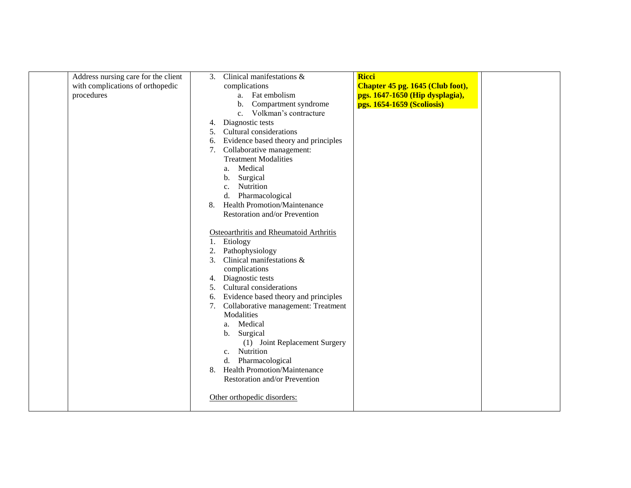| Address nursing care for the client | 3. | Clinical manifestations &               | <b>Ricci</b>                     |  |
|-------------------------------------|----|-----------------------------------------|----------------------------------|--|
| with complications of orthopedic    |    | complications                           | Chapter 45 pg. 1645 (Club foot), |  |
| procedures                          |    | a. Fat embolism                         | pgs. 1647-1650 (Hip dysplagia),  |  |
|                                     |    | b. Compartment syndrome                 | pgs. 1654-1659 (Scoliosis)       |  |
|                                     |    | c. Volkman's contracture                |                                  |  |
|                                     | 4. | Diagnostic tests                        |                                  |  |
|                                     | 5. | Cultural considerations                 |                                  |  |
|                                     | 6. | Evidence based theory and principles    |                                  |  |
|                                     | 7. | Collaborative management:               |                                  |  |
|                                     |    | <b>Treatment Modalities</b>             |                                  |  |
|                                     |    | Medical<br>a.                           |                                  |  |
|                                     |    | Surgical<br>$\mathbf{b}$ .              |                                  |  |
|                                     |    | Nutrition<br>$\mathbf{c}$ .             |                                  |  |
|                                     |    | d. Pharmacological                      |                                  |  |
|                                     | 8. | <b>Health Promotion/Maintenance</b>     |                                  |  |
|                                     |    | Restoration and/or Prevention           |                                  |  |
|                                     |    |                                         |                                  |  |
|                                     |    | Osteoarthritis and Rheumatoid Arthritis |                                  |  |
|                                     |    | 1. Etiology                             |                                  |  |
|                                     | 2. | Pathophysiology                         |                                  |  |
|                                     | 3. | Clinical manifestations &               |                                  |  |
|                                     |    | complications                           |                                  |  |
|                                     | 4. | Diagnostic tests                        |                                  |  |
|                                     | 5. | Cultural considerations                 |                                  |  |
|                                     | 6. | Evidence based theory and principles    |                                  |  |
|                                     | 7. | Collaborative management: Treatment     |                                  |  |
|                                     |    | Modalities                              |                                  |  |
|                                     |    | Medical<br>a.                           |                                  |  |
|                                     |    | Surgical<br>b.                          |                                  |  |
|                                     |    | (1) Joint Replacement Surgery           |                                  |  |
|                                     |    | c. Nutrition                            |                                  |  |
|                                     |    | Pharmacological<br>d.                   |                                  |  |
|                                     | 8. | <b>Health Promotion/Maintenance</b>     |                                  |  |
|                                     |    | Restoration and/or Prevention           |                                  |  |
|                                     |    |                                         |                                  |  |
|                                     |    | Other orthopedic disorders:             |                                  |  |
|                                     |    |                                         |                                  |  |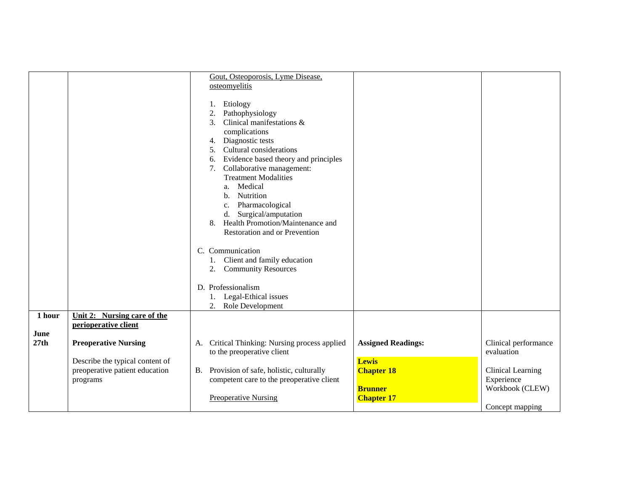|                        |                                                                                    | Gout, Osteoporosis, Lyme Disease,<br>osteomyelitis<br>Etiology<br>Pathophysiology<br>2.<br>3 <sub>1</sub><br>Clinical manifestations &<br>complications<br>4. Diagnostic tests<br>Cultural considerations<br>5.<br>6. Evidence based theory and principles<br>7. Collaborative management:<br><b>Treatment Modalities</b><br>a. Medical<br>b. Nutrition<br>c. Pharmacological<br>d. Surgical/amputation |                                                                                            |
|------------------------|------------------------------------------------------------------------------------|---------------------------------------------------------------------------------------------------------------------------------------------------------------------------------------------------------------------------------------------------------------------------------------------------------------------------------------------------------------------------------------------------------|--------------------------------------------------------------------------------------------|
| 1 hour<br>June<br>27th | Unit 2: Nursing care of the<br>perioperative client<br><b>Preoperative Nursing</b> | 8. Health Promotion/Maintenance and<br>Restoration and or Prevention<br>C. Communication<br>1. Client and family education<br>2. Community Resources<br>D. Professionalism<br>1. Legal-Ethical issues<br>2. Role Development<br>A. Critical Thinking: Nursing process applied<br><b>Assigned Readings:</b>                                                                                              | Clinical performance                                                                       |
|                        | Describe the typical content of<br>preoperative patient education<br>programs      | to the preoperative client<br><b>Lewis</b><br>B. Provision of safe, holistic, culturally<br><b>Chapter 18</b><br>competent care to the preoperative client<br><b>Brunner</b><br><b>Preoperative Nursing</b><br><b>Chapter 17</b>                                                                                                                                                                        | evaluation<br><b>Clinical Learning</b><br>Experience<br>Workbook (CLEW)<br>Concept mapping |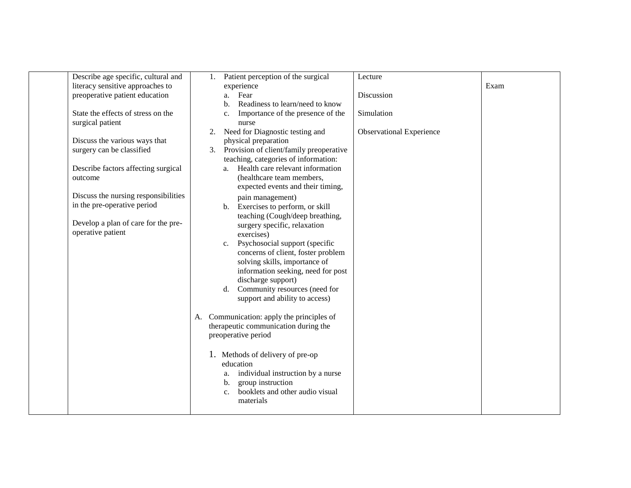| Describe age specific, cultural and  | 1. | Patient perception of the surgical                | Lecture                         |      |
|--------------------------------------|----|---------------------------------------------------|---------------------------------|------|
| literacy sensitive approaches to     |    | experience                                        |                                 | Exam |
| preoperative patient education       |    | Fear<br>a.                                        | Discussion                      |      |
|                                      |    | Readiness to learn/need to know<br>b.             |                                 |      |
| State the effects of stress on the   |    | Importance of the presence of the<br>c.           | Simulation                      |      |
| surgical patient                     |    | nurse                                             |                                 |      |
|                                      | 2. | Need for Diagnostic testing and                   | <b>Observational Experience</b> |      |
| Discuss the various ways that        |    | physical preparation                              |                                 |      |
| surgery can be classified            |    | 3. Provision of client/family preoperative        |                                 |      |
|                                      |    | teaching, categories of information:              |                                 |      |
| Describe factors affecting surgical  |    | a. Health care relevant information               |                                 |      |
| outcome                              |    | (healthcare team members,                         |                                 |      |
|                                      |    | expected events and their timing,                 |                                 |      |
| Discuss the nursing responsibilities |    | pain management)                                  |                                 |      |
| in the pre-operative period          |    | b. Exercises to perform, or skill                 |                                 |      |
|                                      |    | teaching (Cough/deep breathing,                   |                                 |      |
| Develop a plan of care for the pre-  |    | surgery specific, relaxation                      |                                 |      |
| operative patient                    |    | exercises)                                        |                                 |      |
|                                      |    | Psychosocial support (specific<br>$c_{\cdot}$     |                                 |      |
|                                      |    | concerns of client, foster problem                |                                 |      |
|                                      |    | solving skills, importance of                     |                                 |      |
|                                      |    | information seeking, need for post                |                                 |      |
|                                      |    | discharge support)                                |                                 |      |
|                                      |    | d. Community resources (need for                  |                                 |      |
|                                      |    | support and ability to access)                    |                                 |      |
|                                      |    |                                                   |                                 |      |
|                                      | A. | Communication: apply the principles of            |                                 |      |
|                                      |    | therapeutic communication during the              |                                 |      |
|                                      |    | preoperative period                               |                                 |      |
|                                      |    |                                                   |                                 |      |
|                                      |    | 1. Methods of delivery of pre-op                  |                                 |      |
|                                      |    | education                                         |                                 |      |
|                                      |    | individual instruction by a nurse<br>a.           |                                 |      |
|                                      |    | group instruction<br>b.                           |                                 |      |
|                                      |    | booklets and other audio visual<br>$\mathbf{c}$ . |                                 |      |
|                                      |    | materials                                         |                                 |      |
|                                      |    |                                                   |                                 |      |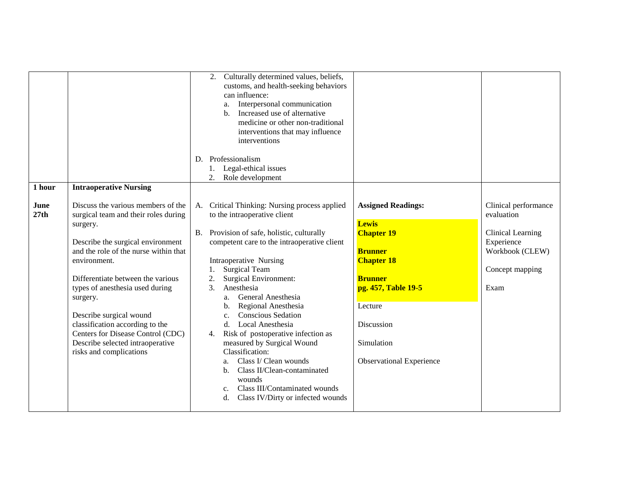| 1 hour       | <b>Intraoperative Nursing</b>                                                                                                                                                                                                                                                                                                                                                                                                              | Culturally determined values, beliefs,<br>2.<br>customs, and health-seeking behaviors<br>can influence:<br>Interpersonal communication<br>a.<br>Increased use of alternative<br>$\mathbf{b}$ .<br>medicine or other non-traditional<br>interventions that may influence<br>interventions<br>D. Professionalism<br>Legal-ethical issues<br>Role development<br>2.                                                                                                                                                                                                                                                                                                                                                                                                                                                                                                                                                                     |                                                                                                                     |
|--------------|--------------------------------------------------------------------------------------------------------------------------------------------------------------------------------------------------------------------------------------------------------------------------------------------------------------------------------------------------------------------------------------------------------------------------------------------|--------------------------------------------------------------------------------------------------------------------------------------------------------------------------------------------------------------------------------------------------------------------------------------------------------------------------------------------------------------------------------------------------------------------------------------------------------------------------------------------------------------------------------------------------------------------------------------------------------------------------------------------------------------------------------------------------------------------------------------------------------------------------------------------------------------------------------------------------------------------------------------------------------------------------------------|---------------------------------------------------------------------------------------------------------------------|
| June<br>27th | Discuss the various members of the<br>surgical team and their roles during<br>surgery.<br>Describe the surgical environment<br>and the role of the nurse within that<br>environment.<br>Differentiate between the various<br>types of anesthesia used during<br>surgery.<br>Describe surgical wound<br>classification according to the<br>Centers for Disease Control (CDC)<br>Describe selected intraoperative<br>risks and complications | A. Critical Thinking: Nursing process applied<br><b>Assigned Readings:</b><br>to the intraoperative client<br><b>Lewis</b><br>B. Provision of safe, holistic, culturally<br><b>Chapter 19</b><br>competent care to the intraoperative client<br><b>Brunner</b><br>Intraoperative Nursing<br><b>Chapter 18</b><br><b>Surgical Team</b><br><b>Surgical Environment:</b><br>2.<br><b>Brunner</b><br>$\mathcal{F}$<br>Anesthesia<br>pg. 457, Table 19-5<br>General Anesthesia<br>a.<br>Regional Anesthesia<br>Lecture<br>$\mathbf b$ .<br><b>Conscious Sedation</b><br>C <sub>1</sub><br>d. Local Anesthesia<br>Discussion<br>Risk of postoperative infection as<br>4.<br>measured by Surgical Wound<br>Simulation<br>Classification:<br>Class I/ Clean wounds<br><b>Observational Experience</b><br>a.<br>Class II/Clean-contaminated<br>b.<br>wounds<br>Class III/Contaminated wounds<br>c.<br>Class IV/Dirty or infected wounds<br>d. | Clinical performance<br>evaluation<br>Clinical Learning<br>Experience<br>Workbook (CLEW)<br>Concept mapping<br>Exam |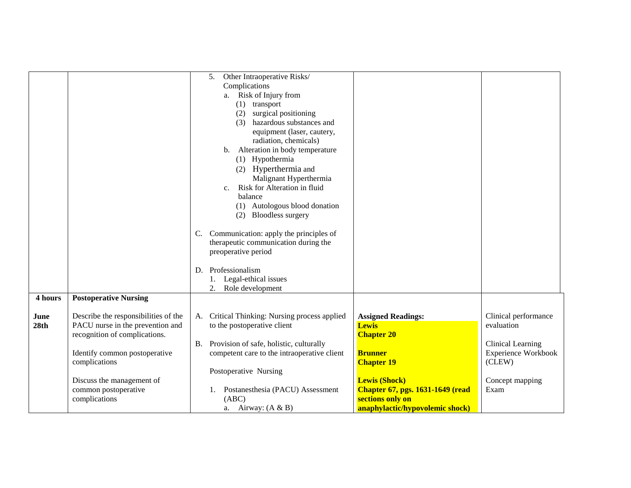|                          |                                                                                                                                                                                                                                   | 5. Other Intraoperative Risks/<br>Complications<br>a. Risk of Injury from<br>$(1)$ transport<br>(2) surgical positioning<br>(3) hazardous substances and<br>equipment (laser, cautery,<br>radiation, chemicals)<br>b. Alteration in body temperature<br>(1) Hypothermia<br>(2) Hyperthermia and<br>Malignant Hyperthermia<br>Risk for Alteration in fluid<br>C <sub>1</sub><br>balance<br>(1) Autologous blood donation<br>(2) Bloodless surgery<br>C. Communication: apply the principles of<br>therapeutic communication during the<br>preoperative period<br>D. Professionalism<br>1. Legal-ethical issues<br>2.<br>Role development |                                                                                                                                                                                                                                  |                                                                                                                            |
|--------------------------|-----------------------------------------------------------------------------------------------------------------------------------------------------------------------------------------------------------------------------------|-----------------------------------------------------------------------------------------------------------------------------------------------------------------------------------------------------------------------------------------------------------------------------------------------------------------------------------------------------------------------------------------------------------------------------------------------------------------------------------------------------------------------------------------------------------------------------------------------------------------------------------------|----------------------------------------------------------------------------------------------------------------------------------------------------------------------------------------------------------------------------------|----------------------------------------------------------------------------------------------------------------------------|
| 4 hours                  | <b>Postoperative Nursing</b>                                                                                                                                                                                                      |                                                                                                                                                                                                                                                                                                                                                                                                                                                                                                                                                                                                                                         |                                                                                                                                                                                                                                  |                                                                                                                            |
| June<br>28 <sub>th</sub> | Describe the responsibilities of the<br>PACU nurse in the prevention and<br>recognition of complications.<br>Identify common postoperative<br>complications<br>Discuss the management of<br>common postoperative<br>complications | A. Critical Thinking: Nursing process applied<br>to the postoperative client<br>B. Provision of safe, holistic, culturally<br>competent care to the intraoperative client<br>Postoperative Nursing<br>Postanesthesia (PACU) Assessment<br>1.<br>(ABC)<br>a. Airway: $(A & B)$                                                                                                                                                                                                                                                                                                                                                           | <b>Assigned Readings:</b><br><b>Lewis</b><br><b>Chapter 20</b><br><b>Brunner</b><br><b>Chapter 19</b><br><b>Lewis (Shock)</b><br><b>Chapter 67, pgs. 1631-1649 (read)</b><br>sections only on<br>anaphylactic/hypovolemic shock) | Clinical performance<br>evaluation<br><b>Clinical Learning</b><br>Experience Workbook<br>(CLEW)<br>Concept mapping<br>Exam |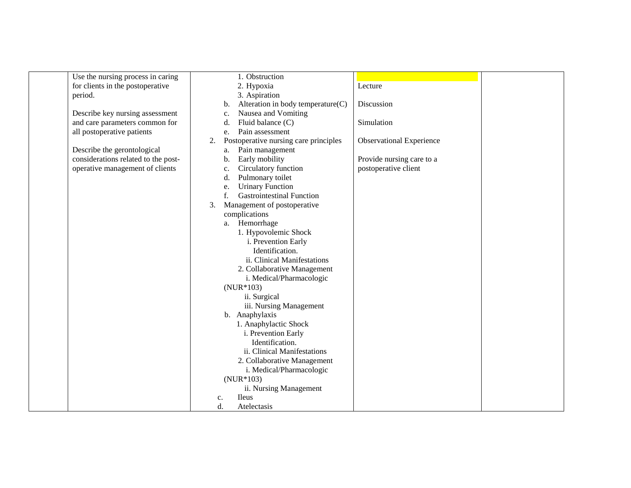| Use the nursing process in caring   | 1. Obstruction                                                                 |
|-------------------------------------|--------------------------------------------------------------------------------|
| for clients in the postoperative    | 2. Hypoxia<br>Lecture                                                          |
| period.                             | 3. Aspiration                                                                  |
|                                     | Alteration in body temperature $(C)$<br>Discussion<br>b.                       |
| Describe key nursing assessment     | Nausea and Vomiting<br>c.                                                      |
| and care parameters common for      | Fluid balance (C)<br>Simulation<br>d.                                          |
| all postoperative patients          | Pain assessment<br>e.                                                          |
|                                     | Postoperative nursing care principles<br><b>Observational Experience</b><br>2. |
| Describe the gerontological         | Pain management<br>a.                                                          |
| considerations related to the post- | Early mobility<br>Provide nursing care to a<br>b.                              |
| operative management of clients     | Circulatory function<br>postoperative client<br>$\mathbf{c}.$                  |
|                                     | Pulmonary toilet<br>d.                                                         |
|                                     | <b>Urinary Function</b><br>e.                                                  |
|                                     | <b>Gastrointestinal Function</b><br>f.                                         |
|                                     | Management of postoperative<br>3.                                              |
|                                     | complications                                                                  |
|                                     | a. Hemorrhage                                                                  |
|                                     | 1. Hypovolemic Shock                                                           |
|                                     | i. Prevention Early                                                            |
|                                     | Identification.                                                                |
|                                     | ii. Clinical Manifestations                                                    |
|                                     | 2. Collaborative Management                                                    |
|                                     | i. Medical/Pharmacologic                                                       |
|                                     | $(NUR*103)$                                                                    |
|                                     | ii. Surgical                                                                   |
|                                     | iii. Nursing Management                                                        |
|                                     | b. Anaphylaxis                                                                 |
|                                     | 1. Anaphylactic Shock                                                          |
|                                     | i. Prevention Early                                                            |
|                                     | Identification.                                                                |
|                                     | ii. Clinical Manifestations                                                    |
|                                     | 2. Collaborative Management                                                    |
|                                     | i. Medical/Pharmacologic                                                       |
|                                     | $(NUR*103)$                                                                    |
|                                     | ii. Nursing Management                                                         |
|                                     | <b>Ileus</b>                                                                   |
|                                     | c.                                                                             |
|                                     | d.<br>Atelectasis                                                              |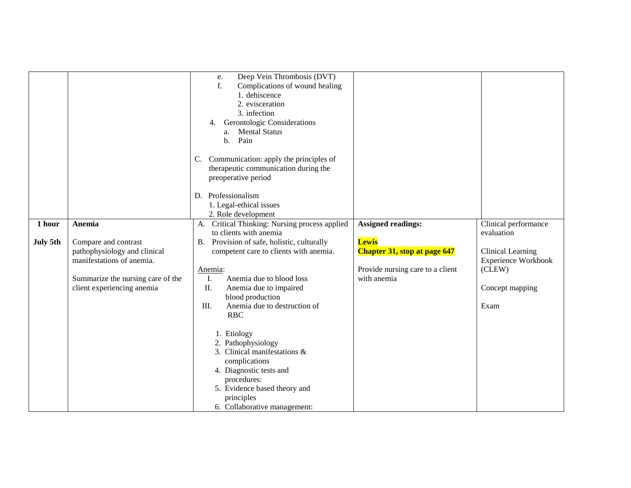| 1 hour   | Anemia                                                                                                                                               | Deep Vein Thrombosis (DVT)<br>e.<br>Complications of wound healing<br>f.<br>1. dehiscence<br>2. evisceration<br>3. infection<br>Gerontologic Considerations<br>4.<br><b>Mental Status</b><br>a.<br>Pain<br>$\mathbf{b}$ .<br>Communication: apply the principles of<br>C.<br>therapeutic communication during the<br>preoperative period<br>D. Professionalism<br>1. Legal-ethical issues<br>2. Role development<br>A. Critical Thinking: Nursing process applied                            | <b>Assigned readings:</b>                                                                              | Clinical performance                                                                               |
|----------|------------------------------------------------------------------------------------------------------------------------------------------------------|----------------------------------------------------------------------------------------------------------------------------------------------------------------------------------------------------------------------------------------------------------------------------------------------------------------------------------------------------------------------------------------------------------------------------------------------------------------------------------------------|--------------------------------------------------------------------------------------------------------|----------------------------------------------------------------------------------------------------|
| July 5th | Compare and contrast<br>pathophysiology and clinical<br>manifestations of anemia.<br>Summarize the nursing care of the<br>client experiencing anemia | to clients with anemia<br>Provision of safe, holistic, culturally<br><b>B.</b><br>competent care to clients with anemia.<br>Anemia:<br>Ι.<br>Anemia due to blood loss<br>II.<br>Anemia due to impaired<br>blood production<br>Ш.<br>Anemia due to destruction of<br><b>RBC</b><br>1. Etiology<br>2. Pathophysiology<br>3. Clinical manifestations &<br>complications<br>4. Diagnostic tests and<br>procedures:<br>5. Evidence based theory and<br>principles<br>6. Collaborative management: | <b>Lewis</b><br><b>Chapter 31, stop at page 647</b><br>Provide nursing care to a client<br>with anemia | evaluation<br>Clinical Learning<br><b>Experience Workbook</b><br>(CLEW)<br>Concept mapping<br>Exam |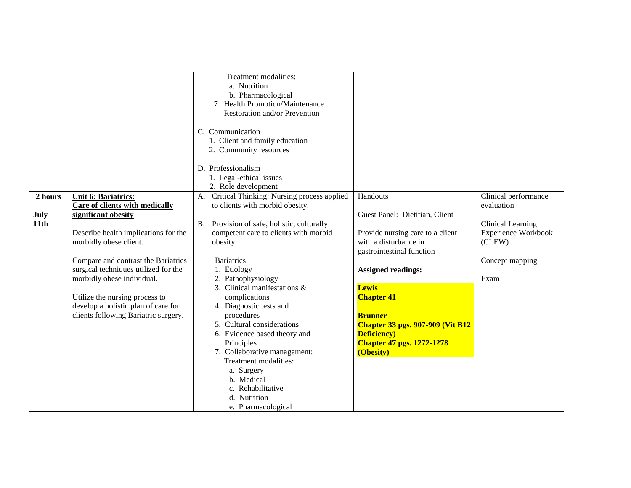|             |                                      | Treatment modalities:<br>a. Nutrition<br>b. Pharmacological<br>7. Health Promotion/Maintenance<br>Restoration and/or Prevention |                                                    |                            |
|-------------|--------------------------------------|---------------------------------------------------------------------------------------------------------------------------------|----------------------------------------------------|----------------------------|
|             |                                      | C. Communication<br>1. Client and family education                                                                              |                                                    |                            |
|             |                                      | 2. Community resources                                                                                                          |                                                    |                            |
|             |                                      | D. Professionalism                                                                                                              |                                                    |                            |
|             |                                      | 1. Legal-ethical issues<br>2. Role development                                                                                  |                                                    |                            |
| 2 hours     | <b>Unit 6: Bariatrics:</b>           | A. Critical Thinking: Nursing process applied                                                                                   | Handouts                                           | Clinical performance       |
|             | Care of clients with medically       | to clients with morbid obesity.                                                                                                 |                                                    | evaluation                 |
| <b>July</b> | significant obesity                  |                                                                                                                                 | Guest Panel: Dietitian, Client                     |                            |
| 11th        |                                      | B. Provision of safe, holistic, culturally                                                                                      |                                                    | Clinical Learning          |
|             | Describe health implications for the | competent care to clients with morbid                                                                                           | Provide nursing care to a client                   | <b>Experience Workbook</b> |
|             | morbidly obese client.               | obesity.                                                                                                                        | with a disturbance in<br>gastrointestinal function | (CLEW)                     |
|             | Compare and contrast the Bariatrics  | <b>Bariatrics</b>                                                                                                               |                                                    | Concept mapping            |
|             | surgical techniques utilized for the | 1. Etiology                                                                                                                     | <b>Assigned readings:</b>                          |                            |
|             | morbidly obese individual.           | 2. Pathophysiology                                                                                                              |                                                    | Exam                       |
|             |                                      | 3. Clinical manifestations &                                                                                                    | <b>Lewis</b>                                       |                            |
|             | Utilize the nursing process to       | complications                                                                                                                   | <b>Chapter 41</b>                                  |                            |
|             | develop a holistic plan of care for  | 4. Diagnostic tests and                                                                                                         |                                                    |                            |
|             | clients following Bariatric surgery. | procedures                                                                                                                      | <b>Brunner</b>                                     |                            |
|             |                                      | 5. Cultural considerations                                                                                                      | <b>Chapter 33 pgs. 907-909 (Vit B12)</b>           |                            |
|             |                                      | 6. Evidence based theory and                                                                                                    | <b>Deficiency</b> )                                |                            |
|             |                                      | Principles<br>7. Collaborative management:                                                                                      | <b>Chapter 47 pgs. 1272-1278</b><br>(Obesity)      |                            |
|             |                                      | Treatment modalities:                                                                                                           |                                                    |                            |
|             |                                      | a. Surgery                                                                                                                      |                                                    |                            |
|             |                                      | b. Medical                                                                                                                      |                                                    |                            |
|             |                                      | c. Rehabilitative                                                                                                               |                                                    |                            |
|             |                                      | d. Nutrition                                                                                                                    |                                                    |                            |
|             |                                      | e. Pharmacological                                                                                                              |                                                    |                            |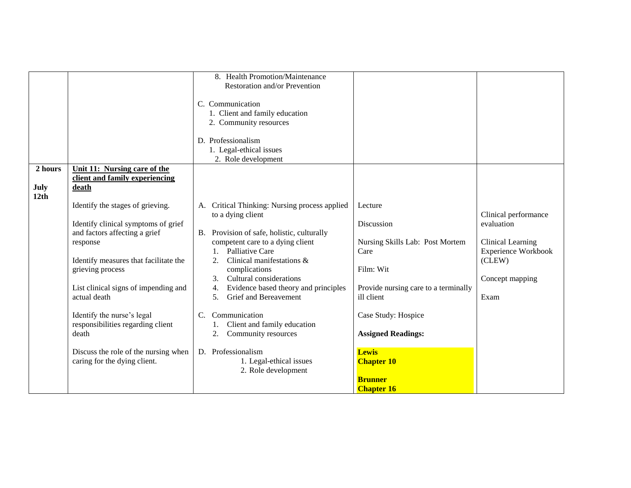|                         |                                                                                                                                                                                                                                                                                                                       | 8. Health Promotion/Maintenance<br>Restoration and/or Prevention<br>C. Communication<br>1. Client and family education<br>2. Community resources                                                                                                                                                                                                                                                                                                             |                                                                                                                                                                                         |                                                                                                                            |
|-------------------------|-----------------------------------------------------------------------------------------------------------------------------------------------------------------------------------------------------------------------------------------------------------------------------------------------------------------------|--------------------------------------------------------------------------------------------------------------------------------------------------------------------------------------------------------------------------------------------------------------------------------------------------------------------------------------------------------------------------------------------------------------------------------------------------------------|-----------------------------------------------------------------------------------------------------------------------------------------------------------------------------------------|----------------------------------------------------------------------------------------------------------------------------|
|                         |                                                                                                                                                                                                                                                                                                                       | D. Professionalism<br>1. Legal-ethical issues<br>2. Role development                                                                                                                                                                                                                                                                                                                                                                                         |                                                                                                                                                                                         |                                                                                                                            |
| 2 hours<br>July<br>12th | Unit 11: Nursing care of the<br>client and family experiencing<br>death                                                                                                                                                                                                                                               |                                                                                                                                                                                                                                                                                                                                                                                                                                                              |                                                                                                                                                                                         |                                                                                                                            |
|                         | Identify the stages of grieving.<br>Identify clinical symptoms of grief<br>and factors affecting a grief<br>response<br>Identify measures that facilitate the<br>grieving process<br>List clinical signs of impending and<br>actual death<br>Identify the nurse's legal<br>responsibilities regarding client<br>death | Critical Thinking: Nursing process applied<br>А.<br>to a dying client<br>Provision of safe, holistic, culturally<br><b>B.</b><br>competent care to a dying client<br>1. Palliative Care<br>Clinical manifestations &<br>2.<br>complications<br>Cultural considerations<br>3 <sub>1</sub><br>Evidence based theory and principles<br><b>Grief and Bereavement</b><br>5.<br>Communication<br>$C_{\cdot}$<br>Client and family education<br>Community resources | Lecture<br>Discussion<br>Nursing Skills Lab: Post Mortem<br>Care<br>Film: Wit<br>Provide nursing care to a terminally<br>ill client<br>Case Study: Hospice<br><b>Assigned Readings:</b> | Clinical performance<br>evaluation<br>Clinical Learning<br><b>Experience Workbook</b><br>(CLEW)<br>Concept mapping<br>Exam |
|                         | Discuss the role of the nursing when<br>caring for the dying client.                                                                                                                                                                                                                                                  | D. Professionalism<br>1. Legal-ethical issues<br>2. Role development                                                                                                                                                                                                                                                                                                                                                                                         | <b>Lewis</b><br><b>Chapter 10</b><br><b>Brunner</b><br><b>Chapter 16</b>                                                                                                                |                                                                                                                            |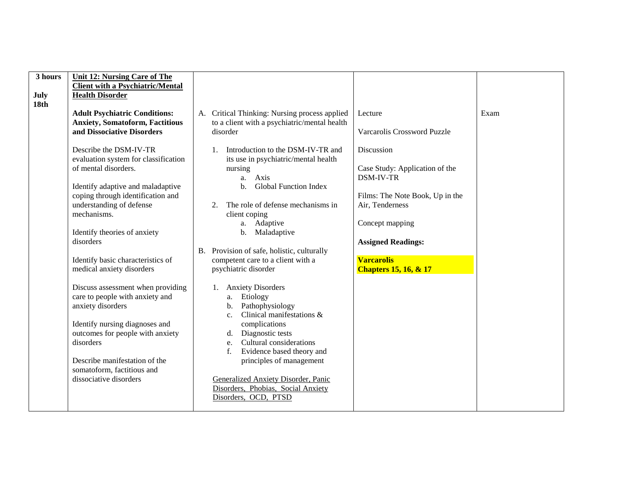| 3 hours | <b>Unit 12: Nursing Care of The</b>     |                                                |                                  |      |
|---------|-----------------------------------------|------------------------------------------------|----------------------------------|------|
|         | <b>Client with a Psychiatric/Mental</b> |                                                |                                  |      |
| July    | <b>Health Disorder</b>                  |                                                |                                  |      |
| 18th    |                                         |                                                |                                  |      |
|         | <b>Adult Psychiatric Conditions:</b>    | A. Critical Thinking: Nursing process applied  | Lecture                          | Exam |
|         | <b>Anxiety, Somatoform, Factitious</b>  | to a client with a psychiatric/mental health   |                                  |      |
|         | and Dissociative Disorders              | disorder                                       | Varcarolis Crossword Puzzle      |      |
|         |                                         |                                                |                                  |      |
|         |                                         |                                                |                                  |      |
|         | Describe the DSM-IV-TR                  | Introduction to the DSM-IV-TR and              | Discussion                       |      |
|         | evaluation system for classification    | its use in psychiatric/mental health           |                                  |      |
|         | of mental disorders.                    | nursing                                        | Case Study: Application of the   |      |
|         |                                         | Axis<br>a.                                     | <b>DSM-IV-TR</b>                 |      |
|         | Identify adaptive and maladaptive       | <b>Global Function Index</b><br>$\mathbf{b}$ . |                                  |      |
|         | coping through identification and       |                                                | Films: The Note Book, Up in the  |      |
|         |                                         |                                                |                                  |      |
|         | understanding of defense                | The role of defense mechanisms in<br>2.        | Air, Tenderness                  |      |
|         | mechanisms.                             | client coping                                  |                                  |      |
|         |                                         | a. Adaptive                                    | Concept mapping                  |      |
|         | Identify theories of anxiety            | b.<br>Maladaptive                              |                                  |      |
|         | disorders                               |                                                | <b>Assigned Readings:</b>        |      |
|         |                                         | B. Provision of safe, holistic, culturally     |                                  |      |
|         | Identify basic characteristics of       | competent care to a client with a              | <b>Varcarolis</b>                |      |
|         | medical anxiety disorders               | psychiatric disorder                           |                                  |      |
|         |                                         |                                                | <b>Chapters 15, 16, &amp; 17</b> |      |
|         |                                         |                                                |                                  |      |
|         | Discuss assessment when providing       | <b>Anxiety Disorders</b><br>1.                 |                                  |      |
|         | care to people with anxiety and         | Etiology<br>a.                                 |                                  |      |
|         | anxiety disorders                       | Pathophysiology<br>$\mathbf{b}$ .              |                                  |      |
|         |                                         | Clinical manifestations &<br>C <sub>1</sub>    |                                  |      |
|         | Identify nursing diagnoses and          | complications                                  |                                  |      |
|         | outcomes for people with anxiety        | Diagnostic tests<br>d.                         |                                  |      |
|         | disorders                               | Cultural considerations<br>e.                  |                                  |      |
|         |                                         |                                                |                                  |      |
|         |                                         | Evidence based theory and<br>f.                |                                  |      |
|         | Describe manifestation of the           | principles of management                       |                                  |      |
|         | somatoform, factitious and              |                                                |                                  |      |
|         | dissociative disorders                  | Generalized Anxiety Disorder, Panic            |                                  |      |
|         |                                         | Disorders, Phobias, Social Anxiety             |                                  |      |
|         |                                         | Disorders, OCD, PTSD                           |                                  |      |
|         |                                         |                                                |                                  |      |
|         |                                         |                                                |                                  |      |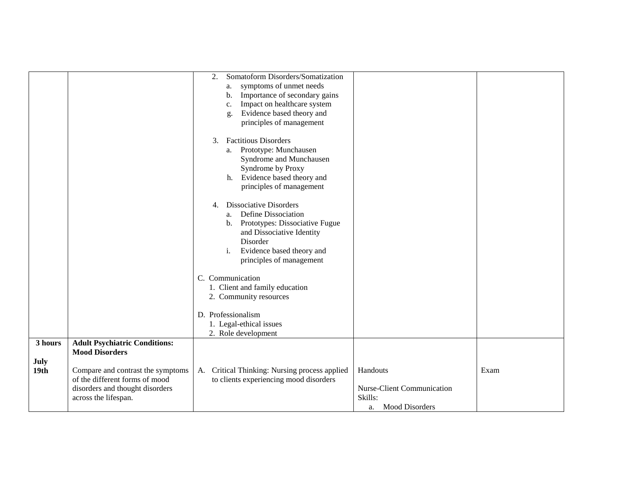|                                     |                                                                                                                                                                                                 | Somatoform Disorders/Somatization<br>2.<br>symptoms of unmet needs<br>a.<br>Importance of secondary gains<br>b.<br>Impact on healthcare system<br>c.<br>Evidence based theory and<br>g.<br>principles of management<br><b>Factitious Disorders</b><br>3.<br>Prototype: Munchausen<br>a.<br>Syndrome and Munchausen<br>Syndrome by Proxy<br>h. Evidence based theory and<br>principles of management |                                                                        |      |
|-------------------------------------|-------------------------------------------------------------------------------------------------------------------------------------------------------------------------------------------------|-----------------------------------------------------------------------------------------------------------------------------------------------------------------------------------------------------------------------------------------------------------------------------------------------------------------------------------------------------------------------------------------------------|------------------------------------------------------------------------|------|
|                                     |                                                                                                                                                                                                 | <b>Dissociative Disorders</b><br>4.<br>Define Dissociation<br>a.<br>b. Prototypes: Dissociative Fugue<br>and Dissociative Identity<br>Disorder<br>Evidence based theory and<br>$\mathbf{i}$ .<br>principles of management                                                                                                                                                                           |                                                                        |      |
|                                     |                                                                                                                                                                                                 | C. Communication<br>1. Client and family education<br>2. Community resources<br>D. Professionalism<br>1. Legal-ethical issues<br>2. Role development                                                                                                                                                                                                                                                |                                                                        |      |
| 3 hours<br>July<br>19 <sub>th</sub> | <b>Adult Psychiatric Conditions:</b><br><b>Mood Disorders</b><br>Compare and contrast the symptoms<br>of the different forms of mood<br>disorders and thought disorders<br>across the lifespan. | Critical Thinking: Nursing process applied<br>А.<br>to clients experiencing mood disorders                                                                                                                                                                                                                                                                                                          | Handouts<br>Nurse-Client Communication<br>Skills:<br>a. Mood Disorders | Exam |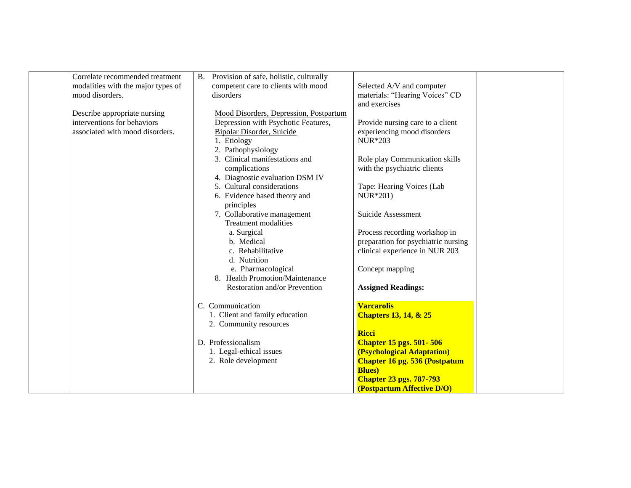| Correlate recommended treatment    | B. Provision of safe, holistic, culturally |                                      |  |
|------------------------------------|--------------------------------------------|--------------------------------------|--|
| modalities with the major types of | competent care to clients with mood        | Selected A/V and computer            |  |
| mood disorders.                    | disorders                                  | materials: "Hearing Voices" CD       |  |
|                                    |                                            | and exercises                        |  |
| Describe appropriate nursing       | Mood Disorders, Depression, Postpartum     |                                      |  |
| interventions for behaviors        | Depression with Psychotic Features,        | Provide nursing care to a client     |  |
| associated with mood disorders.    | Bipolar Disorder, Suicide                  | experiencing mood disorders          |  |
|                                    | 1. Etiology                                | <b>NUR</b> *203                      |  |
|                                    | 2. Pathophysiology                         |                                      |  |
|                                    | 3. Clinical manifestations and             | Role play Communication skills       |  |
|                                    | complications                              | with the psychiatric clients         |  |
|                                    | 4. Diagnostic evaluation DSM IV            |                                      |  |
|                                    | 5. Cultural considerations                 | Tape: Hearing Voices (Lab            |  |
|                                    | 6. Evidence based theory and               | NUR*201)                             |  |
|                                    | principles                                 |                                      |  |
|                                    | 7. Collaborative management                | Suicide Assessment                   |  |
|                                    | <b>Treatment modalities</b>                |                                      |  |
|                                    | a. Surgical                                | Process recording workshop in        |  |
|                                    | b. Medical                                 | preparation for psychiatric nursing  |  |
|                                    | c. Rehabilitative                          | clinical experience in NUR 203       |  |
|                                    | d. Nutrition                               |                                      |  |
|                                    | e. Pharmacological                         | Concept mapping                      |  |
|                                    | 8. Health Promotion/Maintenance            |                                      |  |
|                                    | Restoration and/or Prevention              | <b>Assigned Readings:</b>            |  |
|                                    |                                            |                                      |  |
|                                    | C. Communication                           | <b>Varcarolis</b>                    |  |
|                                    | 1. Client and family education             | <b>Chapters 13, 14, &amp; 25</b>     |  |
|                                    | 2. Community resources                     |                                      |  |
|                                    |                                            | <b>Ricci</b>                         |  |
|                                    | D. Professionalism                         | <b>Chapter 15 pgs. 501-506</b>       |  |
|                                    | 1. Legal-ethical issues                    | (Psychological Adaptation)           |  |
|                                    | 2. Role development                        | <b>Chapter 16 pg. 536 (Postpatum</b> |  |
|                                    |                                            | <b>Blues</b> )                       |  |
|                                    |                                            | <b>Chapter 23 pgs. 787-793</b>       |  |
|                                    |                                            | (Postpartum Affective D/O)           |  |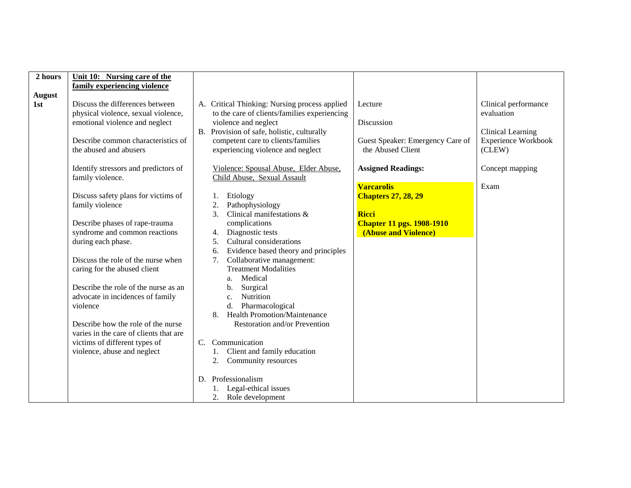| 2 hours              | Unit 10: Nursing care of the                                                                                                                                                                                                                                                                                                                                                                                                   |                                                                                                                                                                                                                                                                                                                                                                                                                                                                                                                                                                                                                      |                                                                                       |
|----------------------|--------------------------------------------------------------------------------------------------------------------------------------------------------------------------------------------------------------------------------------------------------------------------------------------------------------------------------------------------------------------------------------------------------------------------------|----------------------------------------------------------------------------------------------------------------------------------------------------------------------------------------------------------------------------------------------------------------------------------------------------------------------------------------------------------------------------------------------------------------------------------------------------------------------------------------------------------------------------------------------------------------------------------------------------------------------|---------------------------------------------------------------------------------------|
|                      | family experiencing violence                                                                                                                                                                                                                                                                                                                                                                                                   |                                                                                                                                                                                                                                                                                                                                                                                                                                                                                                                                                                                                                      |                                                                                       |
| <b>August</b><br>1st | Discuss the differences between<br>physical violence, sexual violence,<br>emotional violence and neglect<br>Describe common characteristics of                                                                                                                                                                                                                                                                                 | A. Critical Thinking: Nursing process applied<br>Lecture<br>to the care of clients/families experiencing<br>violence and neglect<br>Discussion<br>B. Provision of safe, holistic, culturally<br>competent care to clients/families<br>Guest Speaker: Emergency Care of                                                                                                                                                                                                                                                                                                                                               | Clinical performance<br>evaluation<br>Clinical Learning<br><b>Experience Workbook</b> |
|                      | the abused and abusers                                                                                                                                                                                                                                                                                                                                                                                                         | experiencing violence and neglect<br>the Abused Client                                                                                                                                                                                                                                                                                                                                                                                                                                                                                                                                                               | (CLEW)                                                                                |
|                      | Identify stressors and predictors of<br>family violence.                                                                                                                                                                                                                                                                                                                                                                       | Violence: Spousal Abuse, Elder Abuse,<br><b>Assigned Readings:</b><br>Child Abuse, Sexual Assault                                                                                                                                                                                                                                                                                                                                                                                                                                                                                                                    | Concept mapping                                                                       |
|                      | Discuss safety plans for victims of<br>family violence<br>Describe phases of rape-trauma<br>syndrome and common reactions<br>during each phase.<br>Discuss the role of the nurse when<br>caring for the abused client<br>Describe the role of the nurse as an<br>advocate in incidences of family<br>violence<br>Describe how the role of the nurse<br>varies in the care of clients that are<br>victims of different types of | <b>Varcarolis</b><br>Etiology<br><b>Chapters 27, 28, 29</b><br>2.<br>Pathophysiology<br>3.<br>Clinical manifestations &<br><b>Ricci</b><br>complications<br><b>Chapter 11 pgs. 1908-1910</b><br>Diagnostic tests<br>(Abuse and Violence)<br>4.<br>Cultural considerations<br>5 <sub>1</sub><br>Evidence based theory and principles<br>6.<br>Collaborative management:<br>7.<br><b>Treatment Modalities</b><br>Medical<br>a.<br>Surgical<br>b.<br>Nutrition<br>$\mathbf{c}$ .<br>Pharmacological<br>d.<br><b>Health Promotion/Maintenance</b><br>8.<br>Restoration and/or Prevention<br>$C_{\cdot}$<br>Communication | Exam                                                                                  |
|                      | violence, abuse and neglect                                                                                                                                                                                                                                                                                                                                                                                                    | Client and family education<br>Community resources<br>2.                                                                                                                                                                                                                                                                                                                                                                                                                                                                                                                                                             |                                                                                       |
|                      |                                                                                                                                                                                                                                                                                                                                                                                                                                | D. Professionalism<br>1. Legal-ethical issues<br>Role development                                                                                                                                                                                                                                                                                                                                                                                                                                                                                                                                                    |                                                                                       |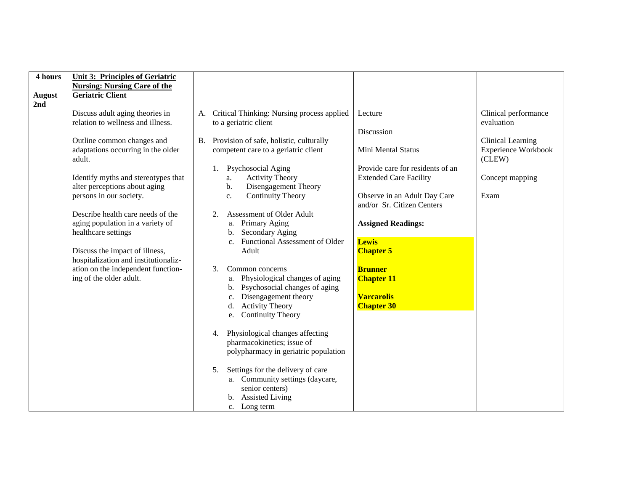| 4 hours       | <b>Unit 3: Principles of Geriatric</b>                               |                                                                                                |                                    |
|---------------|----------------------------------------------------------------------|------------------------------------------------------------------------------------------------|------------------------------------|
|               | <b>Nursing: Nursing Care of the</b>                                  |                                                                                                |                                    |
| <b>August</b> | <b>Geriatric Client</b>                                              |                                                                                                |                                    |
| 2nd           |                                                                      |                                                                                                |                                    |
|               | Discuss adult aging theories in<br>relation to wellness and illness. | Critical Thinking: Nursing process applied<br>Lecture<br>A.<br>to a geriatric client           | Clinical performance<br>evaluation |
|               |                                                                      | Discussion                                                                                     |                                    |
|               | Outline common changes and                                           | Provision of safe, holistic, culturally<br><b>B.</b>                                           | <b>Clinical Learning</b>           |
|               | adaptations occurring in the older<br>adult.                         | competent care to a geriatric client<br>Mini Mental Status                                     | Experience Workbook<br>(CLEW)      |
|               |                                                                      | Provide care for residents of an<br>Psychosocial Aging<br>1.                                   |                                    |
|               | Identify myths and stereotypes that<br>alter perceptions about aging | <b>Extended Care Facility</b><br><b>Activity Theory</b><br>a.<br>Disengagement Theory<br>$b$ . | Concept mapping                    |
|               | persons in our society.                                              | <b>Continuity Theory</b><br>Observe in an Adult Day Care<br>c.<br>and/or Sr. Citizen Centers   | Exam                               |
|               | Describe health care needs of the                                    | Assessment of Older Adult<br>2.                                                                |                                    |
|               | aging population in a variety of                                     | a. Primary Aging<br><b>Assigned Readings:</b>                                                  |                                    |
|               | healthcare settings                                                  | b. Secondary Aging                                                                             |                                    |
|               |                                                                      | c. Functional Assessment of Older<br><b>Lewis</b>                                              |                                    |
|               | Discuss the impact of illness,                                       | Adult<br><b>Chapter 5</b>                                                                      |                                    |
|               | hospitalization and institutionaliz-                                 |                                                                                                |                                    |
|               | ation on the independent function-                                   | <b>Brunner</b><br>Common concerns<br>3.                                                        |                                    |
|               | ing of the older adult.                                              | a. Physiological changes of aging<br><b>Chapter 11</b>                                         |                                    |
|               |                                                                      | b. Psychosocial changes of aging                                                               |                                    |
|               |                                                                      | Disengagement theory<br><b>Varcarolis</b>                                                      |                                    |
|               |                                                                      | c.<br><b>Activity Theory</b><br><b>Chapter 30</b><br>d.                                        |                                    |
|               |                                                                      |                                                                                                |                                    |
|               |                                                                      | e. Continuity Theory                                                                           |                                    |
|               |                                                                      | Physiological changes affecting<br>4.                                                          |                                    |
|               |                                                                      | pharmacokinetics; issue of                                                                     |                                    |
|               |                                                                      |                                                                                                |                                    |
|               |                                                                      | polypharmacy in geriatric population                                                           |                                    |
|               |                                                                      |                                                                                                |                                    |
|               |                                                                      | Settings for the delivery of care<br>5.                                                        |                                    |
|               |                                                                      | a. Community settings (daycare,                                                                |                                    |
|               |                                                                      | senior centers)                                                                                |                                    |
|               |                                                                      | b. Assisted Living                                                                             |                                    |
|               |                                                                      | c. Long term                                                                                   |                                    |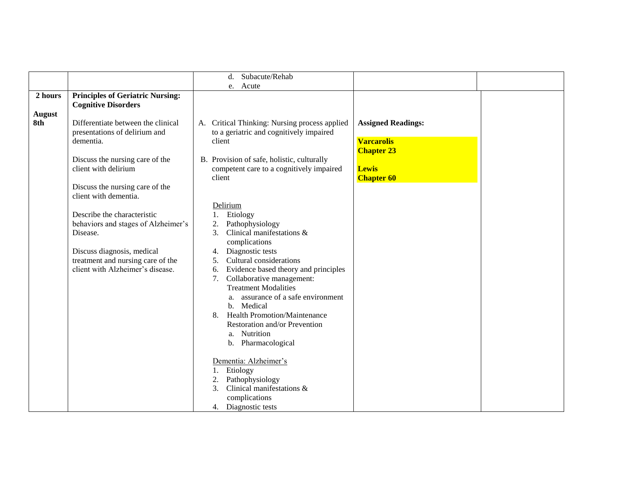|                      |                                                                                                                                                                                                                                                                           | Subacute/Rehab<br>d.                                                                                                                                                                                                                                                                                                                                                                                                                                                                                                                                     |  |
|----------------------|---------------------------------------------------------------------------------------------------------------------------------------------------------------------------------------------------------------------------------------------------------------------------|----------------------------------------------------------------------------------------------------------------------------------------------------------------------------------------------------------------------------------------------------------------------------------------------------------------------------------------------------------------------------------------------------------------------------------------------------------------------------------------------------------------------------------------------------------|--|
|                      |                                                                                                                                                                                                                                                                           | e. Acute                                                                                                                                                                                                                                                                                                                                                                                                                                                                                                                                                 |  |
| 2 hours              | <b>Principles of Geriatric Nursing:</b><br><b>Cognitive Disorders</b>                                                                                                                                                                                                     |                                                                                                                                                                                                                                                                                                                                                                                                                                                                                                                                                          |  |
| <b>August</b><br>8th | Differentiate between the clinical<br>presentations of delirium and<br>dementia.<br>Discuss the nursing care of the                                                                                                                                                       | A. Critical Thinking: Nursing process applied<br><b>Assigned Readings:</b><br>to a geriatric and cognitively impaired<br><b>Varcarolis</b><br>client<br><b>Chapter 23</b><br>B. Provision of safe, holistic, culturally                                                                                                                                                                                                                                                                                                                                  |  |
|                      | client with delirium<br>Discuss the nursing care of the<br>client with dementia.<br>Describe the characteristic<br>behaviors and stages of Alzheimer's<br>Disease.<br>Discuss diagnosis, medical<br>treatment and nursing care of the<br>client with Alzheimer's disease. | competent care to a cognitively impaired<br><b>Lewis</b><br>client<br><b>Chapter 60</b><br>Delirium<br>Etiology<br>1.<br>Pathophysiology<br>2.<br>Clinical manifestations &<br>3.<br>complications<br>Diagnostic tests<br>4.<br>Cultural considerations<br>5.<br>Evidence based theory and principles<br>6.<br>Collaborative management:<br>7.<br><b>Treatment Modalities</b><br>assurance of a safe environment<br>a.<br>b. Medical<br><b>Health Promotion/Maintenance</b><br>8.<br>Restoration and/or Prevention<br>a. Nutrition<br>b. Pharmacological |  |
|                      |                                                                                                                                                                                                                                                                           | Dementia: Alzheimer's<br>Etiology<br>1.<br>Pathophysiology<br>2.<br>Clinical manifestations &<br>3.<br>complications<br>4. Diagnostic tests                                                                                                                                                                                                                                                                                                                                                                                                              |  |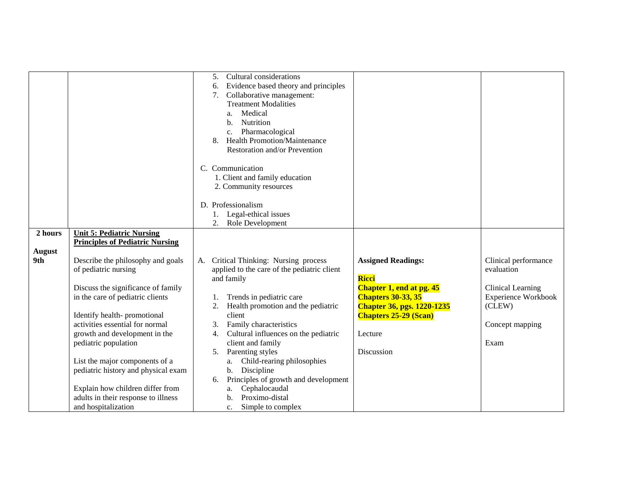|                      |                                                                                                                                                                                                                                                                                                                                                                                                                                           | Cultural considerations<br>5.<br>Evidence based theory and principles<br>6.<br>Collaborative management:<br>7.<br><b>Treatment Modalities</b><br>Medical<br>a.<br>Nutrition<br>$\mathbf{b}$ .<br>Pharmacological<br>$c_{\cdot}$<br><b>Health Promotion/Maintenance</b><br>8.<br>Restoration and/or Prevention<br>C. Communication<br>1. Client and family education<br>2. Community resources<br>D. Professionalism<br>1. Legal-ethical issues<br>2.<br>Role Development                                         |                                                                                                                                                                                           |                                                                                                                            |
|----------------------|-------------------------------------------------------------------------------------------------------------------------------------------------------------------------------------------------------------------------------------------------------------------------------------------------------------------------------------------------------------------------------------------------------------------------------------------|------------------------------------------------------------------------------------------------------------------------------------------------------------------------------------------------------------------------------------------------------------------------------------------------------------------------------------------------------------------------------------------------------------------------------------------------------------------------------------------------------------------|-------------------------------------------------------------------------------------------------------------------------------------------------------------------------------------------|----------------------------------------------------------------------------------------------------------------------------|
| 2 hours              | <b>Unit 5: Pediatric Nursing</b>                                                                                                                                                                                                                                                                                                                                                                                                          |                                                                                                                                                                                                                                                                                                                                                                                                                                                                                                                  |                                                                                                                                                                                           |                                                                                                                            |
|                      | <b>Principles of Pediatric Nursing</b>                                                                                                                                                                                                                                                                                                                                                                                                    |                                                                                                                                                                                                                                                                                                                                                                                                                                                                                                                  |                                                                                                                                                                                           |                                                                                                                            |
| <b>August</b><br>9th | Describe the philosophy and goals<br>of pediatric nursing<br>Discuss the significance of family<br>in the care of pediatric clients<br>Identify health-promotional<br>activities essential for normal<br>growth and development in the<br>pediatric population<br>List the major components of a<br>pediatric history and physical exam<br>Explain how children differ from<br>adults in their response to illness<br>and hospitalization | Critical Thinking: Nursing process<br>A.<br>applied to the care of the pediatric client<br>and family<br>Trends in pediatric care<br>1.<br>Health promotion and the pediatric<br>2.<br>client<br>Family characteristics<br>3.<br>Cultural influences on the pediatric<br>4.<br>client and family<br>Parenting styles<br>5.<br>a. Child-rearing philosophies<br>b. Discipline<br>Principles of growth and development<br>6.<br>Cephalocaudal<br>a.<br>Proximo-distal<br>h.<br>Simple to complex<br>$\mathbf{c}$ . | <b>Assigned Readings:</b><br>Ricci<br>Chapter 1, end at pg. 45<br><b>Chapters 30-33, 35</b><br><b>Chapter 36, pgs. 1220-1235</b><br><b>Chapters 25-29 (Scan)</b><br>Lecture<br>Discussion | Clinical performance<br>evaluation<br>Clinical Learning<br><b>Experience Workbook</b><br>(CLEW)<br>Concept mapping<br>Exam |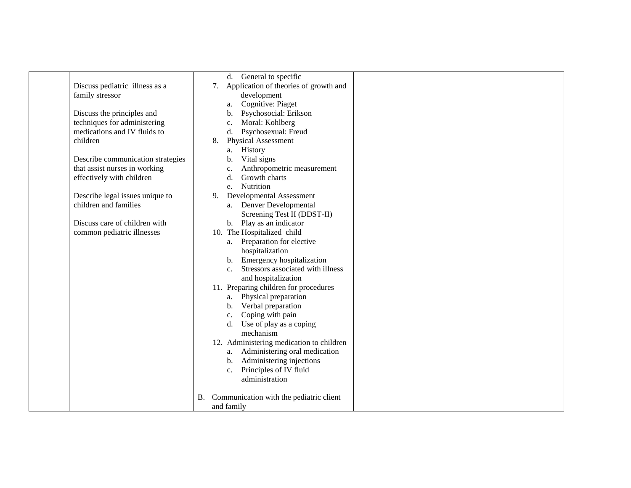|                                   | General to specific<br>d.                                                                                                                                                                                                                                                                                                                                                                                                                     |
|-----------------------------------|-----------------------------------------------------------------------------------------------------------------------------------------------------------------------------------------------------------------------------------------------------------------------------------------------------------------------------------------------------------------------------------------------------------------------------------------------|
| Discuss pediatric illness as a    | 7. Application of theories of growth and                                                                                                                                                                                                                                                                                                                                                                                                      |
| family stressor                   | development                                                                                                                                                                                                                                                                                                                                                                                                                                   |
|                                   | Cognitive: Piaget<br>a.                                                                                                                                                                                                                                                                                                                                                                                                                       |
| Discuss the principles and        | Psychosocial: Erikson<br>b.                                                                                                                                                                                                                                                                                                                                                                                                                   |
| techniques for administering      | Moral: Kohlberg<br>c.                                                                                                                                                                                                                                                                                                                                                                                                                         |
| medications and IV fluids to      | Psychosexual: Freud<br>$d_{\cdot}$                                                                                                                                                                                                                                                                                                                                                                                                            |
| children                          | <b>Physical Assessment</b><br>8.                                                                                                                                                                                                                                                                                                                                                                                                              |
|                                   | History<br>a.                                                                                                                                                                                                                                                                                                                                                                                                                                 |
| Describe communication strategies | Vital signs<br>$\mathbf{b}$ .                                                                                                                                                                                                                                                                                                                                                                                                                 |
| that assist nurses in working     | Anthropometric measurement<br>c.                                                                                                                                                                                                                                                                                                                                                                                                              |
| effectively with children         | Growth charts<br>d.                                                                                                                                                                                                                                                                                                                                                                                                                           |
|                                   | Nutrition<br>e.                                                                                                                                                                                                                                                                                                                                                                                                                               |
| Describe legal issues unique to   | <b>Developmental Assessment</b><br>9.                                                                                                                                                                                                                                                                                                                                                                                                         |
| children and families             | a. Denver Developmental                                                                                                                                                                                                                                                                                                                                                                                                                       |
|                                   | Screening Test II (DDST-II)                                                                                                                                                                                                                                                                                                                                                                                                                   |
| Discuss care of children with     | b. Play as an indicator                                                                                                                                                                                                                                                                                                                                                                                                                       |
|                                   |                                                                                                                                                                                                                                                                                                                                                                                                                                               |
|                                   | Preparation for elective<br>a.                                                                                                                                                                                                                                                                                                                                                                                                                |
|                                   |                                                                                                                                                                                                                                                                                                                                                                                                                                               |
|                                   | b.                                                                                                                                                                                                                                                                                                                                                                                                                                            |
|                                   | Stressors associated with illness<br>C <sub>1</sub>                                                                                                                                                                                                                                                                                                                                                                                           |
|                                   |                                                                                                                                                                                                                                                                                                                                                                                                                                               |
|                                   |                                                                                                                                                                                                                                                                                                                                                                                                                                               |
|                                   | a.                                                                                                                                                                                                                                                                                                                                                                                                                                            |
|                                   | b.                                                                                                                                                                                                                                                                                                                                                                                                                                            |
|                                   |                                                                                                                                                                                                                                                                                                                                                                                                                                               |
|                                   |                                                                                                                                                                                                                                                                                                                                                                                                                                               |
|                                   | mechanism                                                                                                                                                                                                                                                                                                                                                                                                                                     |
|                                   |                                                                                                                                                                                                                                                                                                                                                                                                                                               |
|                                   | a.                                                                                                                                                                                                                                                                                                                                                                                                                                            |
|                                   | b.                                                                                                                                                                                                                                                                                                                                                                                                                                            |
|                                   | $\mathbf{c}$ .                                                                                                                                                                                                                                                                                                                                                                                                                                |
|                                   | administration                                                                                                                                                                                                                                                                                                                                                                                                                                |
|                                   |                                                                                                                                                                                                                                                                                                                                                                                                                                               |
|                                   |                                                                                                                                                                                                                                                                                                                                                                                                                                               |
|                                   | and family                                                                                                                                                                                                                                                                                                                                                                                                                                    |
| common pediatric illnesses        | 10. The Hospitalized child<br>hospitalization<br>Emergency hospitalization<br>and hospitalization<br>11. Preparing children for procedures<br>Physical preparation<br>Verbal preparation<br>Coping with pain<br>c.<br>Use of play as a coping<br>$d_{\cdot}$<br>12. Administering medication to children<br>Administering oral medication<br>Administering injections<br>Principles of IV fluid<br>B. Communication with the pediatric client |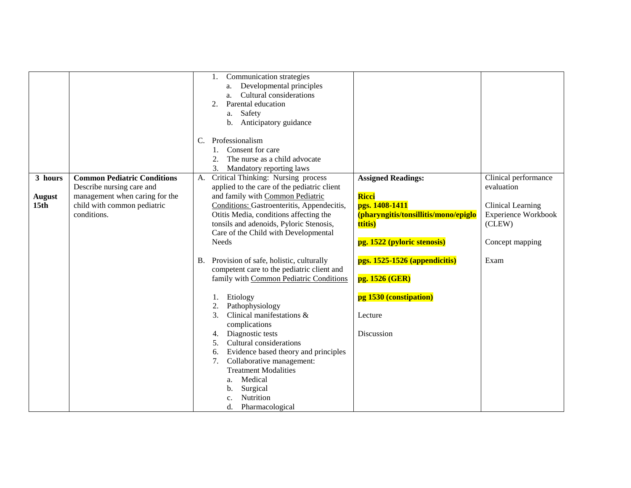|                                              |                                                                                                                                                 | Communication strategies<br>Developmental principles<br>a.<br>Cultural considerations<br>a.<br>Parental education<br>2.<br>Safety<br>a.<br>b. Anticipatory guidance<br>Professionalism<br>C.<br>Consent for care<br>The nurse as a child advocate<br>2.<br>3.<br>Mandatory reporting laws                                                                                                                                                                                                                                                                                                                                                                                                                                                                                                                                 |                                                                                                                                                                                                                                              |                                                                                                                            |
|----------------------------------------------|-------------------------------------------------------------------------------------------------------------------------------------------------|---------------------------------------------------------------------------------------------------------------------------------------------------------------------------------------------------------------------------------------------------------------------------------------------------------------------------------------------------------------------------------------------------------------------------------------------------------------------------------------------------------------------------------------------------------------------------------------------------------------------------------------------------------------------------------------------------------------------------------------------------------------------------------------------------------------------------|----------------------------------------------------------------------------------------------------------------------------------------------------------------------------------------------------------------------------------------------|----------------------------------------------------------------------------------------------------------------------------|
| 3 hours<br><b>August</b><br>15 <sub>th</sub> | <b>Common Pediatric Conditions</b><br>Describe nursing care and<br>management when caring for the<br>child with common pediatric<br>conditions. | Critical Thinking: Nursing process<br>A.<br>applied to the care of the pediatric client<br>and family with Common Pediatric<br>Conditions: Gastroenteritis, Appendecitis,<br>Otitis Media, conditions affecting the<br>tonsils and adenoids, Pyloric Stenosis,<br>Care of the Child with Developmental<br><b>Needs</b><br>Provision of safe, holistic, culturally<br>B.<br>competent care to the pediatric client and<br>family with Common Pediatric Conditions<br>Etiology<br>Pathophysiology<br>2.<br>Clinical manifestations &<br>3.<br>complications<br>Diagnostic tests<br>4.<br>Cultural considerations<br>5 <sub>1</sub><br>Evidence based theory and principles<br>6.<br>Collaborative management:<br>7.<br><b>Treatment Modalities</b><br>Medical<br>a.<br>Surgical<br>b.<br>Nutrition<br>Pharmacological<br>d. | <b>Assigned Readings:</b><br>Ricci<br>pgs. 1408-1411<br>(pharyngitis/tonsillitis/mono/epiglo<br>ttitis)<br>pg. 1522 (pyloric stenosis)<br>pgs. 1525-1526 (appendicitis)<br>pg. 1526 (GER)<br>pg 1530 (constipation)<br>Lecture<br>Discussion | Clinical performance<br>evaluation<br><b>Clinical Learning</b><br>Experience Workbook<br>(CLEW)<br>Concept mapping<br>Exam |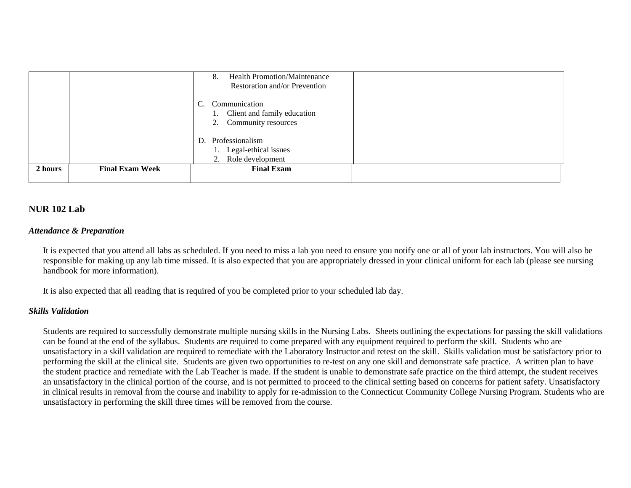|         |                        | <b>Health Promotion/Maintenance</b><br>8.<br>Restoration and/or Prevention         |  |
|---------|------------------------|------------------------------------------------------------------------------------|--|
|         |                        | Communication<br>C.<br>1. Client and family education<br>Community resources<br>2. |  |
|         |                        | D. Professionalism<br>1. Legal-ethical issues<br>Role development<br>2.            |  |
| 2 hours | <b>Final Exam Week</b> | <b>Final Exam</b>                                                                  |  |

### **NUR 102 Lab**

### *Attendance & Preparation*

It is expected that you attend all labs as scheduled. If you need to miss a lab you need to ensure you notify one or all of your lab instructors. You will also be responsible for making up any lab time missed. It is also expected that you are appropriately dressed in your clinical uniform for each lab (please see nursing handbook for more information).

It is also expected that all reading that is required of you be completed prior to your scheduled lab day.

### *Skills Validation*

Students are required to successfully demonstrate multiple nursing skills in the Nursing Labs. Sheets outlining the expectations for passing the skill validations can be found at the end of the syllabus. Students are required to come prepared with any equipment required to perform the skill. Students who are unsatisfactory in a skill validation are required to remediate with the Laboratory Instructor and retest on the skill. Skills validation must be satisfactory prior to performing the skill at the clinical site. Students are given two opportunities to re-test on any one skill and demonstrate safe practice. A written plan to have the student practice and remediate with the Lab Teacher is made. If the student is unable to demonstrate safe practice on the third attempt, the student receives an unsatisfactory in the clinical portion of the course, and is not permitted to proceed to the clinical setting based on concerns for patient safety. Unsatisfactory in clinical results in removal from the course and inability to apply for re-admission to the Connecticut Community College Nursing Program. Students who are unsatisfactory in performing the skill three times will be removed from the course.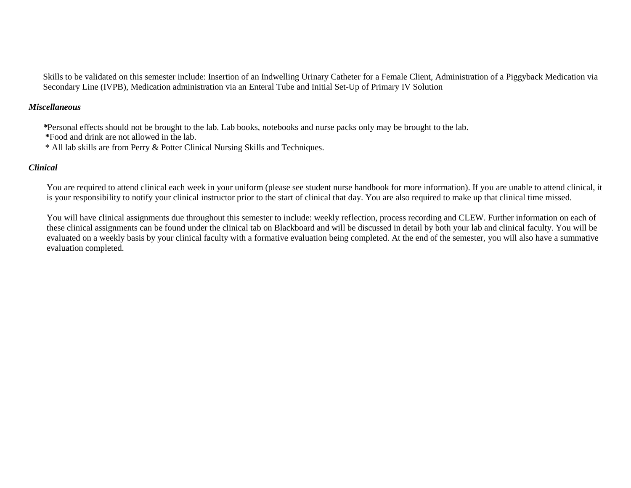Skills to be validated on this semester include: Insertion of an Indwelling Urinary Catheter for a Female Client, Administration of a Piggyback Medication via Secondary Line (IVPB), Medication administration via an Enteral Tube and Initial Set-Up of Primary IV Solution

### *Miscellaneous*

*\**Personal effects should not be brought to the lab. Lab books, notebooks and nurse packs only may be brought to the lab.

**\***Food and drink are not allowed in the lab.

\* All lab skills are from Perry & Potter Clinical Nursing Skills and Techniques.

### *Clinical*

You are required to attend clinical each week in your uniform (please see student nurse handbook for more information). If you are unable to attend clinical, it is your responsibility to notify your clinical instructor prior to the start of clinical that day. You are also required to make up that clinical time missed.

You will have clinical assignments due throughout this semester to include: weekly reflection, process recording and CLEW. Further information on each of these clinical assignments can be found under the clinical tab on Blackboard and will be discussed in detail by both your lab and clinical faculty. You will be evaluated on a weekly basis by your clinical faculty with a formative evaluation being completed. At the end of the semester, you will also have a summative evaluation completed.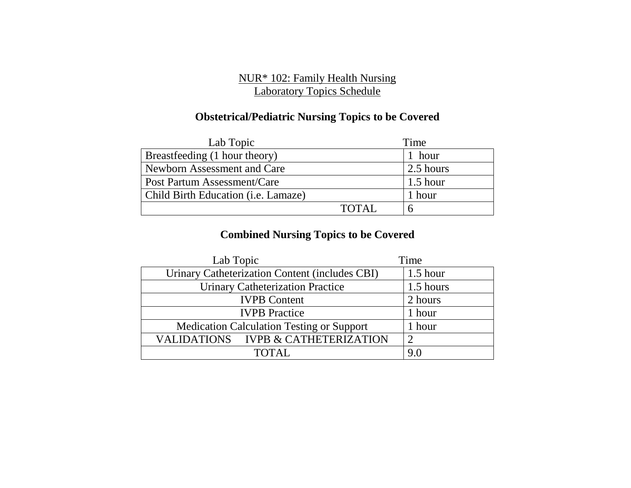# NUR\* 102: Family Health Nursing Laboratory Topics Schedule

# **Obstetrical/Pediatric Nursing Topics to be Covered**

| Lab Topic                                   |        | Time       |
|---------------------------------------------|--------|------------|
| Breastfeeding (1 hour theory)               |        | 1 hour     |
| Newborn Assessment and Care                 |        | 2.5 hours  |
| Post Partum Assessment/Care                 |        | $1.5$ hour |
| Child Birth Education ( <i>i.e.</i> Lamaze) |        | 1 hour     |
|                                             | TOTAL. |            |

# **Combined Nursing Topics to be Covered**

| Lab Topic                                        | Time       |
|--------------------------------------------------|------------|
| Urinary Catheterization Content (includes CBI)   | $1.5$ hour |
| <b>Urinary Catheterization Practice</b>          | 1.5 hours  |
| <b>IVPB</b> Content                              | 2 hours    |
| <b>IVPB</b> Practice                             | 1 hour     |
| <b>Medication Calculation Testing or Support</b> | 1 hour     |
| VALIDATIONS IVPB & CATHETERIZATION               |            |
| TOTAL.                                           | 9.0        |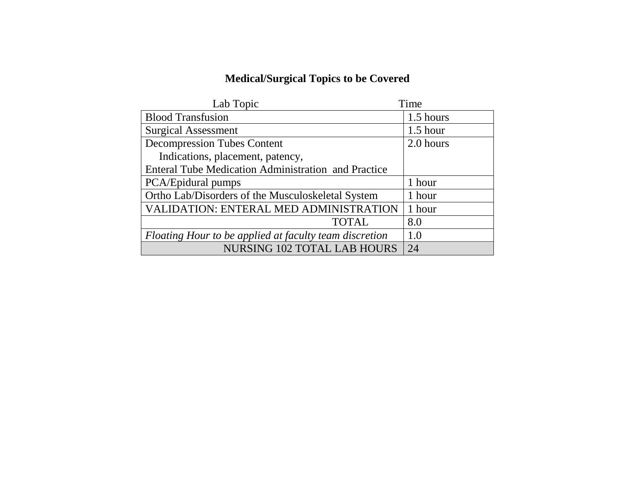# **Medical/Surgical Topics to be Covered**

| Lab Topic                                              | Time       |
|--------------------------------------------------------|------------|
| <b>Blood Transfusion</b>                               | 1.5 hours  |
| <b>Surgical Assessment</b>                             | $1.5$ hour |
| <b>Decompression Tubes Content</b>                     | 2.0 hours  |
| Indications, placement, patency,                       |            |
| Enteral Tube Medication Administration and Practice    |            |
| PCA/Epidural pumps                                     | 1 hour     |
| Ortho Lab/Disorders of the Musculoskeletal System      | 1 hour     |
| <b>VALIDATION: ENTERAL MED ADMINISTRATION</b>          | 1 hour     |
| <b>TOTAL</b>                                           | 8.0        |
| Floating Hour to be applied at faculty team discretion | 1.0        |
| <b>NURSING 102 TOTAL LAB HOURS</b>                     | 24         |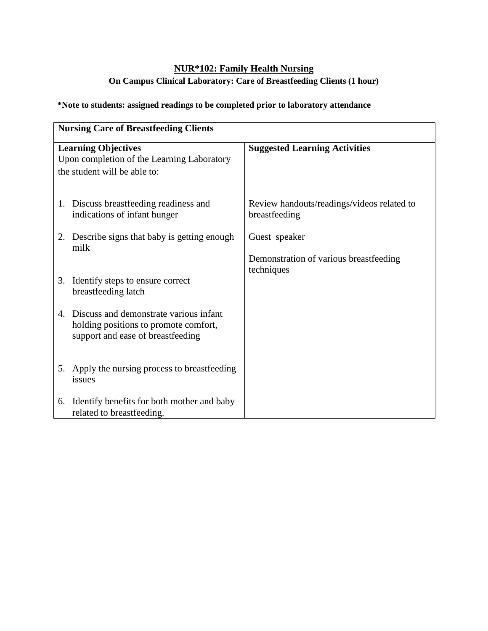# **NUR\*102: Family Health Nursing On Campus Clinical Laboratory: Care of Breastfeeding Clients (1 hour)**

|    | <b>Nursing Care of Breastfeeding Clients</b>                                                                            |                                                             |  |
|----|-------------------------------------------------------------------------------------------------------------------------|-------------------------------------------------------------|--|
|    | <b>Learning Objectives</b><br>Upon completion of the Learning Laboratory<br>the student will be able to:                | <b>Suggested Learning Activities</b>                        |  |
|    | 1. Discuss breastfeeding readiness and<br>indications of infant hunger                                                  | Review handouts/readings/videos related to<br>breastfeeding |  |
|    | 2. Describe signs that baby is getting enough<br>milk                                                                   | Guest speaker                                               |  |
|    |                                                                                                                         | Demonstration of various breastfeeding<br>techniques        |  |
|    | 3. Identify steps to ensure correct<br>breastfeeding latch                                                              |                                                             |  |
|    | 4. Discuss and demonstrate various infant<br>holding positions to promote comfort,<br>support and ease of breastfeeding |                                                             |  |
|    | 5. Apply the nursing process to breastfeeding<br>issues                                                                 |                                                             |  |
| 6. | Identify benefits for both mother and baby<br>related to breastfeeding.                                                 |                                                             |  |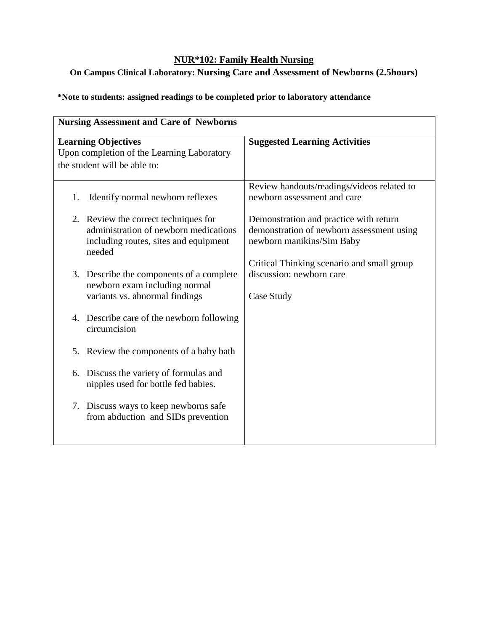# **On Campus Clinical Laboratory: Nursing Care and Assessment of Newborns (2.5hours)**

| <b>Nursing Assessment and Care of Newborns</b>                                                           |                                                                                |                                                                                                                                                                |
|----------------------------------------------------------------------------------------------------------|--------------------------------------------------------------------------------|----------------------------------------------------------------------------------------------------------------------------------------------------------------|
| <b>Learning Objectives</b><br>Upon completion of the Learning Laboratory<br>the student will be able to: |                                                                                | <b>Suggested Learning Activities</b>                                                                                                                           |
| 1.                                                                                                       | Identify normal newborn reflexes                                               | Review handouts/readings/videos related to<br>newborn assessment and care                                                                                      |
| 2. Review the correct techniques for<br>needed                                                           | administration of newborn medications<br>including routes, sites and equipment | Demonstration and practice with return<br>demonstration of newborn assessment using<br>newborn manikins/Sim Baby<br>Critical Thinking scenario and small group |
| newborn exam including normal<br>variants vs. abnormal findings                                          | 3. Describe the components of a complete                                       | discussion: newborn care<br>Case Study                                                                                                                         |
| 4.<br>circumcision                                                                                       | Describe care of the newborn following                                         |                                                                                                                                                                |
| 5.                                                                                                       | Review the components of a baby bath                                           |                                                                                                                                                                |
| 6.                                                                                                       | Discuss the variety of formulas and<br>nipples used for bottle fed babies.     |                                                                                                                                                                |
|                                                                                                          | 7. Discuss ways to keep newborns safe<br>from abduction and SIDs prevention    |                                                                                                                                                                |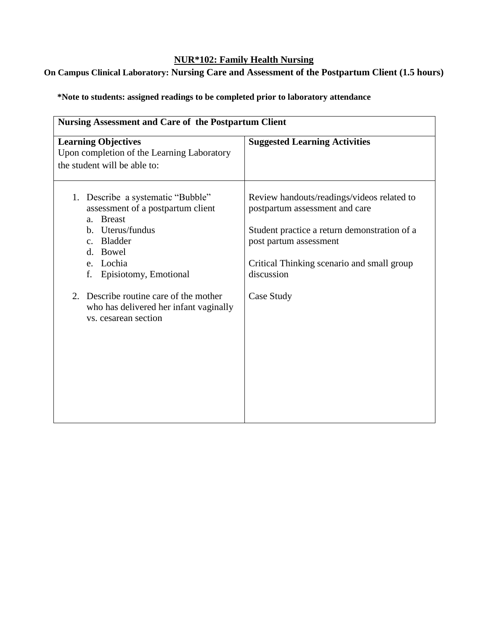# **On Campus Clinical Laboratory: Nursing Care and Assessment of the Postpartum Client (1.5 hours)**

| <b>Nursing Assessment and Care of the Postpartum Client</b>                                                                                                                                                                                                                            |                                                                                                                                                                                                                                  |  |
|----------------------------------------------------------------------------------------------------------------------------------------------------------------------------------------------------------------------------------------------------------------------------------------|----------------------------------------------------------------------------------------------------------------------------------------------------------------------------------------------------------------------------------|--|
| <b>Learning Objectives</b><br>Upon completion of the Learning Laboratory<br>the student will be able to:                                                                                                                                                                               | <b>Suggested Learning Activities</b>                                                                                                                                                                                             |  |
| 1. Describe a systematic "Bubble"<br>assessment of a postpartum client<br>a. Breast<br>b. Uterus/fundus<br>c. Bladder<br>d. Bowel<br>e. Lochia<br>f. Episiotomy, Emotional<br>2. Describe routine care of the mother<br>who has delivered her infant vaginally<br>vs. cesarean section | Review handouts/readings/videos related to<br>postpartum assessment and care<br>Student practice a return demonstration of a<br>post partum assessment<br>Critical Thinking scenario and small group<br>discussion<br>Case Study |  |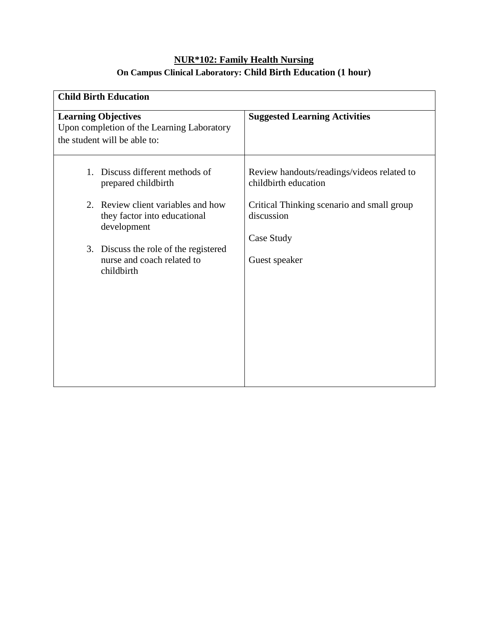# **NUR\*102: Family Health Nursing On Campus Clinical Laboratory: Child Birth Education (1 hour)**

| <b>Child Birth Education</b>                                                                             |                                                                        |  |
|----------------------------------------------------------------------------------------------------------|------------------------------------------------------------------------|--|
| <b>Learning Objectives</b><br>Upon completion of the Learning Laboratory<br>the student will be able to: | <b>Suggested Learning Activities</b>                                   |  |
| Discuss different methods of<br>$1_{-}$<br>prepared childbirth                                           | Review handouts/readings/videos related to<br>childbirth education     |  |
| 2. Review client variables and how<br>they factor into educational<br>development                        | Critical Thinking scenario and small group<br>discussion<br>Case Study |  |
| 3. Discuss the role of the registered<br>nurse and coach related to<br>childbirth                        | Guest speaker                                                          |  |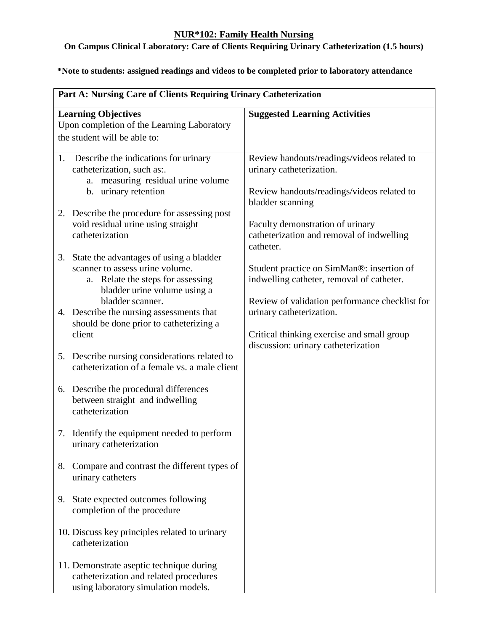# **On Campus Clinical Laboratory: Care of Clients Requiring Urinary Catheterization (1.5 hours)**

|    | Part A: Nursing Care of Clients Requiring Urinary Catheterization |                                                                |  |
|----|-------------------------------------------------------------------|----------------------------------------------------------------|--|
|    | <b>Learning Objectives</b>                                        | <b>Suggested Learning Activities</b>                           |  |
|    | Upon completion of the Learning Laboratory                        |                                                                |  |
|    | the student will be able to:                                      |                                                                |  |
| 1. | Describe the indications for urinary                              | Review handouts/readings/videos related to                     |  |
|    | catheterization, such as:                                         | urinary catheterization.                                       |  |
|    | a. measuring residual urine volume                                |                                                                |  |
|    | b. urinary retention                                              | Review handouts/readings/videos related to<br>bladder scanning |  |
|    | 2. Describe the procedure for assessing post                      |                                                                |  |
|    | void residual urine using straight                                | Faculty demonstration of urinary                               |  |
|    | catheterization                                                   | catheterization and removal of indwelling<br>catheter.         |  |
|    | 3. State the advantages of using a bladder                        |                                                                |  |
|    | scanner to assess urine volume.                                   | Student practice on SimMan®: insertion of                      |  |
|    | a. Relate the steps for assessing                                 | indwelling catheter, removal of catheter.                      |  |
|    | bladder urine volume using a                                      |                                                                |  |
|    | bladder scanner.                                                  | Review of validation performance checklist for                 |  |
|    | 4. Describe the nursing assessments that                          | urinary catheterization.                                       |  |
|    | should be done prior to catheterizing a                           |                                                                |  |
|    | client                                                            | Critical thinking exercise and small group                     |  |
|    |                                                                   | discussion: urinary catheterization                            |  |
|    | 5. Describe nursing considerations related to                     |                                                                |  |
|    | catheterization of a female vs. a male client                     |                                                                |  |
|    | 6. Describe the procedural differences                            |                                                                |  |
|    | between straight and indwelling                                   |                                                                |  |
|    | catheterization                                                   |                                                                |  |
|    | 7. Identify the equipment needed to perform                       |                                                                |  |
|    | urinary catheterization                                           |                                                                |  |
| 8. | Compare and contrast the different types of                       |                                                                |  |
|    | urinary catheters                                                 |                                                                |  |
|    |                                                                   |                                                                |  |
| 9. | State expected outcomes following                                 |                                                                |  |
|    | completion of the procedure                                       |                                                                |  |
|    |                                                                   |                                                                |  |
|    | 10. Discuss key principles related to urinary                     |                                                                |  |
|    | catheterization                                                   |                                                                |  |
|    |                                                                   |                                                                |  |
|    | 11. Demonstrate aseptic technique during                          |                                                                |  |
|    | catheterization and related procedures                            |                                                                |  |
|    | using laboratory simulation models.                               |                                                                |  |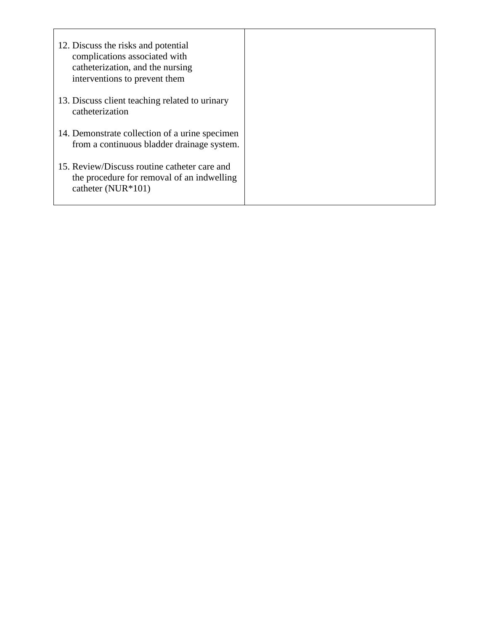| 12. Discuss the risks and potential<br>complications associated with<br>catheterization, and the nursing<br>interventions to prevent them |  |
|-------------------------------------------------------------------------------------------------------------------------------------------|--|
| 13. Discuss client teaching related to urinary<br>catheterization                                                                         |  |
| 14. Demonstrate collection of a urine specimen<br>from a continuous bladder drainage system.                                              |  |
| 15. Review/Discuss routine catheter care and<br>the procedure for removal of an indwelling<br>catheter (NUR $*101$ )                      |  |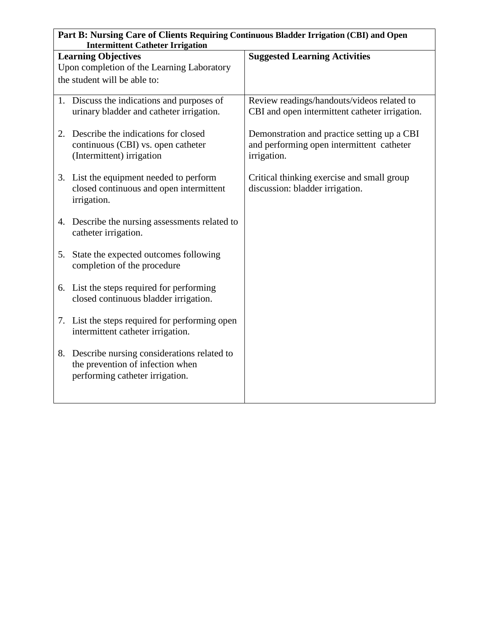|                                                                                                                  | Part B: Nursing Care of Clients Requiring Continuous Bladder Irrigation (CBI) and Open<br><b>Intermittent Catheter Irrigation</b> |                                                                                                         |  |
|------------------------------------------------------------------------------------------------------------------|-----------------------------------------------------------------------------------------------------------------------------------|---------------------------------------------------------------------------------------------------------|--|
| <b>Learning Objectives</b><br><b>Suggested Learning Activities</b><br>Upon completion of the Learning Laboratory |                                                                                                                                   |                                                                                                         |  |
|                                                                                                                  | the student will be able to:                                                                                                      |                                                                                                         |  |
|                                                                                                                  | 1. Discuss the indications and purposes of<br>urinary bladder and catheter irrigation.                                            | Review readings/handouts/videos related to<br>CBI and open intermittent catheter irrigation.            |  |
|                                                                                                                  | 2. Describe the indications for closed<br>continuous (CBI) vs. open catheter<br>(Intermittent) irrigation                         | Demonstration and practice setting up a CBI<br>and performing open intermittent catheter<br>irrigation. |  |
|                                                                                                                  | 3. List the equipment needed to perform<br>closed continuous and open intermittent<br>irrigation.                                 | Critical thinking exercise and small group<br>discussion: bladder irrigation.                           |  |
|                                                                                                                  | 4. Describe the nursing assessments related to<br>catheter irrigation.                                                            |                                                                                                         |  |
|                                                                                                                  | 5. State the expected outcomes following<br>completion of the procedure                                                           |                                                                                                         |  |
|                                                                                                                  | 6. List the steps required for performing<br>closed continuous bladder irrigation.                                                |                                                                                                         |  |
|                                                                                                                  | 7. List the steps required for performing open<br>intermittent catheter irrigation.                                               |                                                                                                         |  |
|                                                                                                                  | 8. Describe nursing considerations related to<br>the prevention of infection when<br>performing catheter irrigation.              |                                                                                                         |  |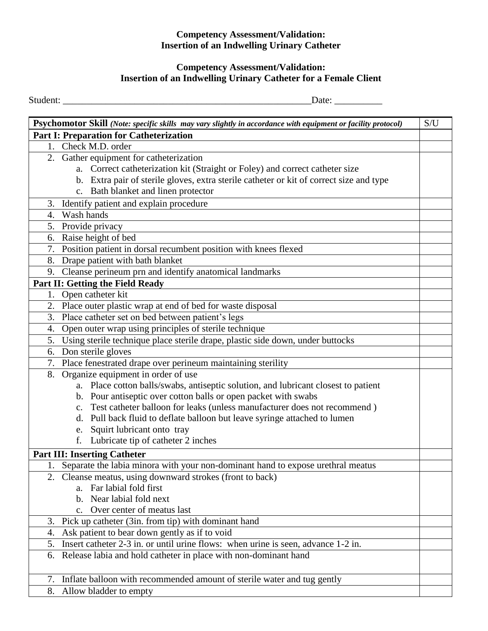### **Competency Assessment/Validation: Insertion of an Indwelling Urinary Catheter**

## **Competency Assessment/Validation: Insertion of an Indwelling Urinary Catheter for a Female Client**

Student: \_\_\_\_\_\_\_\_\_\_\_\_\_\_\_\_\_\_\_\_\_\_\_\_\_\_\_\_\_\_\_\_\_\_\_\_\_\_\_\_\_\_\_\_\_\_\_\_\_\_\_\_Date: \_\_\_\_\_\_\_\_\_\_

| S/U<br>Psychomotor Skill (Note: specific skills may vary slightly in accordance with equipment or facility protocol) |                                                                                         |  |
|----------------------------------------------------------------------------------------------------------------------|-----------------------------------------------------------------------------------------|--|
|                                                                                                                      | <b>Part I: Preparation for Catheterization</b>                                          |  |
| 1.                                                                                                                   | Check M.D. order                                                                        |  |
|                                                                                                                      | 2. Gather equipment for catheterization                                                 |  |
|                                                                                                                      | a. Correct catheterization kit (Straight or Foley) and correct catheter size            |  |
|                                                                                                                      | b. Extra pair of sterile gloves, extra sterile catheter or kit of correct size and type |  |
|                                                                                                                      | c. Bath blanket and linen protector                                                     |  |
|                                                                                                                      | 3. Identify patient and explain procedure                                               |  |
| 4.                                                                                                                   | Wash hands                                                                              |  |
|                                                                                                                      | 5. Provide privacy                                                                      |  |
|                                                                                                                      | 6. Raise height of bed                                                                  |  |
|                                                                                                                      | 7. Position patient in dorsal recumbent position with knees flexed                      |  |
| 8.                                                                                                                   | Drape patient with bath blanket                                                         |  |
|                                                                                                                      | 9. Cleanse perineum prn and identify anatomical landmarks                               |  |
|                                                                                                                      | Part II: Getting the Field Ready                                                        |  |
|                                                                                                                      | 1. Open catheter kit                                                                    |  |
|                                                                                                                      | 2. Place outer plastic wrap at end of bed for waste disposal                            |  |
| 3.                                                                                                                   | Place catheter set on bed between patient's legs                                        |  |
| 4.                                                                                                                   | Open outer wrap using principles of sterile technique                                   |  |
| 5.                                                                                                                   | Using sterile technique place sterile drape, plastic side down, under buttocks          |  |
| 6.                                                                                                                   | Don sterile gloves                                                                      |  |
|                                                                                                                      | 7. Place fenestrated drape over perineum maintaining sterility                          |  |
|                                                                                                                      | 8. Organize equipment in order of use                                                   |  |
|                                                                                                                      | a. Place cotton balls/swabs, antiseptic solution, and lubricant closest to patient      |  |
|                                                                                                                      | b. Pour antiseptic over cotton balls or open packet with swabs                          |  |
|                                                                                                                      | c. Test catheter balloon for leaks (unless manufacturer does not recommend)             |  |
|                                                                                                                      | d. Pull back fluid to deflate balloon but leave syringe attached to lumen               |  |
| e.                                                                                                                   | Squirt lubricant onto tray                                                              |  |
| f.                                                                                                                   | Lubricate tip of catheter 2 inches                                                      |  |
|                                                                                                                      | <b>Part III: Inserting Catheter</b>                                                     |  |
|                                                                                                                      | 1. Separate the labia minora with your non-dominant hand to expose urethral meatus      |  |
|                                                                                                                      | 2. Cleanse meatus, using downward strokes (front to back)                               |  |
|                                                                                                                      | a. Far labial fold first                                                                |  |
|                                                                                                                      | b. Near labial fold next                                                                |  |
|                                                                                                                      | c. Over center of meatus last                                                           |  |
|                                                                                                                      | 3. Pick up catheter (3in. from tip) with dominant hand                                  |  |
| 4.                                                                                                                   | Ask patient to bear down gently as if to void                                           |  |
| 5.                                                                                                                   | Insert catheter 2-3 in. or until urine flows: when urine is seen, advance 1-2 in.       |  |
| 6.                                                                                                                   | Release labia and hold catheter in place with non-dominant hand                         |  |
|                                                                                                                      |                                                                                         |  |
| 7.                                                                                                                   | Inflate balloon with recommended amount of sterile water and tug gently                 |  |
| 8.                                                                                                                   | Allow bladder to empty                                                                  |  |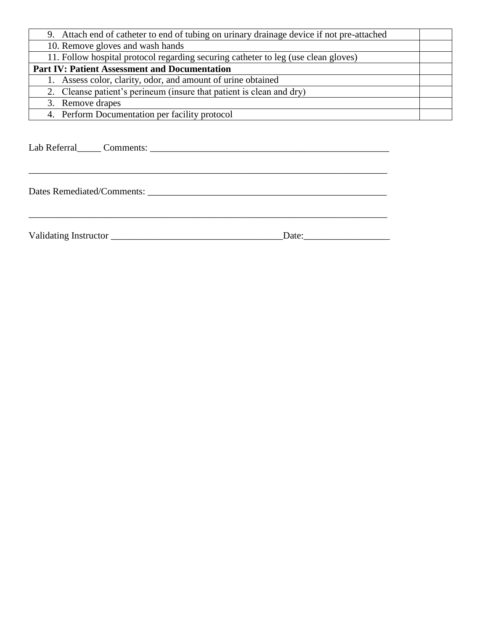| 9. Attach end of catheter to end of tubing on urinary drainage device if not pre-attached |  |
|-------------------------------------------------------------------------------------------|--|
| 10. Remove gloves and wash hands                                                          |  |
| 11. Follow hospital protocol regarding securing catheter to leg (use clean gloves)        |  |
| <b>Part IV: Patient Assessment and Documentation</b>                                      |  |
| 1. Assess color, clarity, odor, and amount of urine obtained                              |  |
| 2. Cleanse patient's perineum (insure that patient is clean and dry)                      |  |
| 3. Remove drapes                                                                          |  |
| 4. Perform Documentation per facility protocol                                            |  |

\_\_\_\_\_\_\_\_\_\_\_\_\_\_\_\_\_\_\_\_\_\_\_\_\_\_\_\_\_\_\_\_\_\_\_\_\_\_\_\_\_\_\_\_\_\_\_\_\_\_\_\_\_\_\_\_\_\_\_\_\_\_\_\_\_\_\_\_\_\_\_\_\_\_\_

\_\_\_\_\_\_\_\_\_\_\_\_\_\_\_\_\_\_\_\_\_\_\_\_\_\_\_\_\_\_\_\_\_\_\_\_\_\_\_\_\_\_\_\_\_\_\_\_\_\_\_\_\_\_\_\_\_\_\_\_\_\_\_\_\_\_\_\_\_\_\_\_\_\_\_

Lab Referral\_\_\_\_\_ Comments: \_\_\_\_\_\_\_\_\_\_\_\_\_\_\_\_\_\_\_\_\_\_\_\_\_\_\_\_\_\_\_\_\_\_\_\_\_\_\_\_\_\_\_\_\_\_\_\_\_\_

Dates Remediated/Comments: \_\_\_\_\_\_\_\_\_\_\_\_\_\_\_\_\_\_\_\_\_\_\_\_\_\_\_\_\_\_\_\_\_\_\_\_\_\_\_\_\_\_\_\_\_\_\_\_\_\_

Validating Instructor \_\_\_\_\_\_\_\_\_\_\_\_\_\_\_\_\_\_\_\_\_\_\_\_\_\_\_\_\_\_\_\_\_\_\_\_Date:\_\_\_\_\_\_\_\_\_\_\_\_\_\_\_\_\_\_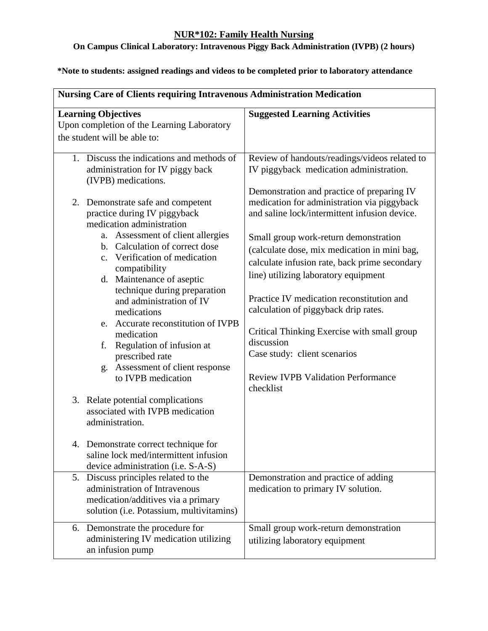# **On Campus Clinical Laboratory: Intravenous Piggy Back Administration (IVPB) (2 hours)**

| <b>Nursing Care of Clients requiring Intravenous Administration Medication</b>                                                                                        |                                                                                                                                                                                     |  |
|-----------------------------------------------------------------------------------------------------------------------------------------------------------------------|-------------------------------------------------------------------------------------------------------------------------------------------------------------------------------------|--|
| <b>Learning Objectives</b><br>Upon completion of the Learning Laboratory                                                                                              | <b>Suggested Learning Activities</b>                                                                                                                                                |  |
| the student will be able to:                                                                                                                                          |                                                                                                                                                                                     |  |
| 1. Discuss the indications and methods of<br>administration for IV piggy back<br>(IVPB) medications.                                                                  | Review of handouts/readings/videos related to<br>IV piggyback medication administration.                                                                                            |  |
| 2. Demonstrate safe and competent<br>practice during IV piggyback<br>medication administration<br>a. Assessment of client allergies<br>b. Calculation of correct dose | Demonstration and practice of preparing IV<br>medication for administration via piggyback<br>and saline lock/intermittent infusion device.<br>Small group work-return demonstration |  |
| c. Verification of medication<br>compatibility<br>d. Maintenance of aseptic                                                                                           | (calculate dose, mix medication in mini bag,<br>calculate infusion rate, back prime secondary<br>line) utilizing laboratory equipment                                               |  |
| technique during preparation<br>and administration of IV<br>medications<br>e. Accurate reconstitution of IVPB                                                         | Practice IV medication reconstitution and<br>calculation of piggyback drip rates.                                                                                                   |  |
| medication<br>Regulation of infusion at<br>f.<br>prescribed rate                                                                                                      | Critical Thinking Exercise with small group<br>discussion<br>Case study: client scenarios                                                                                           |  |
| Assessment of client response<br>g.<br>to IVPB medication                                                                                                             | <b>Review IVPB Validation Performance</b><br>checklist                                                                                                                              |  |
| 3. Relate potential complications<br>associated with IVPB medication<br>administration.                                                                               |                                                                                                                                                                                     |  |
| Demonstrate correct technique for<br>4.<br>saline lock med/intermittent infusion<br>device administration (i.e. S-A-S)                                                |                                                                                                                                                                                     |  |
| 5. Discuss principles related to the<br>administration of Intravenous<br>medication/additives via a primary<br>solution (i.e. Potassium, multivitamins)               | Demonstration and practice of adding<br>medication to primary IV solution.                                                                                                          |  |
| 6. Demonstrate the procedure for<br>administering IV medication utilizing<br>an infusion pump                                                                         | Small group work-return demonstration<br>utilizing laboratory equipment                                                                                                             |  |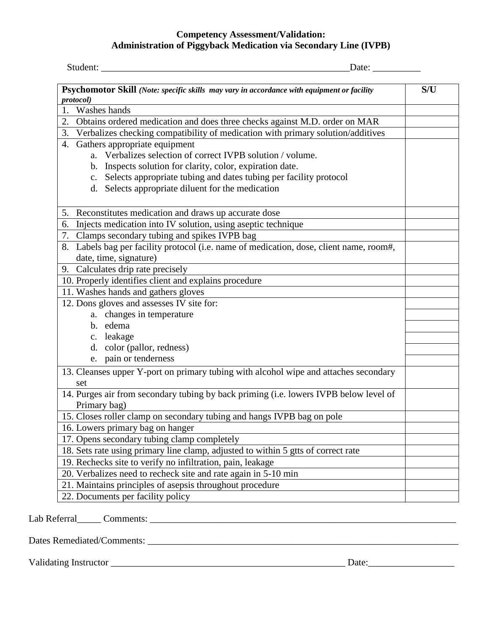### **Competency Assessment/Validation: Administration of Piggyback Medication via Secondary Line (IVPB)**

| Psychomotor Skill (Note: specific skills may vary in accordance with equipment or facility                           | S/U |
|----------------------------------------------------------------------------------------------------------------------|-----|
| protocol)<br>Washes hands<br>1.                                                                                      |     |
| Obtains ordered medication and does three checks against M.D. order on MAR<br>2.                                     |     |
| Verbalizes checking compatibility of medication with primary solution/additives<br>3.                                |     |
| Gathers appropriate equipment<br>4.                                                                                  |     |
| a. Verbalizes selection of correct IVPB solution / volume.                                                           |     |
| b. Inspects solution for clarity, color, expiration date.                                                            |     |
| c. Selects appropriate tubing and dates tubing per facility protocol                                                 |     |
| d. Selects appropriate diluent for the medication                                                                    |     |
| 5. Reconstitutes medication and draws up accurate dose                                                               |     |
| Injects medication into IV solution, using aseptic technique<br>6.                                                   |     |
| 7. Clamps secondary tubing and spikes IVPB bag                                                                       |     |
| Labels bag per facility protocol (i.e. name of medication, dose, client name, room#,<br>8.<br>date, time, signature) |     |
| 9. Calculates drip rate precisely                                                                                    |     |
| 10. Properly identifies client and explains procedure                                                                |     |
| 11. Washes hands and gathers gloves                                                                                  |     |
| 12. Dons gloves and assesses IV site for:                                                                            |     |
| a. changes in temperature                                                                                            |     |
| b. edema                                                                                                             |     |
| c. leakage                                                                                                           |     |
| d. color (pallor, redness)                                                                                           |     |
| e. pain or tenderness                                                                                                |     |
| 13. Cleanses upper Y-port on primary tubing with alcohol wipe and attaches secondary<br>set                          |     |
| 14. Purges air from secondary tubing by back priming (i.e. lowers IVPB below level of<br>Primary bag)                |     |
| 15. Closes roller clamp on secondary tubing and hangs IVPB bag on pole                                               |     |
| 16. Lowers primary bag on hanger                                                                                     |     |
| 17. Opens secondary tubing clamp completely                                                                          |     |
| 18. Sets rate using primary line clamp, adjusted to within 5 gtts of correct rate                                    |     |
| 19. Rechecks site to verify no infiltration, pain, leakage                                                           |     |
| 20. Verbalizes need to recheck site and rate again in 5-10 min                                                       |     |
| 21. Maintains principles of asepsis throughout procedure                                                             |     |
| 22. Documents per facility policy                                                                                    |     |

Dates Remediated/Comments: \_\_\_\_\_\_\_\_\_\_\_\_\_\_\_\_\_\_\_\_\_\_\_\_\_\_\_\_\_\_\_\_\_\_\_\_\_\_\_\_\_\_\_\_\_\_\_\_\_\_\_\_\_\_\_\_\_\_\_\_\_\_\_\_\_

Validating Instructor \_\_\_\_\_\_\_\_\_\_\_\_\_\_\_\_\_\_\_\_\_\_\_\_\_\_\_\_\_\_\_\_\_\_\_\_\_\_\_\_\_\_\_\_\_\_\_\_\_ Date:\_\_\_\_\_\_\_\_\_\_\_\_\_\_\_\_\_\_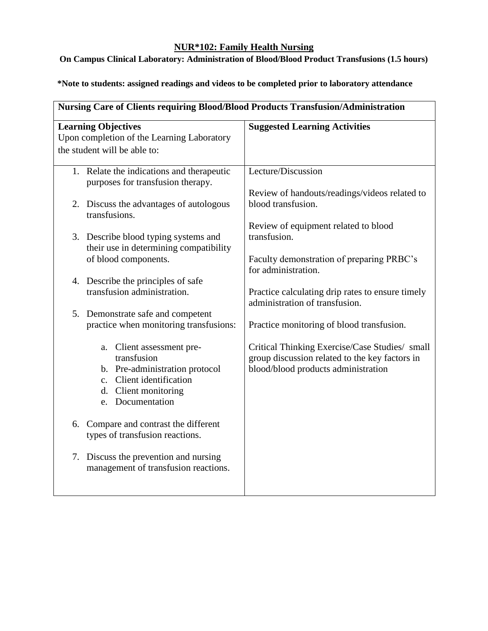# **On Campus Clinical Laboratory: Administration of Blood/Blood Product Transfusions (1.5 hours)**

| Nursing Care of Clients requiring Blood/Blood Products Transfusion/Administration |                                                                                       |
|-----------------------------------------------------------------------------------|---------------------------------------------------------------------------------------|
| <b>Learning Objectives</b>                                                        | <b>Suggested Learning Activities</b>                                                  |
| Upon completion of the Learning Laboratory                                        |                                                                                       |
| the student will be able to:                                                      |                                                                                       |
| 1. Relate the indications and therapeutic<br>purposes for transfusion therapy.    | Lecture/Discussion                                                                    |
|                                                                                   | Review of handouts/readings/videos related to                                         |
| 2. Discuss the advantages of autologous<br>transfusions.                          | blood transfusion.                                                                    |
| 3. Describe blood typing systems and                                              | Review of equipment related to blood<br>transfusion.                                  |
| their use in determining compatibility<br>of blood components.                    | Faculty demonstration of preparing PRBC's<br>for administration.                      |
| 4. Describe the principles of safe<br>transfusion administration.                 | Practice calculating drip rates to ensure timely                                      |
|                                                                                   | administration of transfusion.                                                        |
| 5. Demonstrate safe and competent                                                 |                                                                                       |
| practice when monitoring transfusions:                                            | Practice monitoring of blood transfusion.                                             |
| a. Client assessment pre-<br>transfusion                                          | Critical Thinking Exercise/Case Studies/ small                                        |
| b. Pre-administration protocol                                                    | group discussion related to the key factors in<br>blood/blood products administration |
| c. Client identification                                                          |                                                                                       |
| d. Client monitoring                                                              |                                                                                       |
| e. Documentation                                                                  |                                                                                       |
| 6. Compare and contrast the different                                             |                                                                                       |
| types of transfusion reactions.                                                   |                                                                                       |
| 7. Discuss the prevention and nursing                                             |                                                                                       |
| management of transfusion reactions.                                              |                                                                                       |
|                                                                                   |                                                                                       |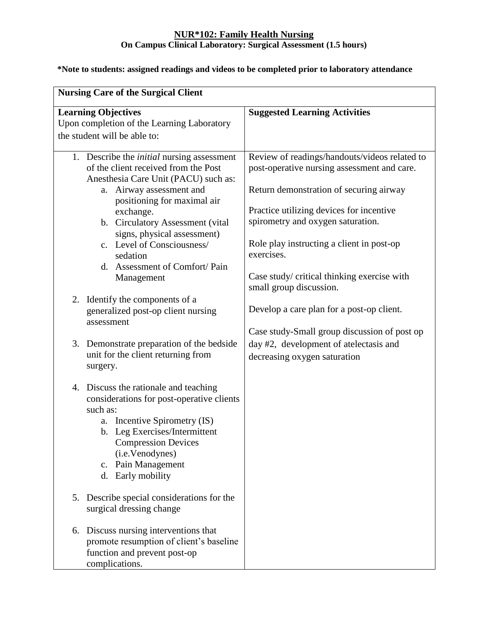### **NUR\*102: Family Health Nursing On Campus Clinical Laboratory: Surgical Assessment (1.5 hours)**

| <b>Nursing Care of the Surgical Client</b>                                                                                                                                                                                                                                                                                                                             |                                                                                                                                                                                                                                                                                                                                                               |  |
|------------------------------------------------------------------------------------------------------------------------------------------------------------------------------------------------------------------------------------------------------------------------------------------------------------------------------------------------------------------------|---------------------------------------------------------------------------------------------------------------------------------------------------------------------------------------------------------------------------------------------------------------------------------------------------------------------------------------------------------------|--|
| <b>Learning Objectives</b><br>Upon completion of the Learning Laboratory<br>the student will be able to:                                                                                                                                                                                                                                                               | <b>Suggested Learning Activities</b>                                                                                                                                                                                                                                                                                                                          |  |
| 1. Describe the <i>initial</i> nursing assessment<br>of the client received from the Post<br>Anesthesia Care Unit (PACU) such as:<br>a. Airway assessment and<br>positioning for maximal air<br>exchange.<br>b. Circulatory Assessment (vital)<br>signs, physical assessment)<br>c. Level of Consciousness/<br>sedation<br>d. Assessment of Comfort/Pain<br>Management | Review of readings/handouts/videos related to<br>post-operative nursing assessment and care.<br>Return demonstration of securing airway<br>Practice utilizing devices for incentive<br>spirometry and oxygen saturation.<br>Role play instructing a client in post-op<br>exercises.<br>Case study/ critical thinking exercise with<br>small group discussion. |  |
| 2. Identify the components of a<br>generalized post-op client nursing<br>assessment                                                                                                                                                                                                                                                                                    | Develop a care plan for a post-op client.<br>Case study-Small group discussion of post op                                                                                                                                                                                                                                                                     |  |
| Demonstrate preparation of the bedside<br>3.<br>unit for the client returning from<br>surgery.                                                                                                                                                                                                                                                                         | day #2, development of atelectasis and<br>decreasing oxygen saturation                                                                                                                                                                                                                                                                                        |  |
| Discuss the rationale and teaching<br>4.<br>considerations for post-operative clients<br>such as:<br>a. Incentive Spirometry (IS)<br>b. Leg Exercises/Intermittent<br><b>Compression Devices</b><br>(i.e.Venodynes)<br>c. Pain Management<br>d. Early mobility                                                                                                         |                                                                                                                                                                                                                                                                                                                                                               |  |
| Describe special considerations for the<br>5.<br>surgical dressing change                                                                                                                                                                                                                                                                                              |                                                                                                                                                                                                                                                                                                                                                               |  |
| Discuss nursing interventions that<br>6.<br>promote resumption of client's baseline<br>function and prevent post-op<br>complications.                                                                                                                                                                                                                                  |                                                                                                                                                                                                                                                                                                                                                               |  |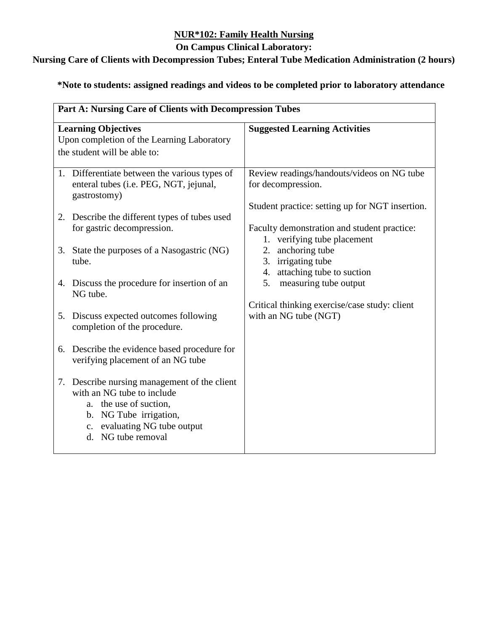### **On Campus Clinical Laboratory:**

# **Nursing Care of Clients with Decompression Tubes; Enteral Tube Medication Administration (2 hours)**

|                                                                          | Part A: Nursing Care of Clients with Decompression Tubes                                                                                                                          |                                                                                                                               |  |
|--------------------------------------------------------------------------|-----------------------------------------------------------------------------------------------------------------------------------------------------------------------------------|-------------------------------------------------------------------------------------------------------------------------------|--|
| <b>Learning Objectives</b><br>Upon completion of the Learning Laboratory |                                                                                                                                                                                   | <b>Suggested Learning Activities</b>                                                                                          |  |
| the student will be able to:                                             |                                                                                                                                                                                   |                                                                                                                               |  |
|                                                                          | 1. Differentiate between the various types of<br>enteral tubes (i.e. PEG, NGT, jejunal,<br>gastrostomy)                                                                           | Review readings/handouts/videos on NG tube<br>for decompression.                                                              |  |
|                                                                          | 2. Describe the different types of tubes used<br>for gastric decompression.                                                                                                       | Student practice: setting up for NGT insertion.<br>Faculty demonstration and student practice:<br>1. verifying tube placement |  |
|                                                                          | 3. State the purposes of a Nasogastric (NG)<br>tube.                                                                                                                              | anchoring tube<br>2.<br>3.<br>irrigating tube<br>attaching tube to suction<br>4.                                              |  |
|                                                                          | 4. Discuss the procedure for insertion of an<br>NG tube.                                                                                                                          | 5.<br>measuring tube output<br>Critical thinking exercise/case study: client                                                  |  |
| 5.                                                                       | Discuss expected outcomes following<br>completion of the procedure.                                                                                                               | with an NG tube (NGT)                                                                                                         |  |
|                                                                          | 6. Describe the evidence based procedure for<br>verifying placement of an NG tube                                                                                                 |                                                                                                                               |  |
| 7.                                                                       | Describe nursing management of the client<br>with an NG tube to include<br>a. the use of suction,<br>b. NG Tube irrigation,<br>c. evaluating NG tube output<br>d. NG tube removal |                                                                                                                               |  |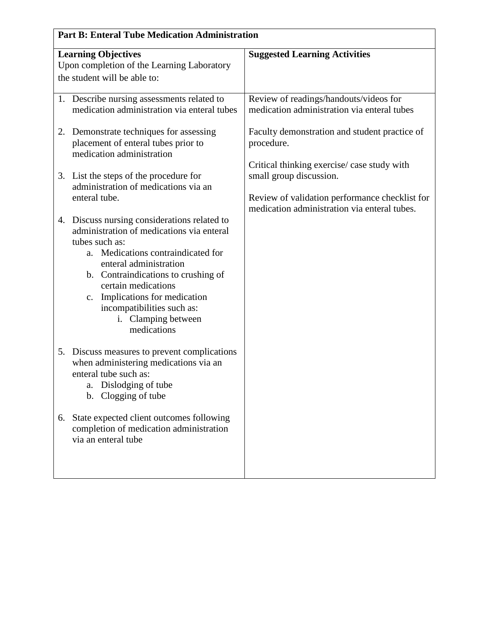| <b>Part B: Enteral Tube Medication Administration</b>                                                                                                                                                                                                                                                                                           |                                                                                                |  |
|-------------------------------------------------------------------------------------------------------------------------------------------------------------------------------------------------------------------------------------------------------------------------------------------------------------------------------------------------|------------------------------------------------------------------------------------------------|--|
| <b>Learning Objectives</b><br>Upon completion of the Learning Laboratory<br>the student will be able to:                                                                                                                                                                                                                                        | <b>Suggested Learning Activities</b>                                                           |  |
| 1. Describe nursing assessments related to<br>medication administration via enteral tubes                                                                                                                                                                                                                                                       | Review of readings/handouts/videos for<br>medication administration via enteral tubes          |  |
| 2. Demonstrate techniques for assessing<br>placement of enteral tubes prior to<br>medication administration                                                                                                                                                                                                                                     | Faculty demonstration and student practice of<br>procedure.                                    |  |
| 3. List the steps of the procedure for<br>administration of medications via an                                                                                                                                                                                                                                                                  | Critical thinking exercise/case study with<br>small group discussion.                          |  |
| enteral tube.                                                                                                                                                                                                                                                                                                                                   | Review of validation performance checklist for<br>medication administration via enteral tubes. |  |
| 4. Discuss nursing considerations related to<br>administration of medications via enteral<br>tubes such as:<br>a. Medications contraindicated for<br>enteral administration<br>b. Contraindications to crushing of<br>certain medications<br>c. Implications for medication<br>incompatibilities such as:<br>i. Clamping between<br>medications |                                                                                                |  |
| 5. Discuss measures to prevent complications<br>when administering medications via an<br>enteral tube such as:<br>a. Dislodging of tube<br>b. Clogging of tube                                                                                                                                                                                  |                                                                                                |  |
| 6. State expected client outcomes following<br>completion of medication administration<br>via an enteral tube                                                                                                                                                                                                                                   |                                                                                                |  |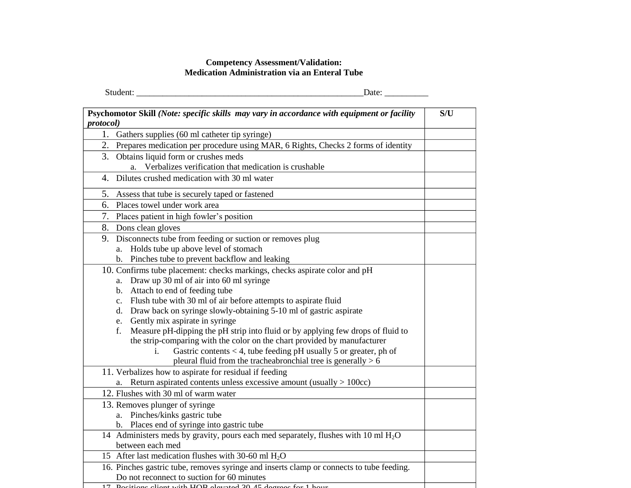### **Competency Assessment/Validation: Medication Administration via an Enteral Tube**

| ---<br>___ |
|------------|
|            |

| Psychomotor Skill (Note: specific skills may vary in accordance with equipment or facility                   | S/U |
|--------------------------------------------------------------------------------------------------------------|-----|
| <i>protocol</i> )<br>1.<br>Gathers supplies (60 ml catheter tip syringe)                                     |     |
| 2. Prepares medication per procedure using MAR, 6 Rights, Checks 2 forms of identity                         |     |
| 3. Obtains liquid form or crushes meds                                                                       |     |
| a. Verbalizes verification that medication is crushable                                                      |     |
| Dilutes crushed medication with 30 ml water<br>4.                                                            |     |
| 5.<br>Assess that tube is securely taped or fastened                                                         |     |
| Places towel under work area<br>6.                                                                           |     |
| 7.<br>Places patient in high fowler's position                                                               |     |
| 8. Dons clean gloves                                                                                         |     |
| Disconnects tube from feeding or suction or removes plug<br>9.                                               |     |
| a. Holds tube up above level of stomach                                                                      |     |
| b. Pinches tube to prevent backflow and leaking                                                              |     |
| 10. Confirms tube placement: checks markings, checks aspirate color and pH                                   |     |
| a. Draw up 30 ml of air into 60 ml syringe                                                                   |     |
| b. Attach to end of feeding tube                                                                             |     |
| c. Flush tube with 30 ml of air before attempts to aspirate fluid                                            |     |
| d. Draw back on syringe slowly-obtaining 5-10 ml of gastric aspirate                                         |     |
| e. Gently mix aspirate in syringe                                                                            |     |
| Measure pH-dipping the pH strip into fluid or by applying few drops of fluid to<br>f.                        |     |
| the strip-comparing with the color on the chart provided by manufacturer                                     |     |
| Gastric contents $<$ 4, tube feeding pH usually 5 or greater, ph of<br>i.                                    |     |
| pleural fluid from the tracheabronchial tree is generally $> 6$                                              |     |
| 11. Verbalizes how to aspirate for residual if feeding                                                       |     |
| a. Return aspirated contents unless excessive amount (usually $> 100cc$ )                                    |     |
| 12. Flushes with 30 ml of warm water                                                                         |     |
| 13. Removes plunger of syringe                                                                               |     |
| a. Pinches/kinks gastric tube                                                                                |     |
| b. Places end of syringe into gastric tube                                                                   |     |
| 14 Administers meds by gravity, pours each med separately, flushes with $\overline{10}$ ml $\overline{H_2O}$ |     |
| between each med                                                                                             |     |
| 15 After last medication flushes with 30-60 ml $H_2O$                                                        |     |
| 16. Pinches gastric tube, removes syringe and inserts clamp or connects to tube feeding.                     |     |
| Do not reconnect to suction for 60 minutes                                                                   |     |
| 17 Decisions slight with HOD sloveded 2015 decrees for 1 b                                                   |     |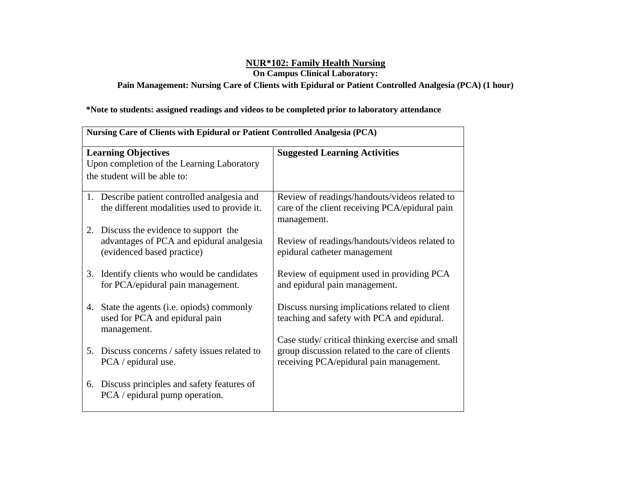**On Campus Clinical Laboratory:** 

**Pain Management: Nursing Care of Clients with Epidural or Patient Controlled Analgesia (PCA) (1 hour)**

|                                            | Nursing Care of Clients with Epidural or Patient Controlled Analgesia (PCA)                                      |                                                                                                                                                |  |
|--------------------------------------------|------------------------------------------------------------------------------------------------------------------|------------------------------------------------------------------------------------------------------------------------------------------------|--|
|                                            | <b>Learning Objectives</b>                                                                                       | <b>Suggested Learning Activities</b>                                                                                                           |  |
| Upon completion of the Learning Laboratory |                                                                                                                  |                                                                                                                                                |  |
|                                            | the student will be able to:                                                                                     |                                                                                                                                                |  |
|                                            | 1. Describe patient controlled analgesia and<br>the different modalities used to provide it.                     | Review of readings/handouts/videos related to<br>care of the client receiving PCA/epidural pain<br>management.                                 |  |
|                                            | 2. Discuss the evidence to support the<br>advantages of PCA and epidural analgesia<br>(evidenced based practice) | Review of readings/handouts/videos related to<br>epidural catheter management                                                                  |  |
| 3.                                         | Identify clients who would be candidates<br>for PCA/epidural pain management.                                    | Review of equipment used in providing PCA<br>and epidural pain management.                                                                     |  |
| 4.                                         | State the agents (i.e. opiods) commonly<br>used for PCA and epidural pain<br>management.                         | Discuss nursing implications related to client<br>teaching and safety with PCA and epidural.                                                   |  |
|                                            | 5. Discuss concerns / safety issues related to<br>PCA / epidural use.                                            | Case study/ critical thinking exercise and small<br>group discussion related to the care of clients<br>receiving PCA/epidural pain management. |  |
| 6.                                         | Discuss principles and safety features of<br>PCA / epidural pump operation.                                      |                                                                                                                                                |  |